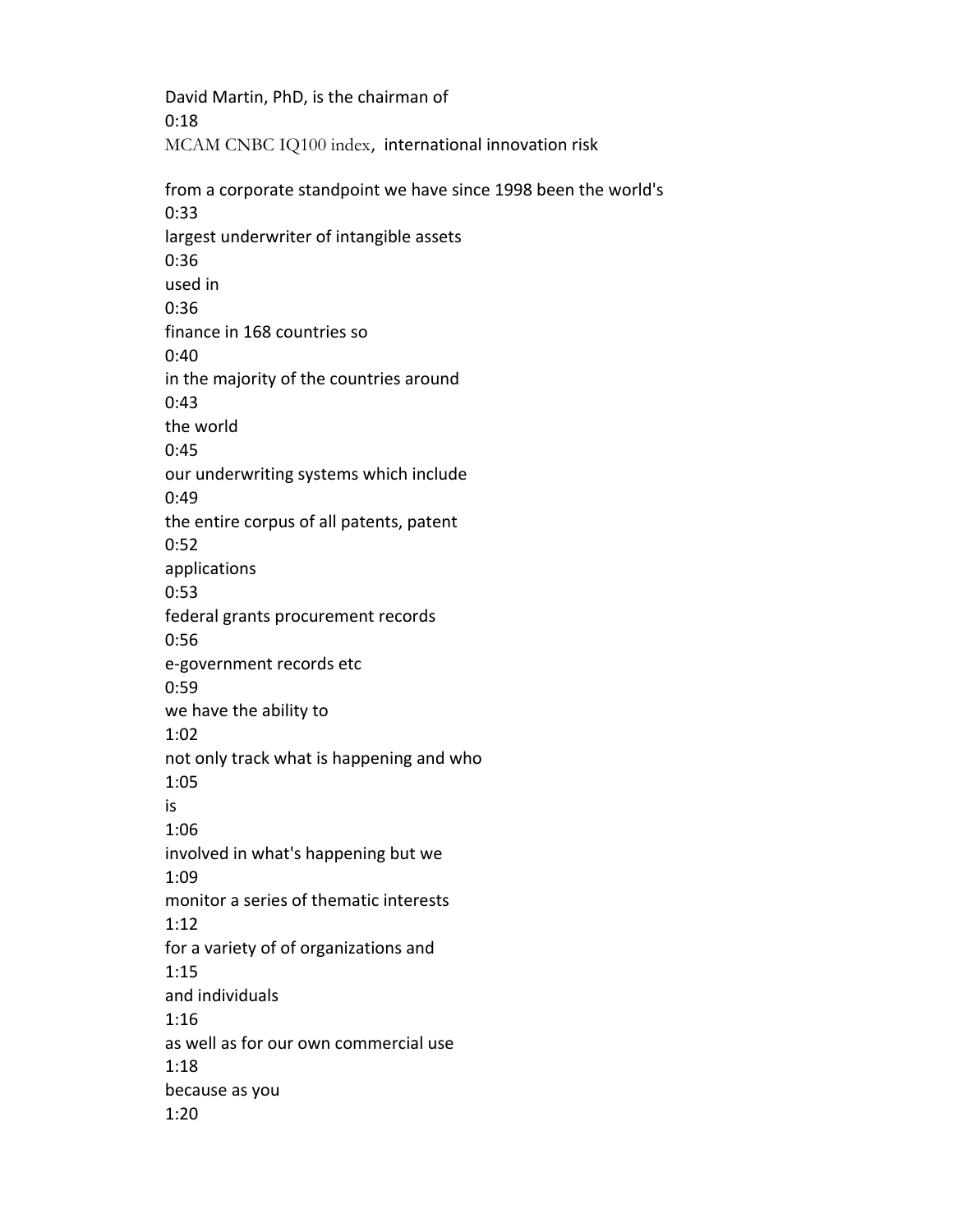David Martin, PhD, is the chairman of 0:18 MCAM CNBC IQ100 index, international innovation risk from a corporate standpoint we have since 1998 been the world's

0:33 largest underwriter of intangible assets 0:36 used in 0:36 finance in 168 countries so 0:40 in the majority of the countries around 0:43 the world 0:45 our underwriting systems which include 0:49 the entire corpus of all patents, patent 0:52 applications 0:53 federal grants procurement records 0:56 e-government records etc 0:59 we have the ability to 1:02 not only track what is happening and who 1:05 is 1:06 involved in what's happening but we 1:09 monitor a series of thematic interests 1:12 for a variety of of organizations and 1:15 and individuals 1:16 as well as for our own commercial use 1:18 because as you 1:20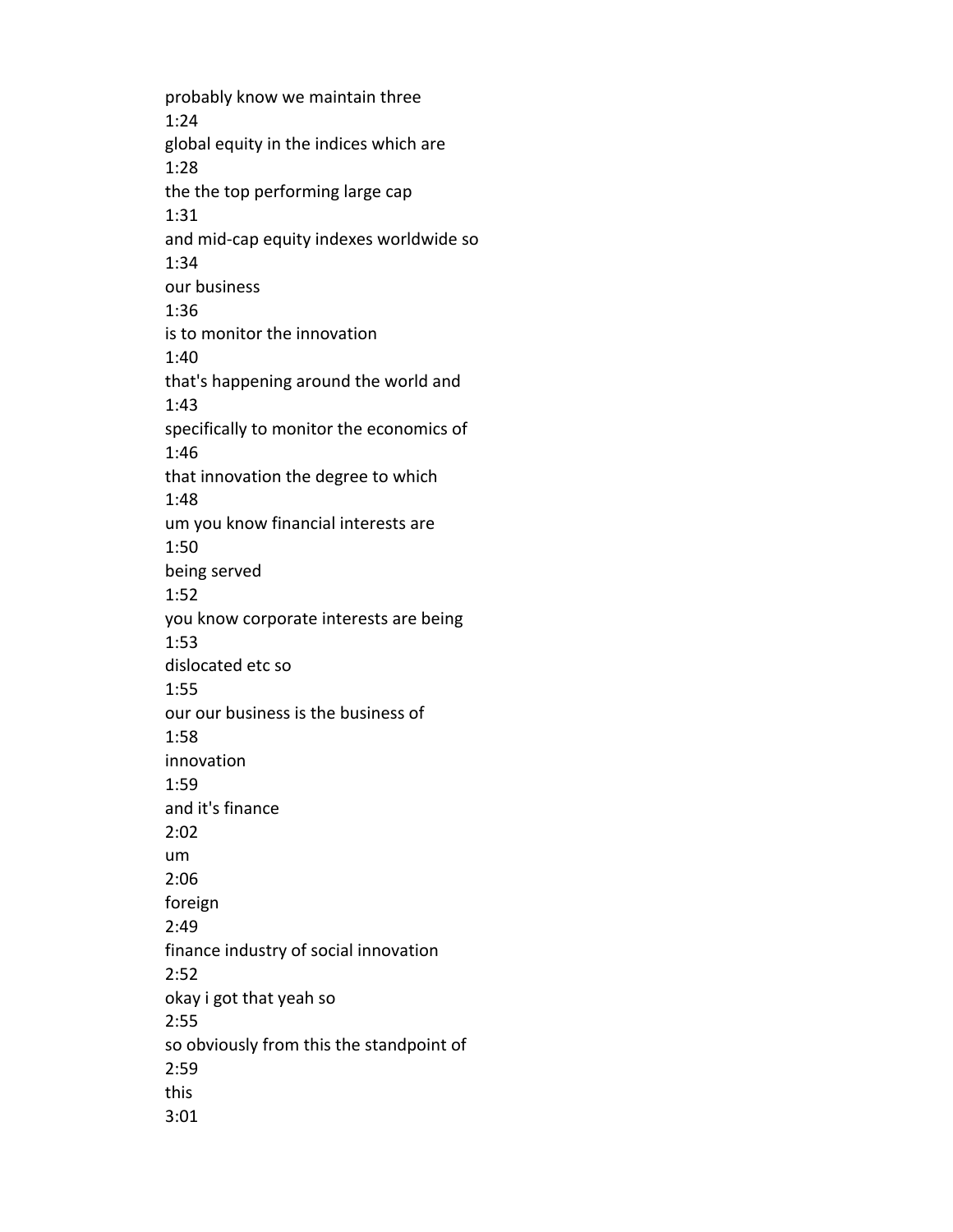probably know we maintain three 1:24 global equity in the indices which are 1:28 the the top performing large cap 1:31 and mid-cap equity indexes worldwide so 1:34 our business 1:36 is to monitor the innovation 1:40 that's happening around the world and 1:43 specifically to monitor the economics of 1:46 that innovation the degree to which 1:48 um you know financial interests are 1:50 being served 1:52 you know corporate interests are being 1:53 dislocated etc so 1:55 our our business is the business of 1:58 innovation 1:59 and it's finance 2:02 um 2:06 foreign 2:49 finance industry of social innovation 2:52 okay i got that yeah so 2:55 so obviously from this the standpoint of 2:59 this 3:01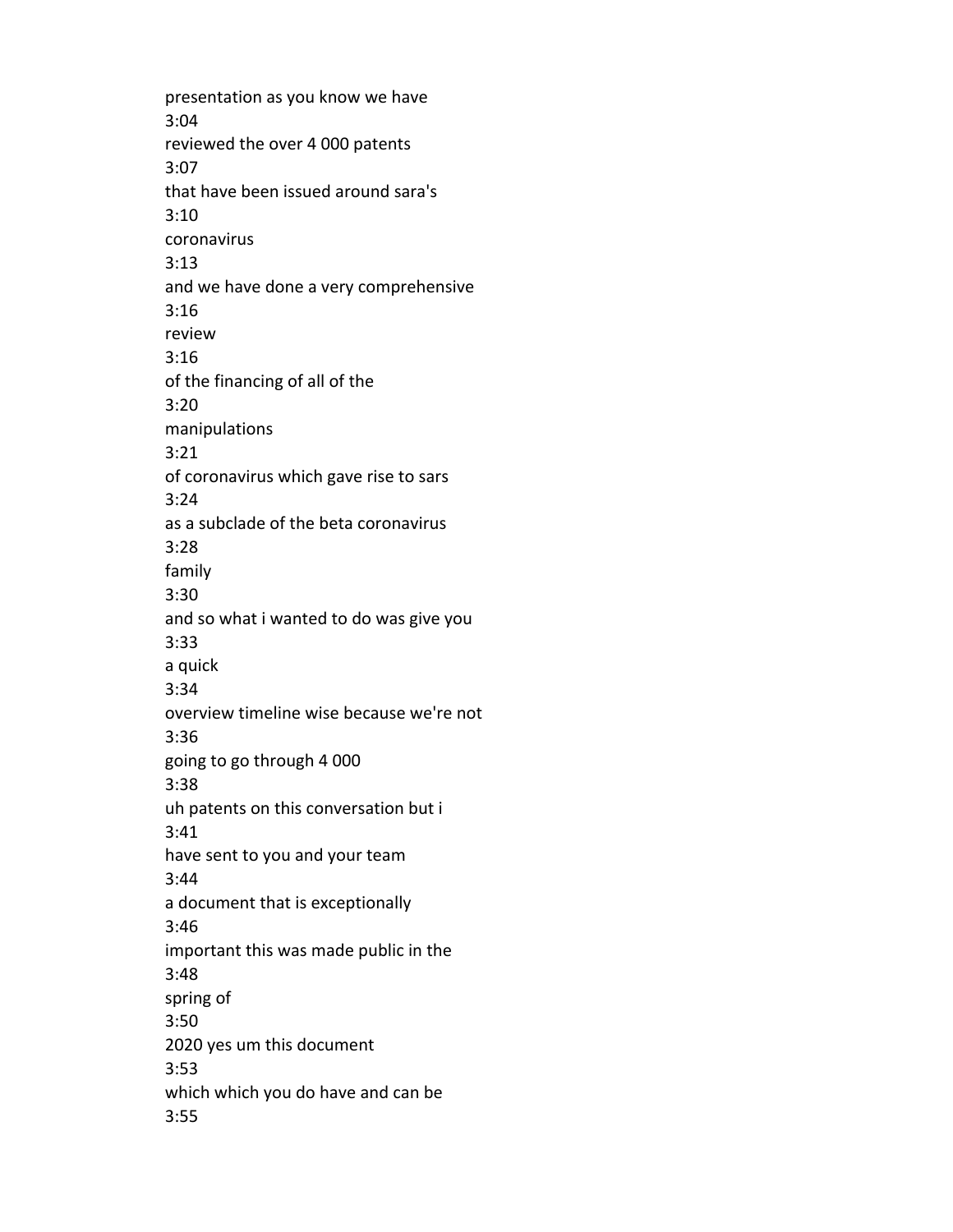presentation as you know we have 3:04 reviewed the over 4 000 patents 3:07 that have been issued around sara's 3:10 coronavirus 3:13 and we have done a very comprehensive 3:16 review 3:16 of the financing of all of the 3:20 manipulations 3:21 of coronavirus which gave rise to sars 3:24 as a subclade of the beta coronavirus 3:28 family 3:30 and so what i wanted to do was give you 3:33 a quick 3:34 overview timeline wise because we're not 3:36 going to go through 4 000 3:38 uh patents on this conversation but i 3:41 have sent to you and your team 3:44 a document that is exceptionally 3:46 important this was made public in the 3:48 spring of 3:50 2020 yes um this document 3:53 which which you do have and can be 3:55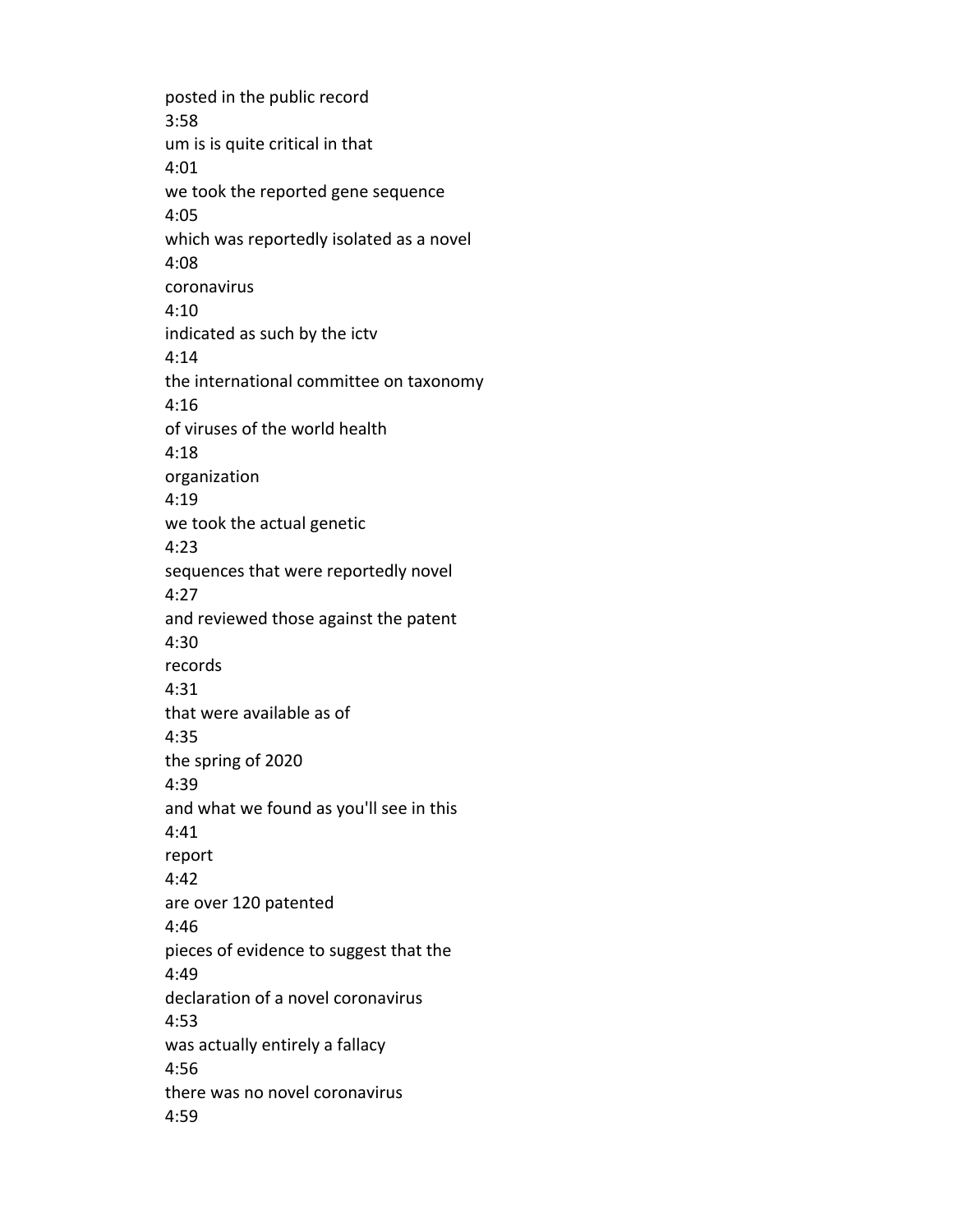posted in the public record 3:58 um is is quite critical in that 4:01 we took the reported gene sequence 4:05 which was reportedly isolated as a novel 4:08 coronavirus 4:10 indicated as such by the ictv 4:14 the international committee on taxonomy 4:16 of viruses of the world health 4:18 organization 4:19 we took the actual genetic 4:23 sequences that were reportedly novel 4:27 and reviewed those against the patent 4:30 records 4:31 that were available as of 4:35 the spring of 2020 4:39 and what we found as you'll see in this 4:41 report 4:42 are over 120 patented 4:46 pieces of evidence to suggest that the 4:49 declaration of a novel coronavirus 4:53 was actually entirely a fallacy 4:56 there was no novel coronavirus 4:59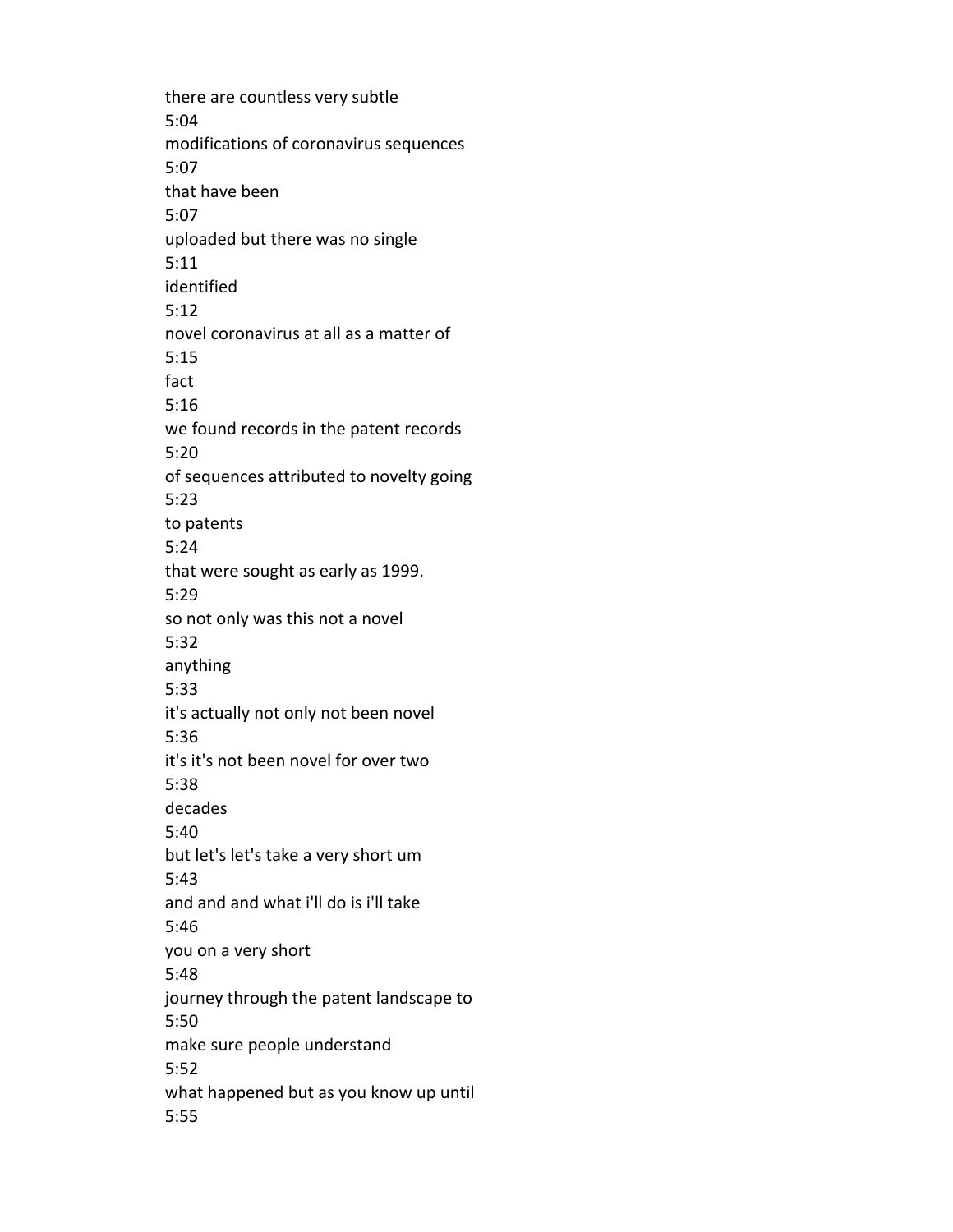there are countless very subtle 5:04 modifications of coronavirus sequences 5:07 that have been 5:07 uploaded but there was no single 5:11 identified 5:12 novel coronavirus at all as a matter of 5:15 fact 5:16 we found records in the patent records 5:20 of sequences attributed to novelty going 5:23 to patents 5:24 that were sought as early as 1999. 5:29 so not only was this not a novel 5:32 anything 5:33 it's actually not only not been novel 5:36 it's it's not been novel for over two 5:38 decades 5:40 but let's let's take a very short um 5:43 and and and what i'll do is i'll take 5:46 you on a very short 5:48 journey through the patent landscape to 5:50 make sure people understand 5:52 what happened but as you know up until 5:55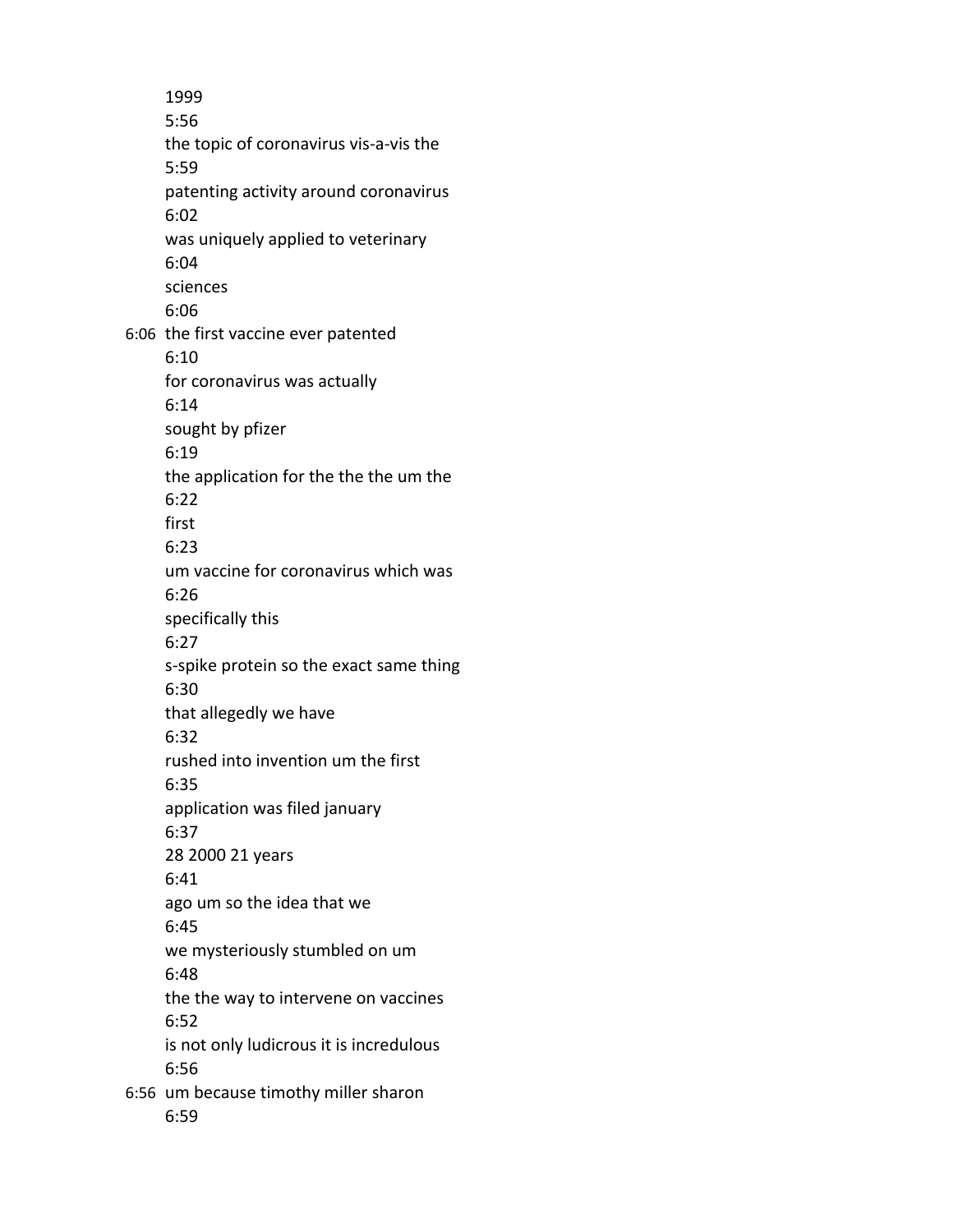1999 5:56 the topic of coronavirus vis-a-vis the 5:59 patenting activity around coronavirus 6:02 was uniquely applied to veterinary 6:04 sciences 6:06 6:06 the first vaccine ever patented 6:10 for coronavirus was actually 6:14 sought by pfizer 6:19 the application for the the the um the 6:22 first 6:23 um vaccine for coronavirus which was 6:26 specifically this 6:27 s-spike protein so the exact same thing 6:30 that allegedly we have 6:32 rushed into invention um the first 6:35 application was filed january 6:37 28 2000 21 years 6:41 ago um so the idea that we 6:45 we mysteriously stumbled on um 6:48 the the way to intervene on vaccines 6:52 is not only ludicrous it is incredulous 6:56 6:56 um because timothy miller sharon 6:59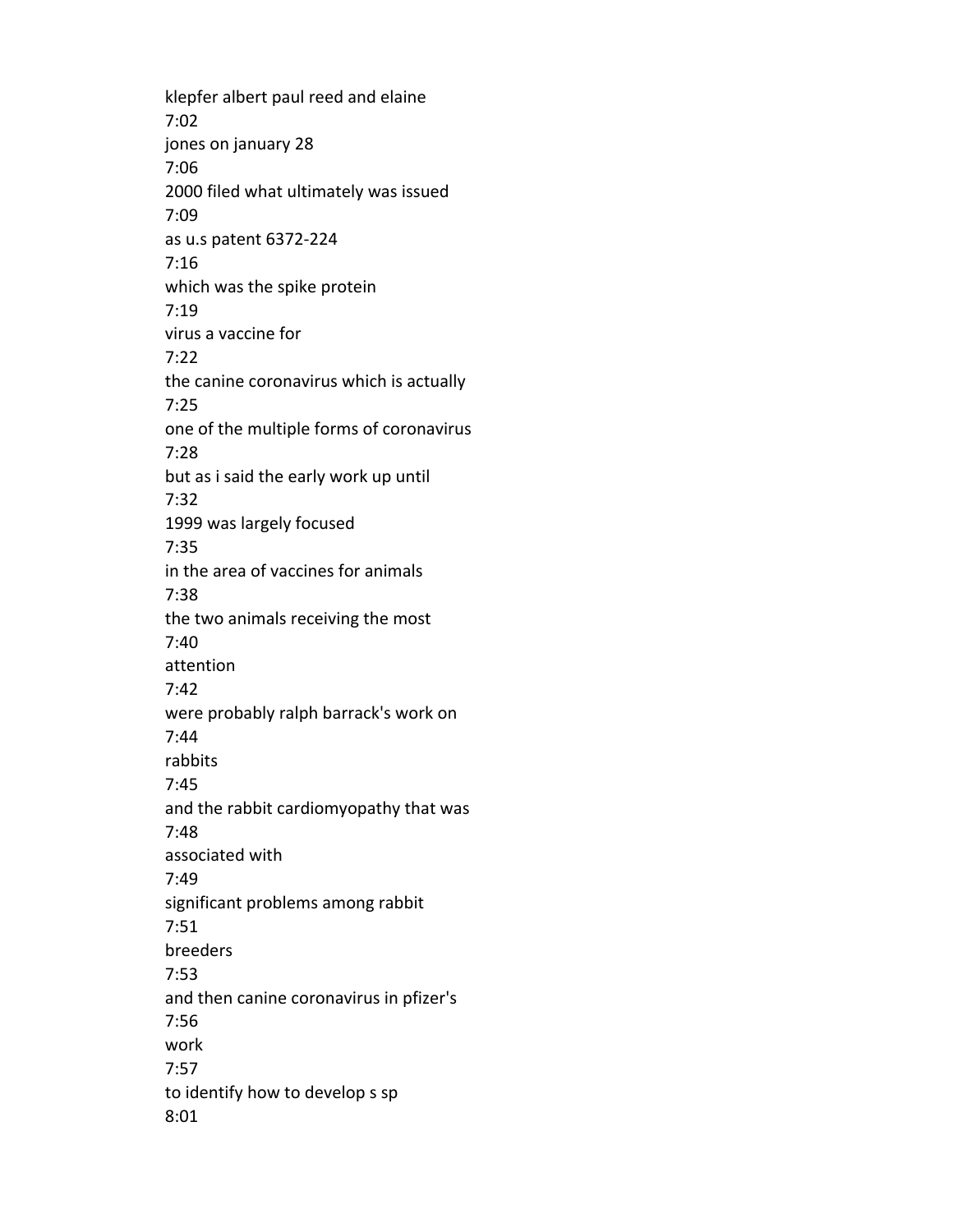klepfer albert paul reed and elaine 7:02 jones on january 28 7:06 2000 filed what ultimately was issued 7:09 as u.s patent 6372-224 7:16 which was the spike protein 7:19 virus a vaccine for 7:22 the canine coronavirus which is actually 7:25 one of the multiple forms of coronavirus 7:28 but as i said the early work up until 7:32 1999 was largely focused 7:35 in the area of vaccines for animals 7:38 the two animals receiving the most 7:40 attention 7:42 were probably ralph barrack's work on 7:44 rabbits 7:45 and the rabbit cardiomyopathy that was 7:48 associated with 7:49 significant problems among rabbit 7:51 breeders 7:53 and then canine coronavirus in pfizer's 7:56 work 7:57 to identify how to develop s sp 8:01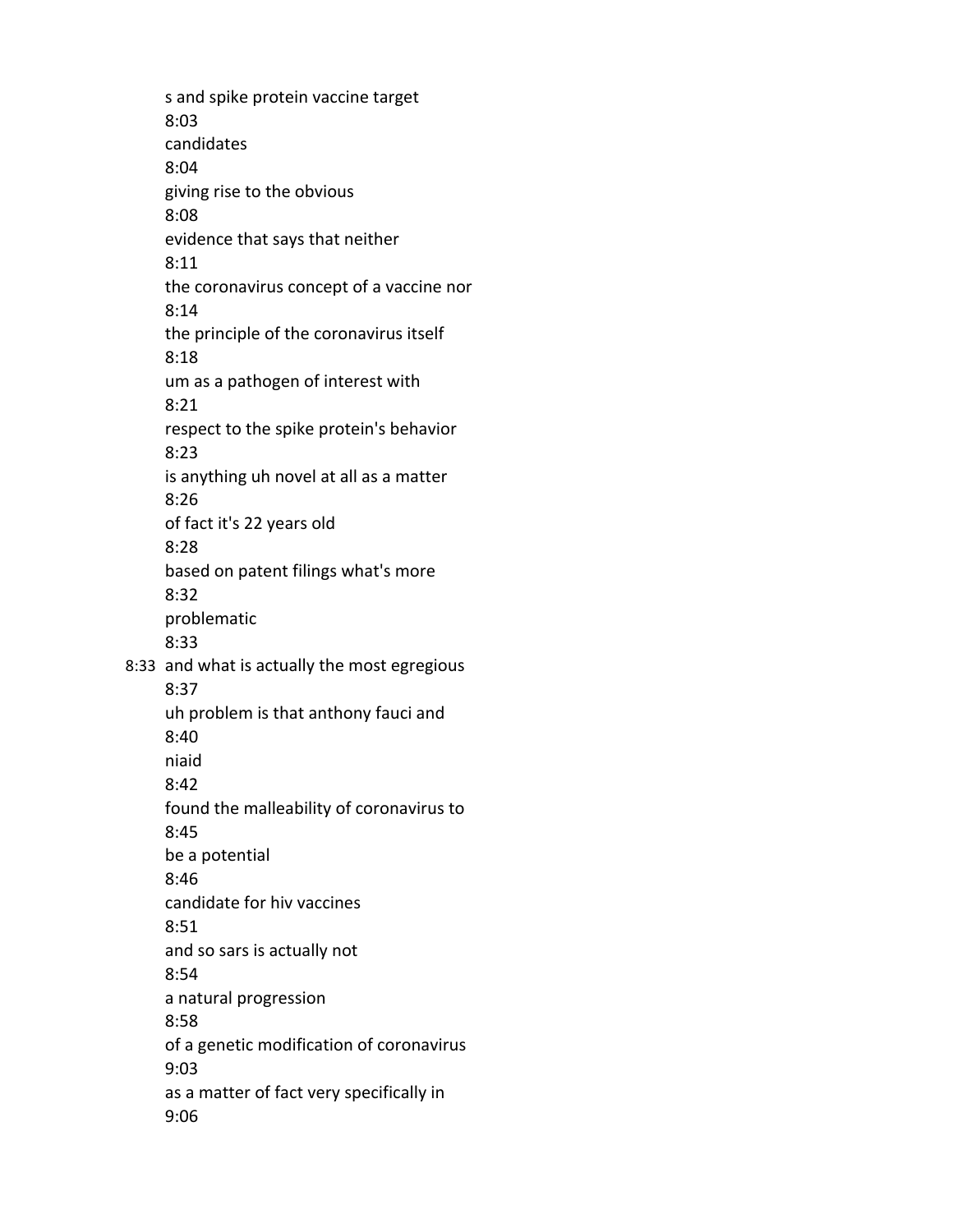s and spike protein vaccine target 8:03 candidates 8:04 giving rise to the obvious 8:08 evidence that says that neither 8:11 the coronavirus concept of a vaccine nor 8:14 the principle of the coronavirus itself 8:18 um as a pathogen of interest with 8:21 respect to the spike protein's behavior 8:23 is anything uh novel at all as a matter 8:26 of fact it's 22 years old 8:28 based on patent filings what's more 8:32 problematic 8:33 8:33 and what is actually the most egregious 8:37 uh problem is that anthony fauci and 8:40 niaid 8:42 found the malleability of coronavirus to 8:45 be a potential 8:46 candidate for hiv vaccines 8:51 and so sars is actually not 8:54 a natural progression 8:58 of a genetic modification of coronavirus 9:03 as a matter of fact very specifically in 9:06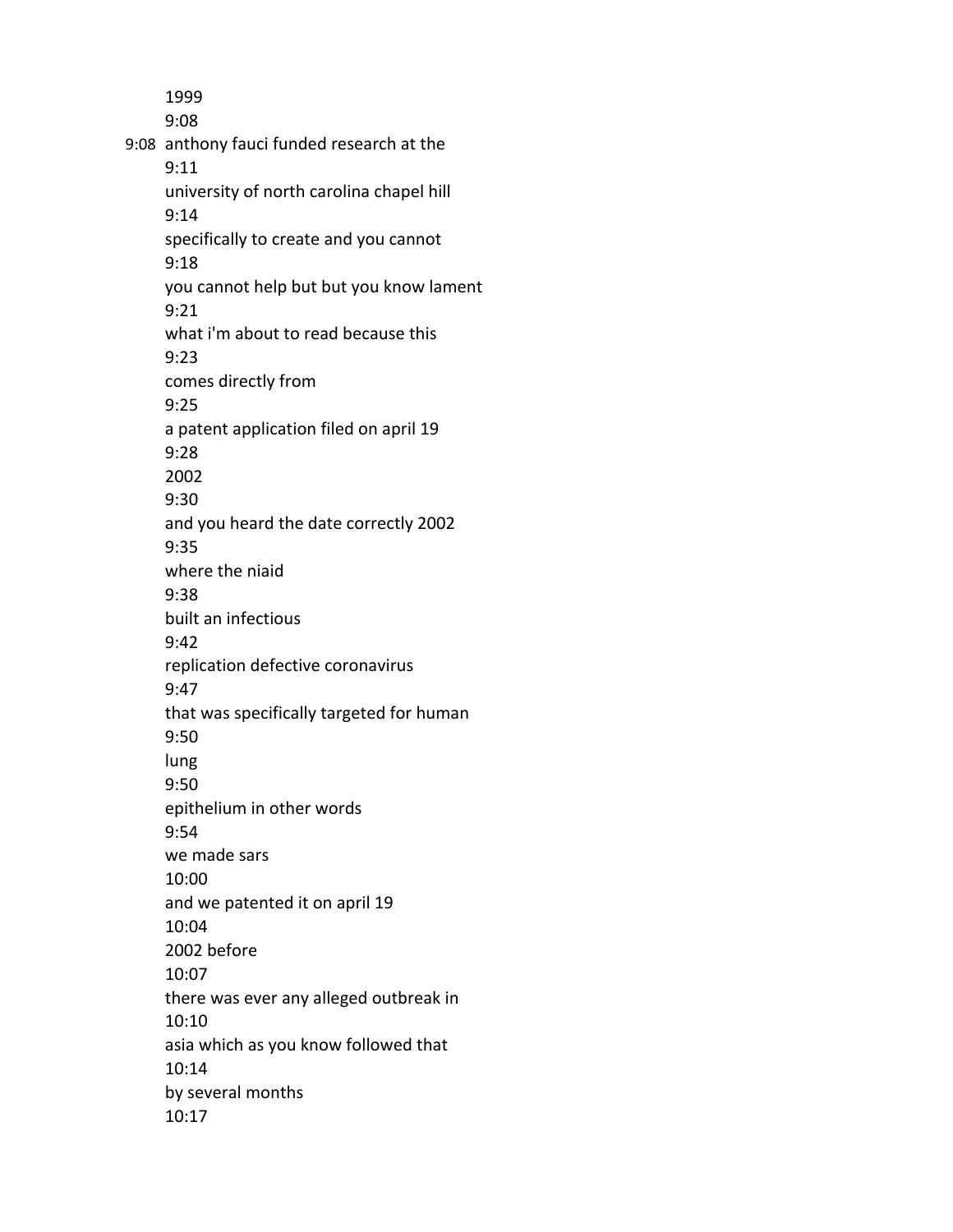1999 9:08 9:08 anthony fauci funded research at the 9:11 university of north carolina chapel hill 9:14 specifically to create and you cannot 9:18 you cannot help but but you know lament 9:21 what i'm about to read because this 9:23 comes directly from 9:25 a patent application filed on april 19 9:28 2002 9:30 and you heard the date correctly 2002 9:35 where the niaid 9:38 built an infectious 9:42 replication defective coronavirus 9:47 that was specifically targeted for human 9:50 lung 9:50 epithelium in other words 9:54 we made sars 10:00 and we patented it on april 19 10:04 2002 before 10:07 there was ever any alleged outbreak in 10:10 asia which as you know followed that 10:14 by several months 10:17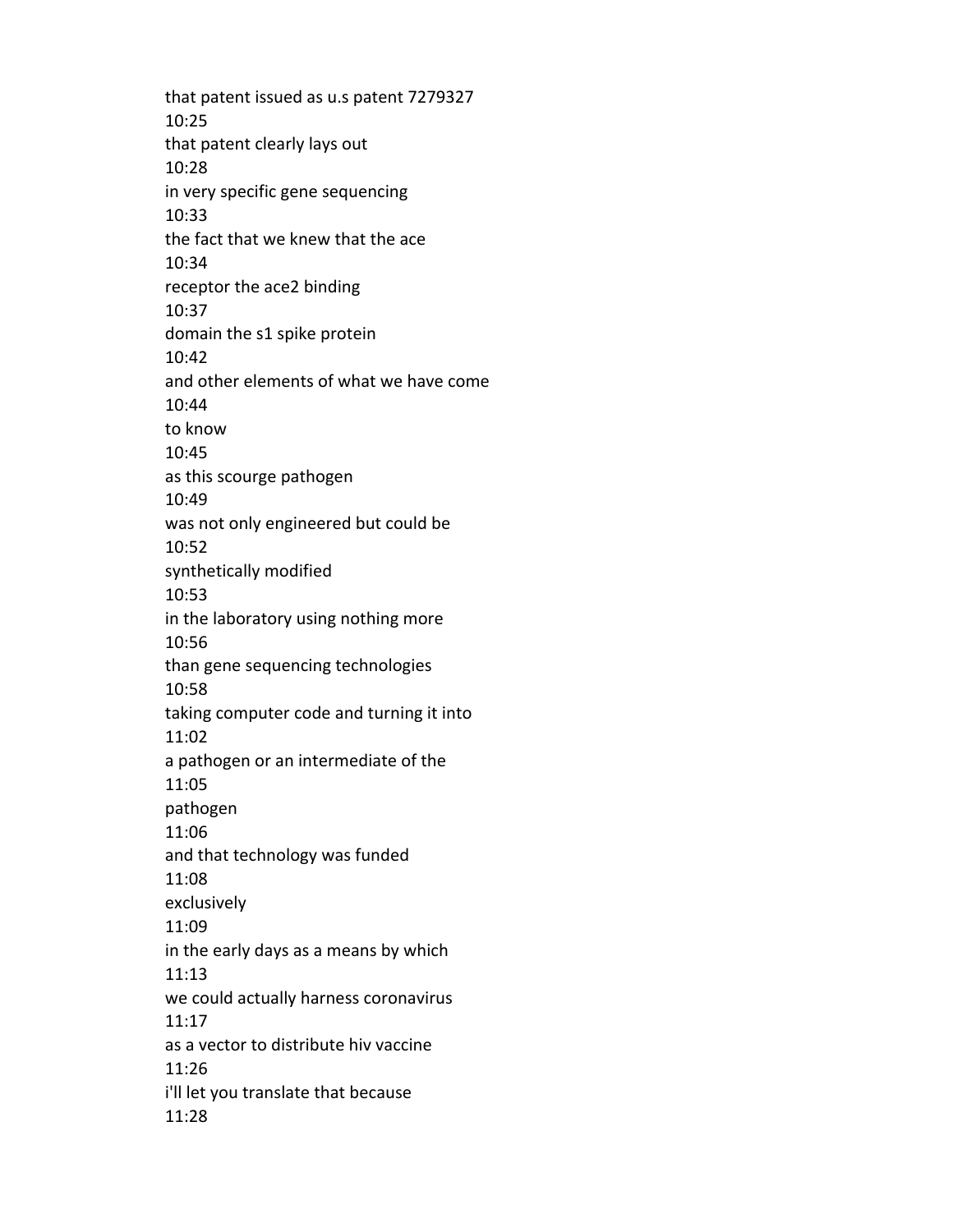that patent issued as u.s patent 7279327 10:25 that patent clearly lays out 10:28 in very specific gene sequencing 10:33 the fact that we knew that the ace 10:34 receptor the ace2 binding 10:37 domain the s1 spike protein 10:42 and other elements of what we have come 10:44 to know 10:45 as this scourge pathogen 10:49 was not only engineered but could be 10:52 synthetically modified 10:53 in the laboratory using nothing more 10:56 than gene sequencing technologies 10:58 taking computer code and turning it into 11:02 a pathogen or an intermediate of the 11:05 pathogen 11:06 and that technology was funded 11:08 exclusively 11:09 in the early days as a means by which 11:13 we could actually harness coronavirus 11:17 as a vector to distribute hiv vaccine 11:26 i'll let you translate that because 11:28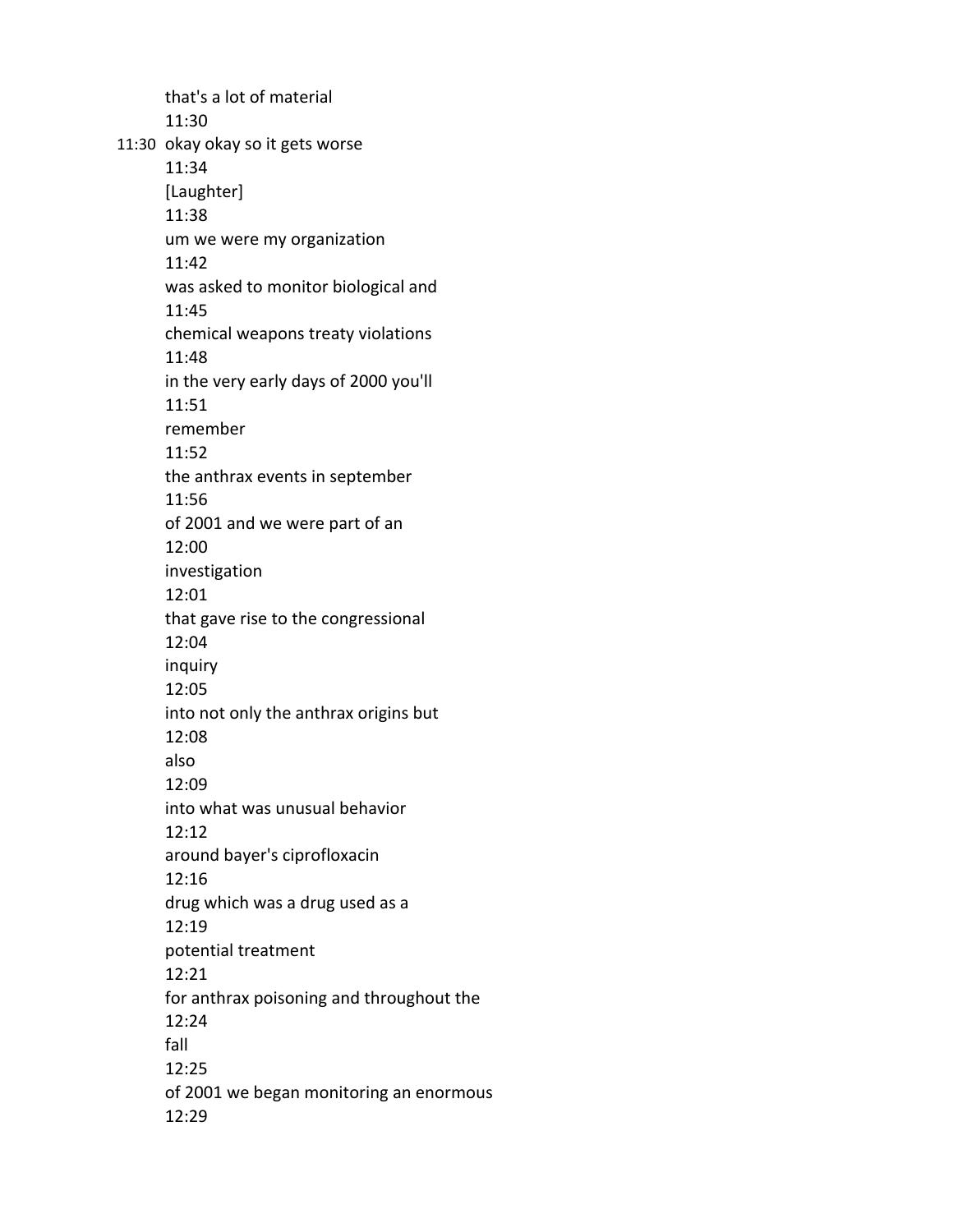that's a lot of material 11:30 11:30 okay okay so it gets worse 11:34 [Laughter] 11:38 um we were my organization 11:42 was asked to monitor biological and 11:45 chemical weapons treaty violations 11:48 in the very early days of 2000 you'll 11:51 remember 11:52 the anthrax events in september 11:56 of 2001 and we were part of an 12:00 investigation 12:01 that gave rise to the congressional 12:04 inquiry 12:05 into not only the anthrax origins but 12:08 also 12:09 into what was unusual behavior 12:12 around bayer's ciprofloxacin 12:16 drug which was a drug used as a 12:19 potential treatment 12:21 for anthrax poisoning and throughout the 12:24 fall 12:25 of 2001 we began monitoring an enormous 12:29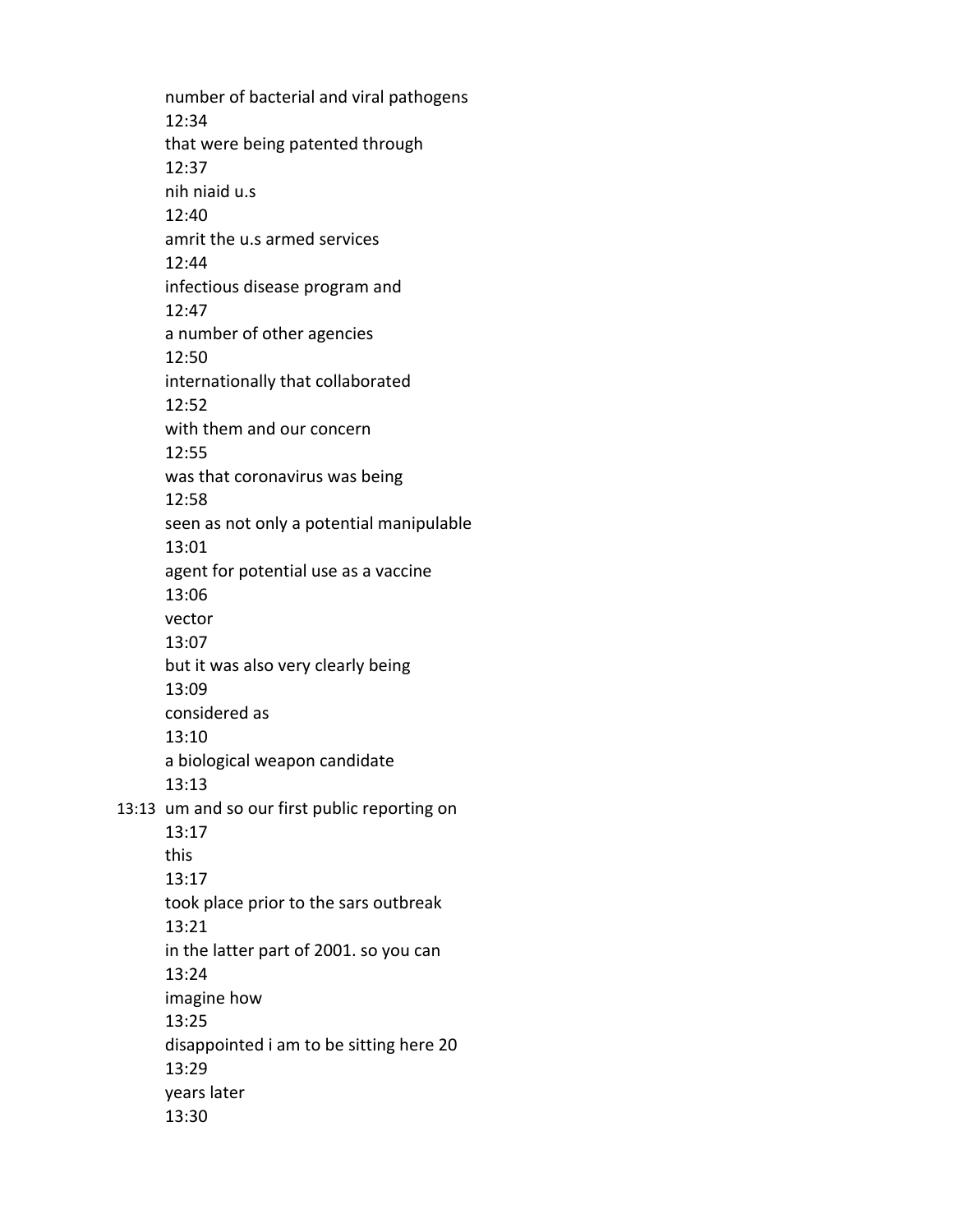number of bacterial and viral pathogens 12:34 that were being patented through 12:37 nih niaid u.s 12:40 amrit the u.s armed services 12:44 infectious disease program and 12:47 a number of other agencies 12:50 internationally that collaborated 12:52 with them and our concern 12:55 was that coronavirus was being 12:58 seen as not only a potential manipulable 13:01 agent for potential use as a vaccine 13:06 vector 13:07 but it was also very clearly being 13:09 considered as 13:10 a biological weapon candidate 13:13 13:13 um and so our first public reporting on 13:17 this 13:17 took place prior to the sars outbreak 13:21 in the latter part of 2001. so you can 13:24 imagine how 13:25 disappointed i am to be sitting here 20 13:29 years later 13:30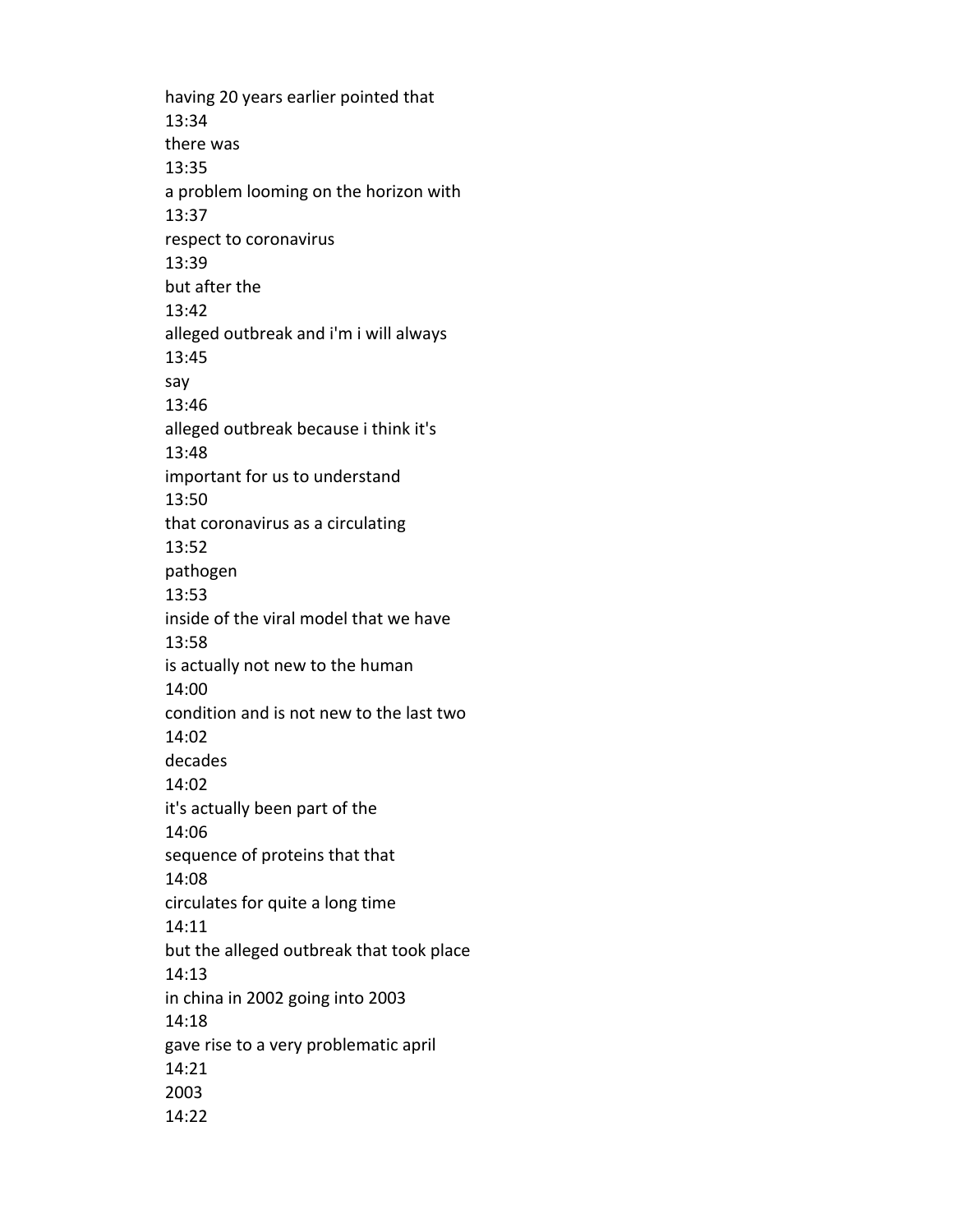having 20 years earlier pointed that 13:34 there was 13:35 a problem looming on the horizon with 13:37 respect to coronavirus 13:39 but after the 13:42 alleged outbreak and i'm i will always 13:45 say 13:46 alleged outbreak because i think it's 13:48 important for us to understand 13:50 that coronavirus as a circulating 13:52 pathogen 13:53 inside of the viral model that we have 13:58 is actually not new to the human 14:00 condition and is not new to the last two 14:02 decades 14:02 it's actually been part of the 14:06 sequence of proteins that that 14:08 circulates for quite a long time 14:11 but the alleged outbreak that took place 14:13 in china in 2002 going into 2003 14:18 gave rise to a very problematic april 14:21 2003 14:22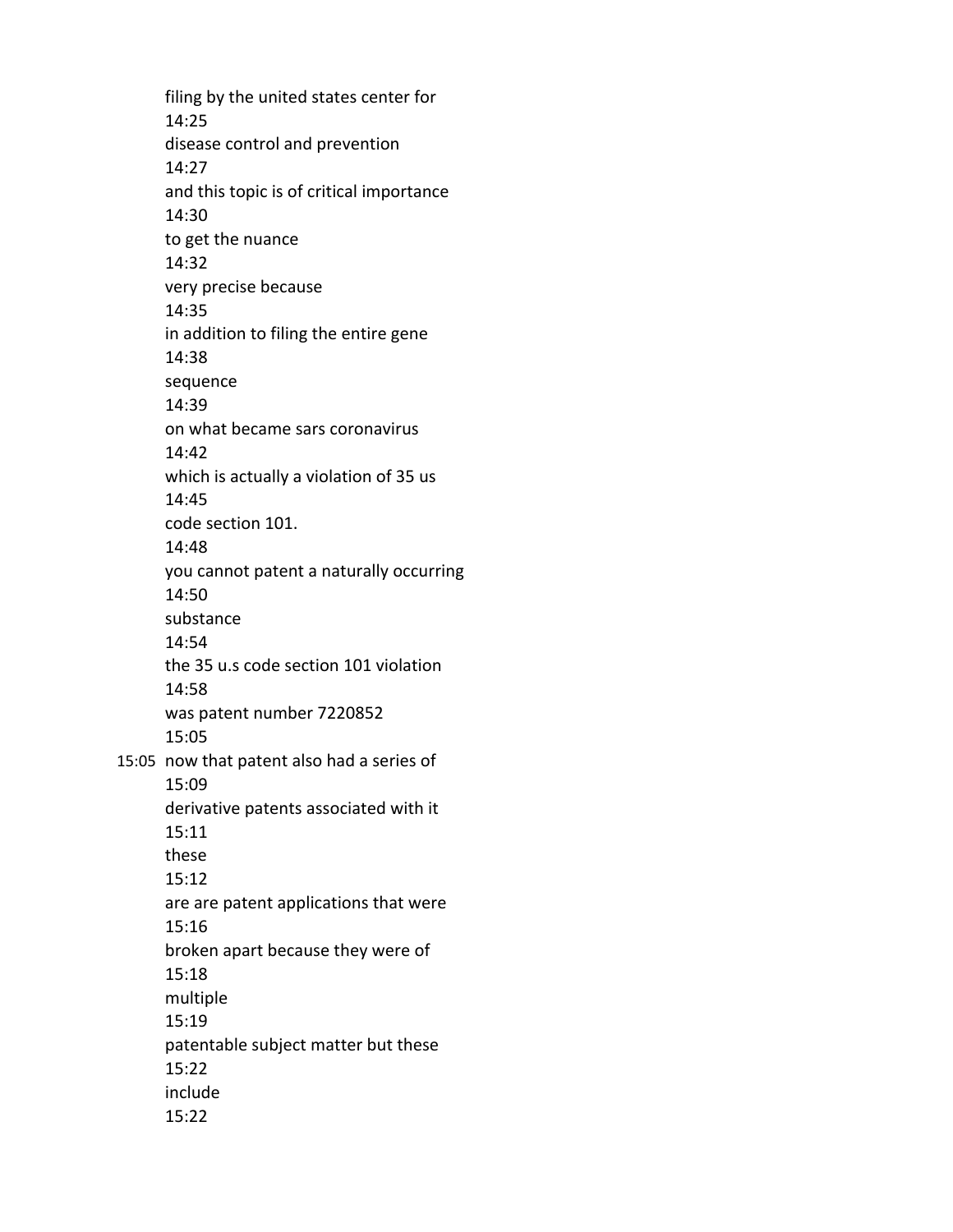filing by the united states center for 14:25 disease control and prevention 14:27 and this topic is of critical importance 14:30 to get the nuance 14:32 very precise because 14:35 in addition to filing the entire gene 14:38 sequence 14:39 on what became sars coronavirus 14:42 which is actually a violation of 35 us 14:45 code section 101. 14:48 you cannot patent a naturally occurring 14:50 substance 14:54 the 35 u.s code section 101 violation 14:58 was patent number 7220852 15:05 15:05 now that patent also had a series of 15:09 derivative patents associated with it 15:11 these 15:12 are are patent applications that were 15:16 broken apart because they were of 15:18 multiple 15:19 patentable subject matter but these 15:22 include 15:22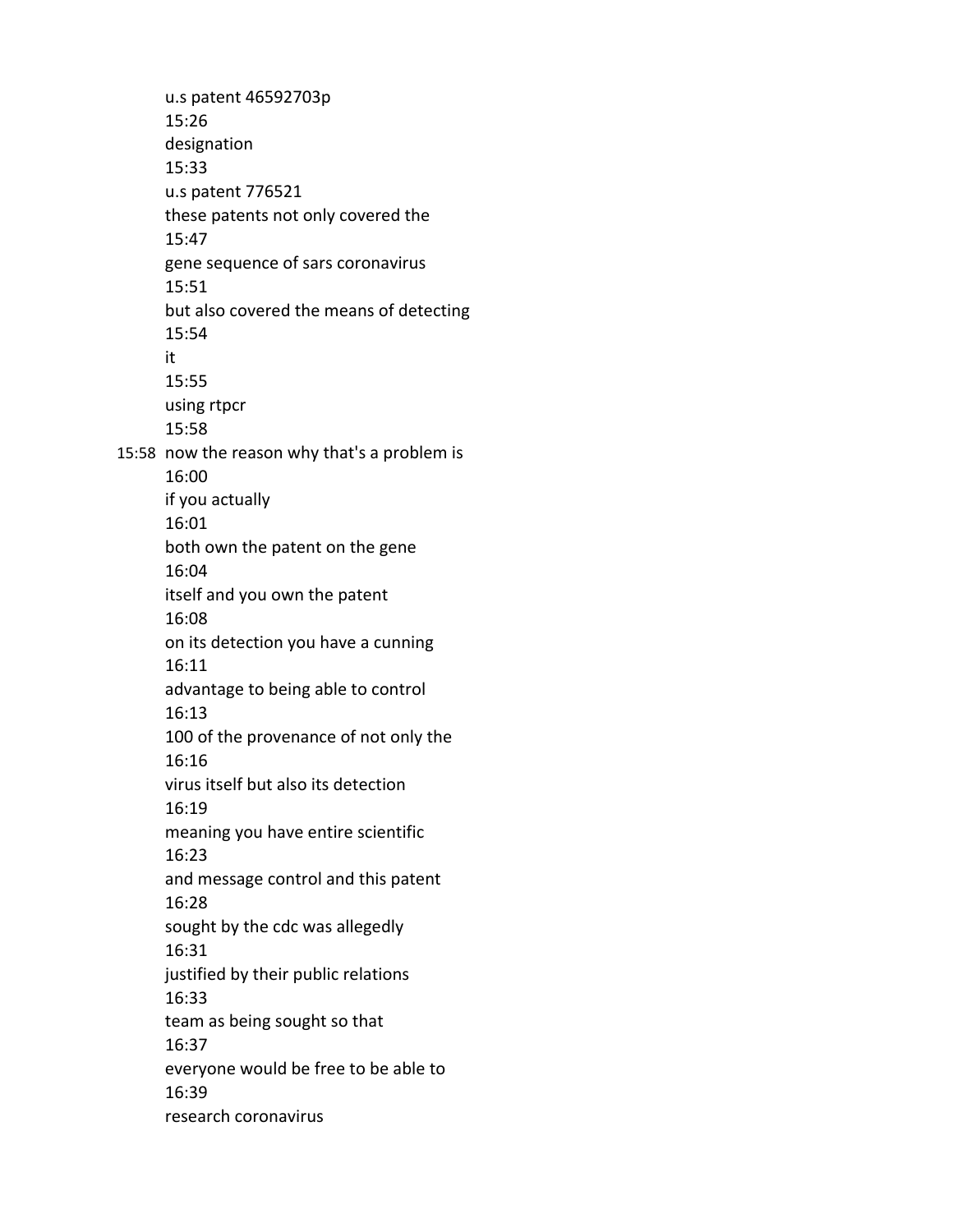u.s patent 46592703p 15:26 designation 15:33 u.s patent 776521 these patents not only covered the 15:47 gene sequence of sars coronavirus 15:51 but also covered the means of detecting 15:54 it 15:55 using rtpcr 15:58 15:58 now the reason why that's a problem is 16:00 if you actually 16:01 both own the patent on the gene 16:04 itself and you own the patent 16:08 on its detection you have a cunning 16:11 advantage to being able to control 16:13 100 of the provenance of not only the 16:16 virus itself but also its detection 16:19 meaning you have entire scientific 16:23 and message control and this patent 16:28 sought by the cdc was allegedly 16:31 justified by their public relations 16:33 team as being sought so that 16:37 everyone would be free to be able to 16:39 research coronavirus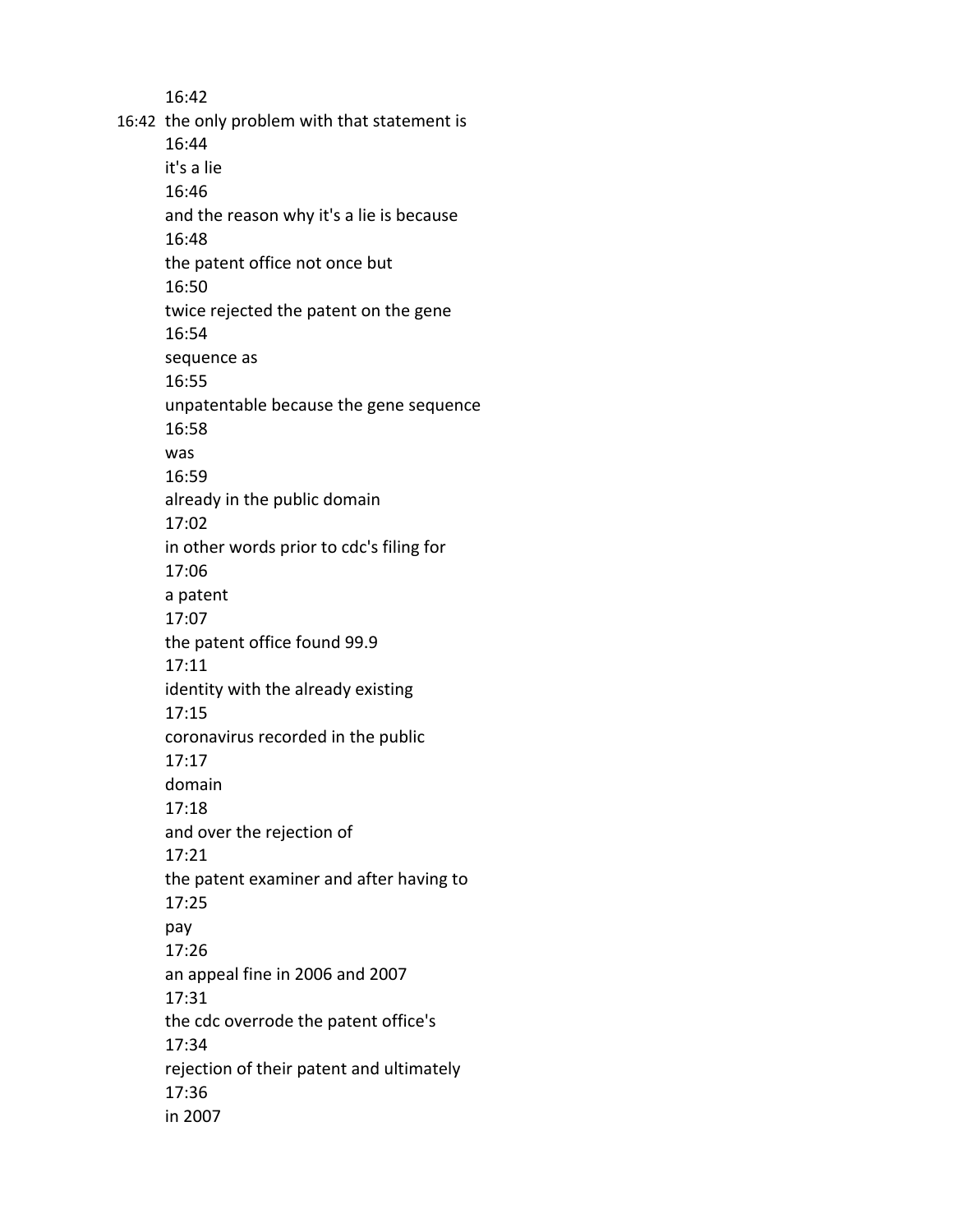16:42 16:42 the only problem with that statement is 16:44 it's a lie 16:46 and the reason why it's a lie is because 16:48 the patent office not once but 16:50 twice rejected the patent on the gene 16:54 sequence as 16:55 unpatentable because the gene sequence 16:58 was 16:59 already in the public domain 17:02 in other words prior to cdc's filing for 17:06 a patent 17:07 the patent office found 99.9 17:11 identity with the already existing 17:15 coronavirus recorded in the public 17:17 domain 17:18 and over the rejection of 17:21 the patent examiner and after having to 17:25 pay 17:26 an appeal fine in 2006 and 2007 17:31 the cdc overrode the patent office's 17:34 rejection of their patent and ultimately 17:36 in 2007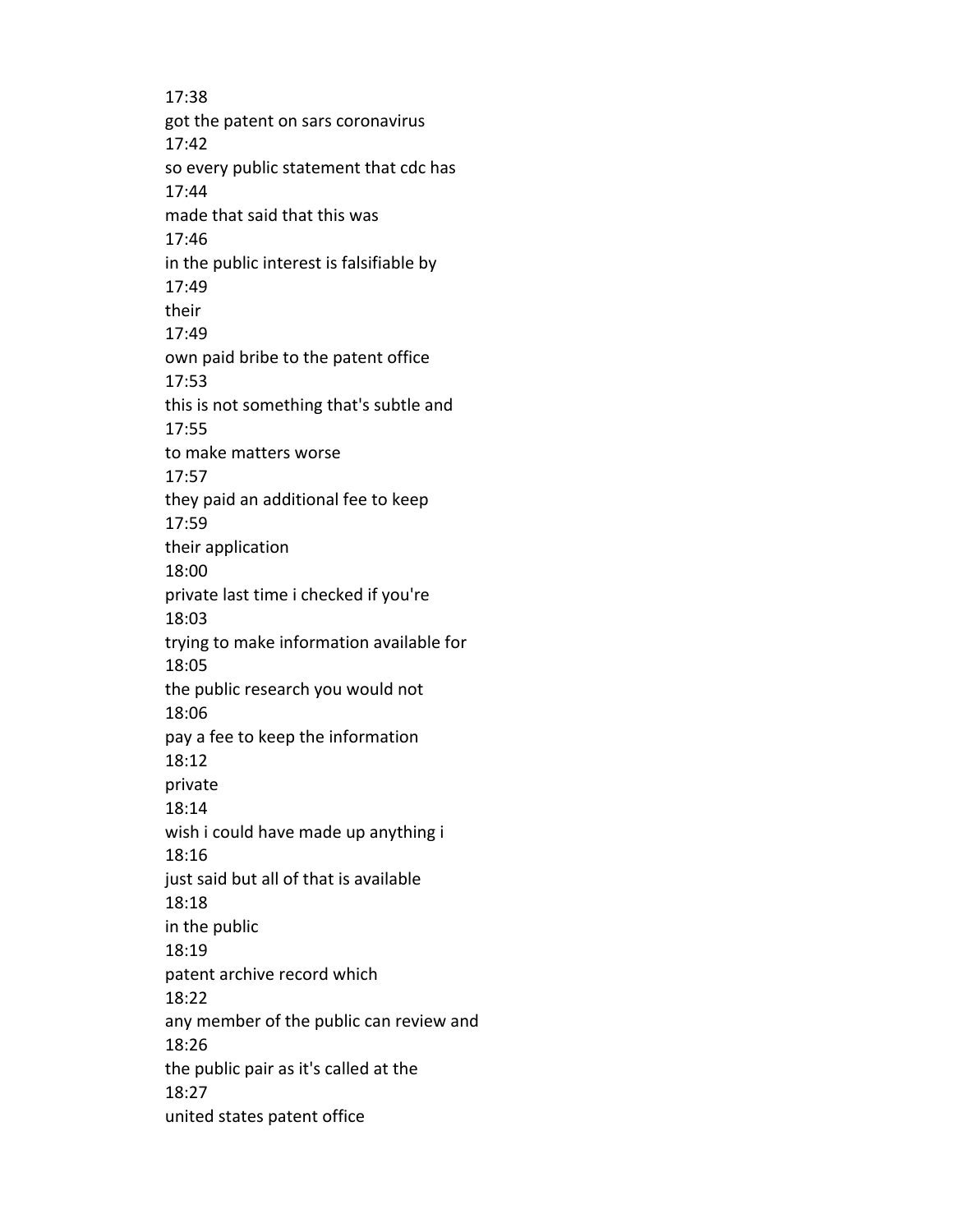17:38 got the patent on sars coronavirus 17:42 so every public statement that cdc has 17:44 made that said that this was 17:46 in the public interest is falsifiable by 17:49 their 17:49 own paid bribe to the patent office 17:53 this is not something that's subtle and 17:55 to make matters worse 17:57 they paid an additional fee to keep 17:59 their application 18:00 private last time i checked if you're 18:03 trying to make information available for 18:05 the public research you would not 18:06 pay a fee to keep the information 18:12 private 18:14 wish i could have made up anything i 18:16 just said but all of that is available 18:18 in the public 18:19 patent archive record which 18:22 any member of the public can review and 18:26 the public pair as it's called at the 18:27 united states patent office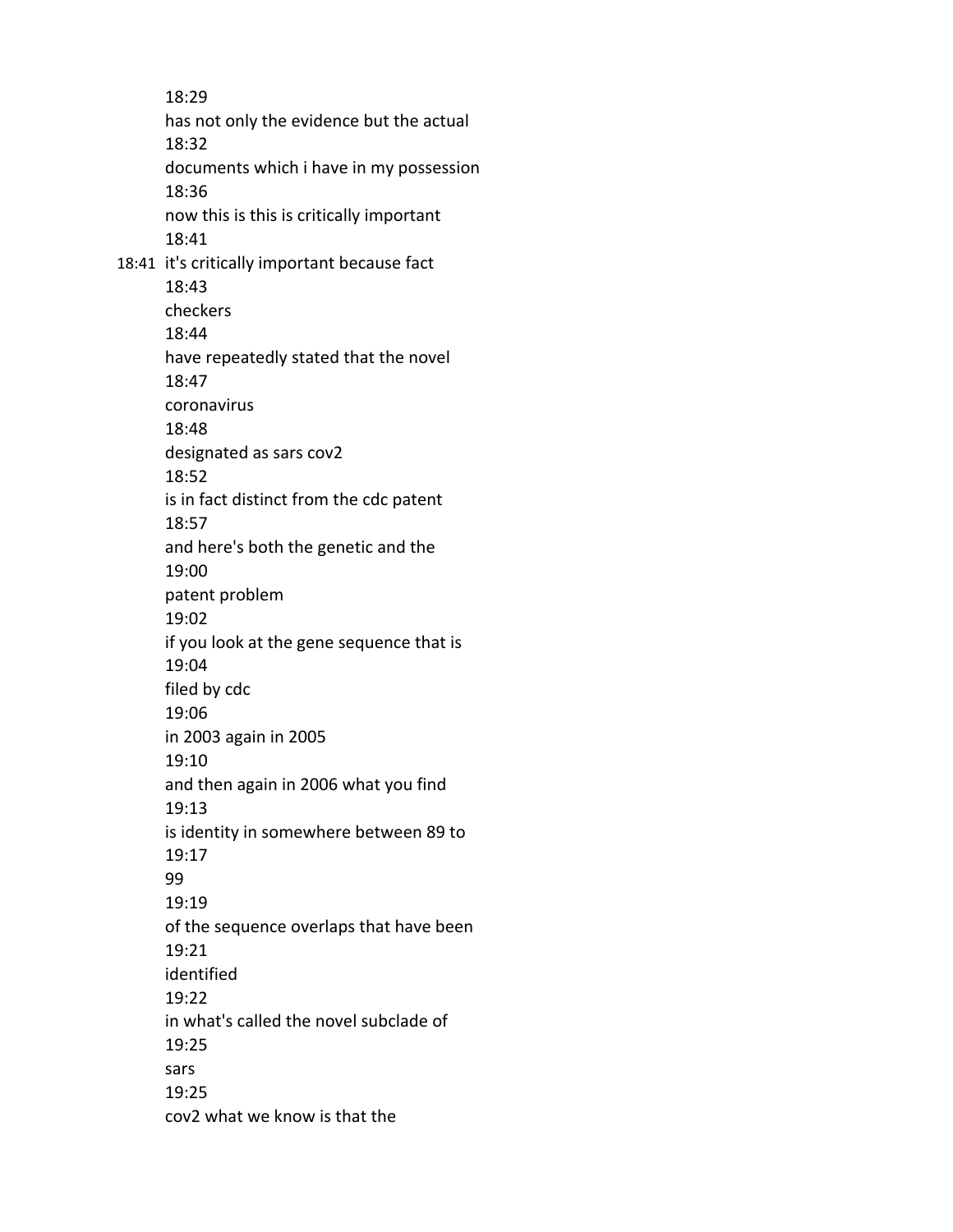18:29 has not only the evidence but the actual 18:32 documents which i have in my possession 18:36 now this is this is critically important 18:41 18:41 it's critically important because fact 18:43 checkers 18:44 have repeatedly stated that the novel 18:47 coronavirus 18:48 designated as sars cov2 18:52 is in fact distinct from the cdc patent 18:57 and here's both the genetic and the 19:00 patent problem 19:02 if you look at the gene sequence that is 19:04 filed by cdc 19:06 in 2003 again in 2005 19:10 and then again in 2006 what you find 19:13 is identity in somewhere between 89 to 19:17 99 19:19 of the sequence overlaps that have been 19:21 identified 19:22 in what's called the novel subclade of 19:25 sars 19:25 cov2 what we know is that the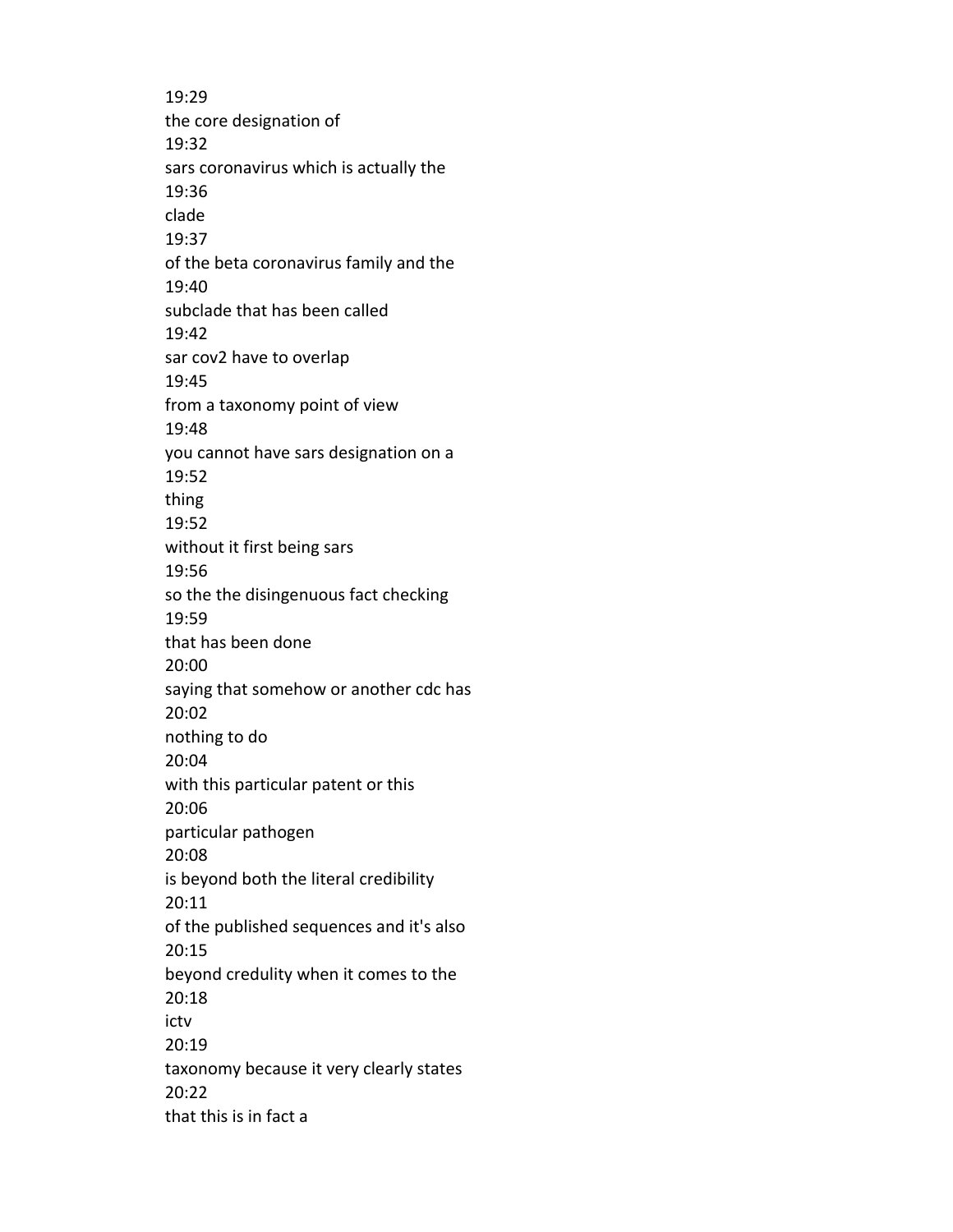19:29 the core designation of 19:32 sars coronavirus which is actually the 19:36 clade 19:37 of the beta coronavirus family and the 19:40 subclade that has been called 19:42 sar cov2 have to overlap 19:45 from a taxonomy point of view 19:48 you cannot have sars designation on a 19:52 thing 19:52 without it first being sars 19:56 so the the disingenuous fact checking 19:59 that has been done 20:00 saying that somehow or another cdc has 20:02 nothing to do 20:04 with this particular patent or this 20:06 particular pathogen 20:08 is beyond both the literal credibility 20:11 of the published sequences and it's also 20:15 beyond credulity when it comes to the 20:18 ictv 20:19 taxonomy because it very clearly states 20:22 that this is in fact a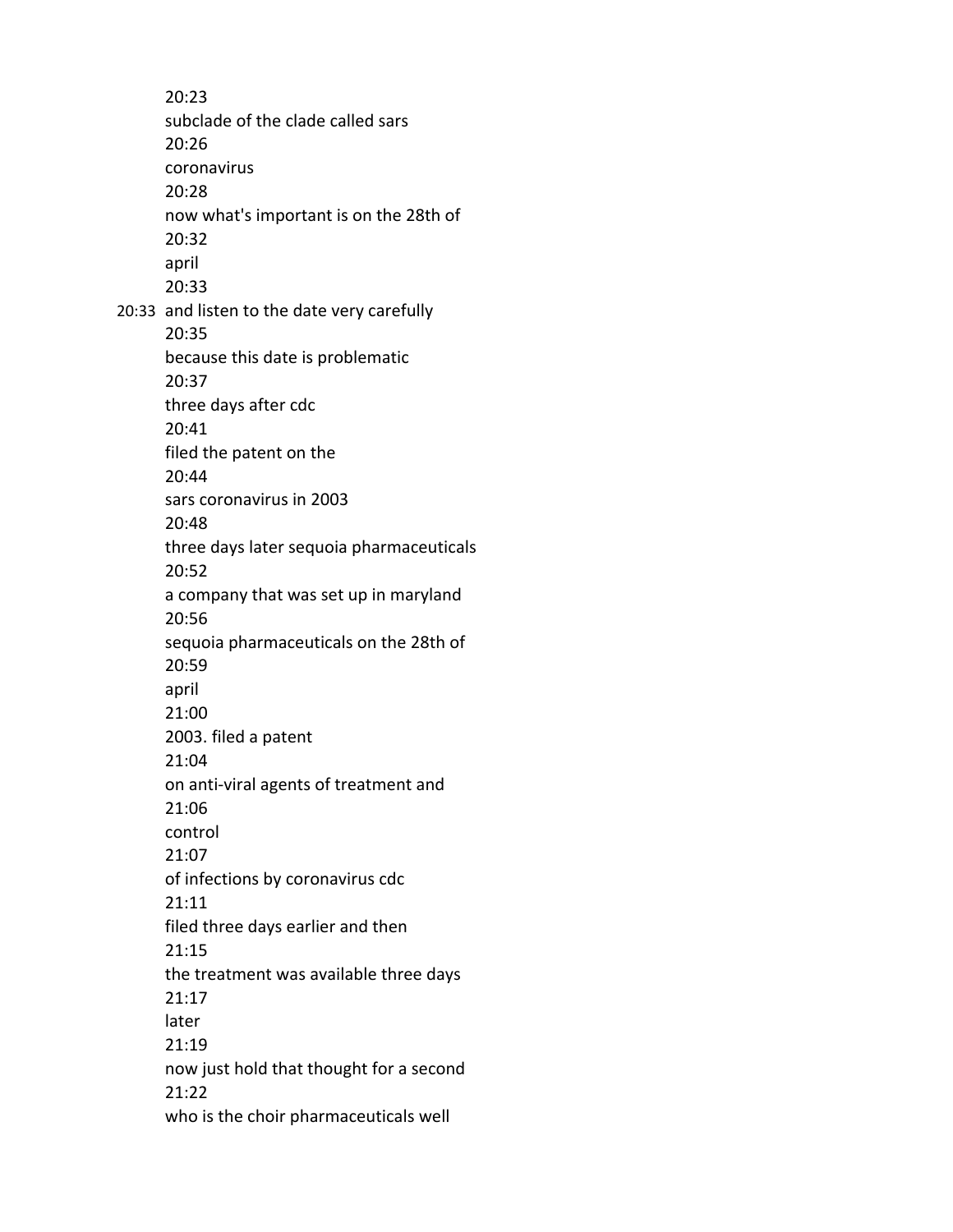20:23 subclade of the clade called sars 20:26 coronavirus 20:28 now what's important is on the 28th of 20:32 april 20:33 20:33 and listen to the date very carefully 20:35 because this date is problematic 20:37 three days after cdc 20:41 filed the patent on the 20:44 sars coronavirus in 2003 20:48 three days later sequoia pharmaceuticals 20:52 a company that was set up in maryland 20:56 sequoia pharmaceuticals on the 28th of 20:59 april 21:00 2003. filed a patent 21:04 on anti-viral agents of treatment and 21:06 control 21:07 of infections by coronavirus cdc 21:11 filed three days earlier and then 21:15 the treatment was available three days 21:17 later 21:19 now just hold that thought for a second 21:22 who is the choir pharmaceuticals well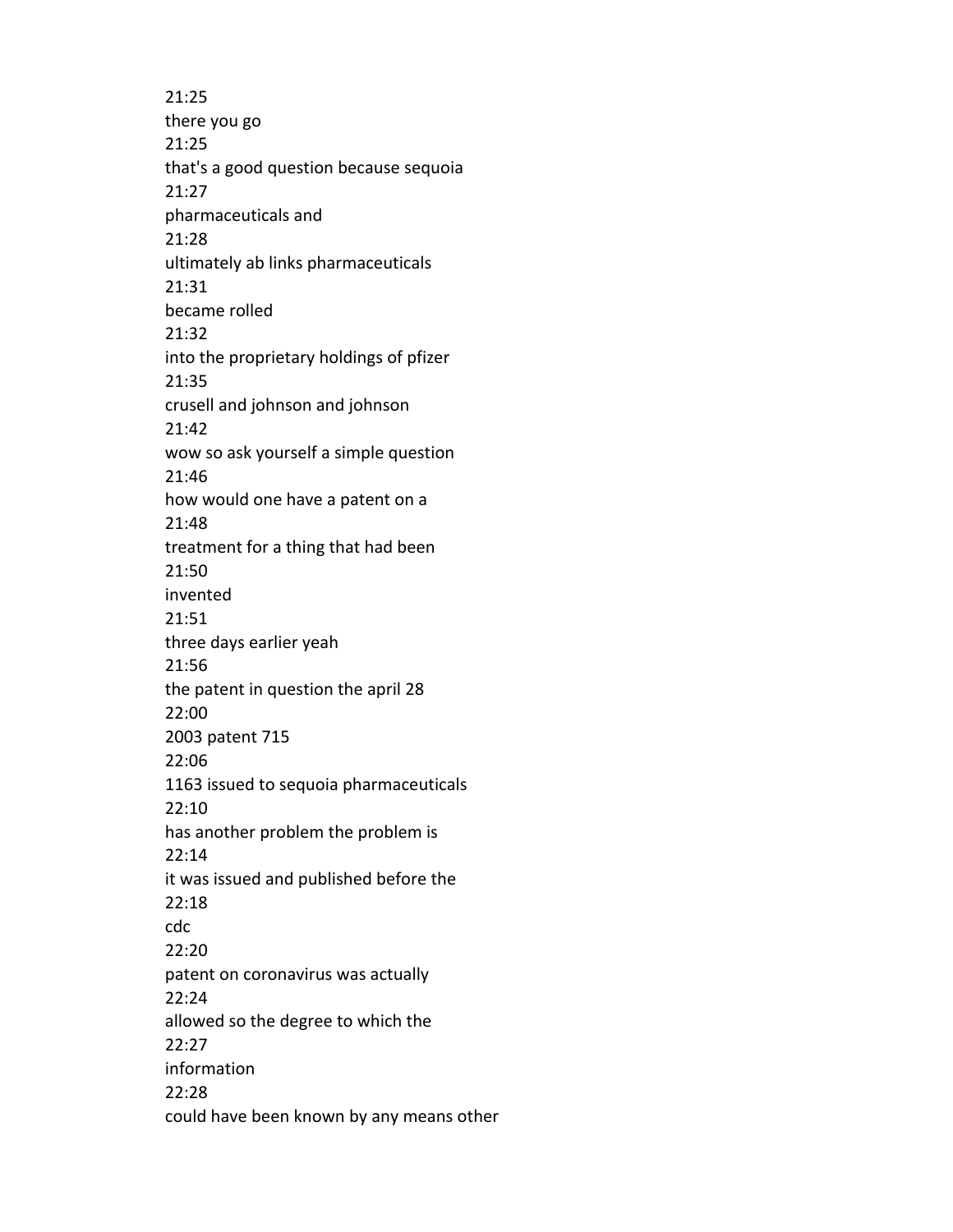21:25 there you go 21:25 that's a good question because sequoia 21:27 pharmaceuticals and 21:28 ultimately ab links pharmaceuticals 21:31 became rolled 21:32 into the proprietary holdings of pfizer 21:35 crusell and johnson and johnson 21:42 wow so ask yourself a simple question 21:46 how would one have a patent on a 21:48 treatment for a thing that had been 21:50 invented 21:51 three days earlier yeah 21:56 the patent in question the april 28 22:00 2003 patent 715 22:06 1163 issued to sequoia pharmaceuticals 22:10 has another problem the problem is 22:14 it was issued and published before the 22:18 cdc 22:20 patent on coronavirus was actually 22:24 allowed so the degree to which the 22:27 information 22:28 could have been known by any means other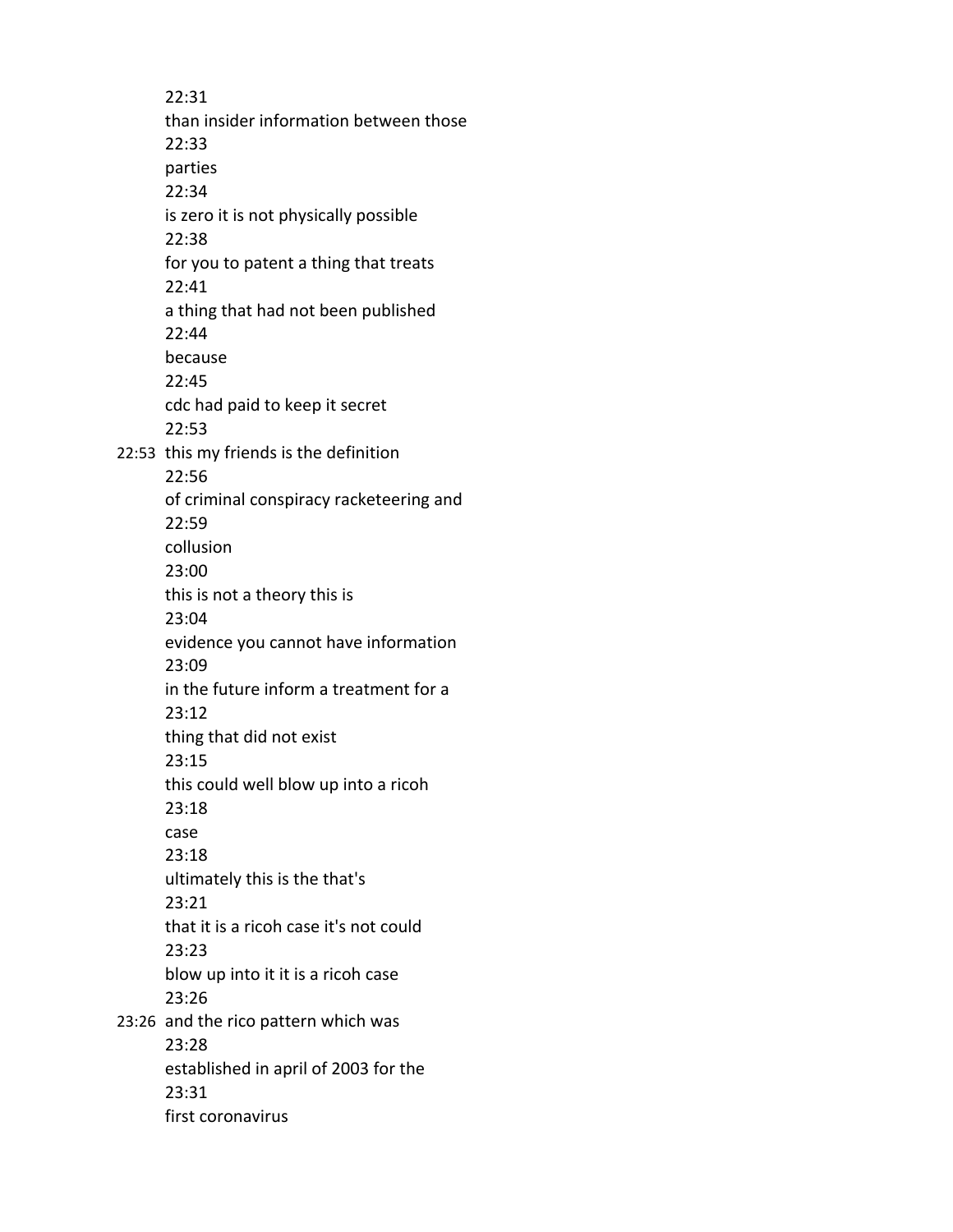22:31 than insider information between those 22:33 parties 22:34 is zero it is not physically possible 22:38 for you to patent a thing that treats 22:41 a thing that had not been published 22:44 because 22:45 cdc had paid to keep it secret 22:53 22:53 this my friends is the definition 22:56 of criminal conspiracy racketeering and 22:59 collusion 23:00 this is not a theory this is 23:04 evidence you cannot have information 23:09 in the future inform a treatment for a 23:12 thing that did not exist 23:15 this could well blow up into a ricoh 23:18 case 23:18 ultimately this is the that's 23:21 that it is a ricoh case it's not could 23:23 blow up into it it is a ricoh case 23:26 23:26 and the rico pattern which was 23:28 established in april of 2003 for the 23:31 first coronavirus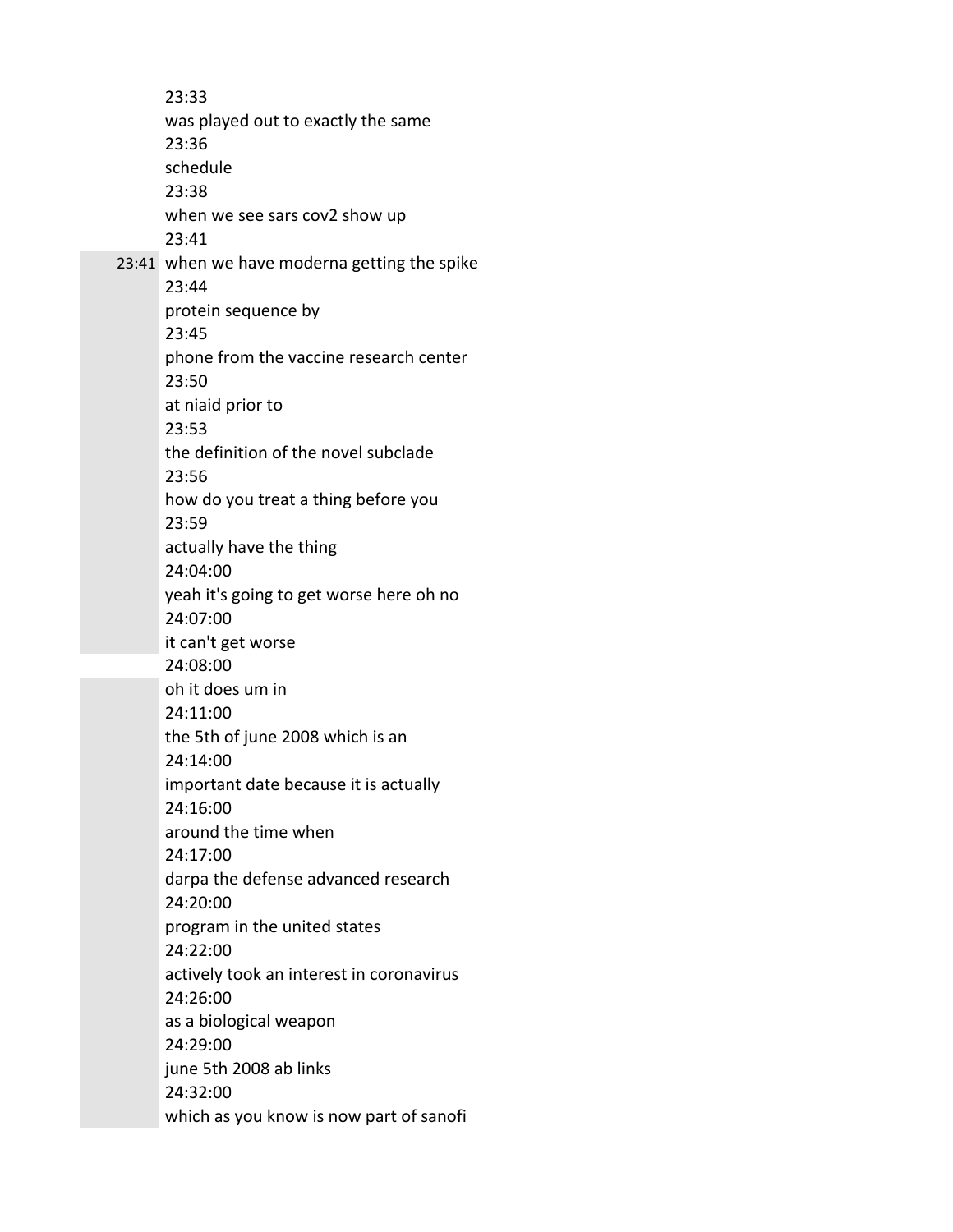23:33 was played out to exactly the same 23:36 schedule 23:38 when we see sars cov2 show up 23:41 23:41 when we have moderna getting the spike 23:44 protein sequence by 23:45 phone from the vaccine research center 23:50 at niaid prior to 23:53 the definition of the novel subclade 23:56 how do you treat a thing before you 23:59 actually have the thing 24:04:00 yeah it's going to get worse here oh no 24:07:00 it can't get worse 24:08:00 oh it does um in 24:11:00 the 5th of june 2008 which is an 24:14:00 important date because it is actually 24:16:00 around the time when 24:17:00 darpa the defense advanced research 24:20:00 program in the united states 24:22:00 actively took an interest in coronavirus 24:26:00 as a biological weapon 24:29:00 june 5th 2008 ab links 24:32:00 which as you know is now part of sanofi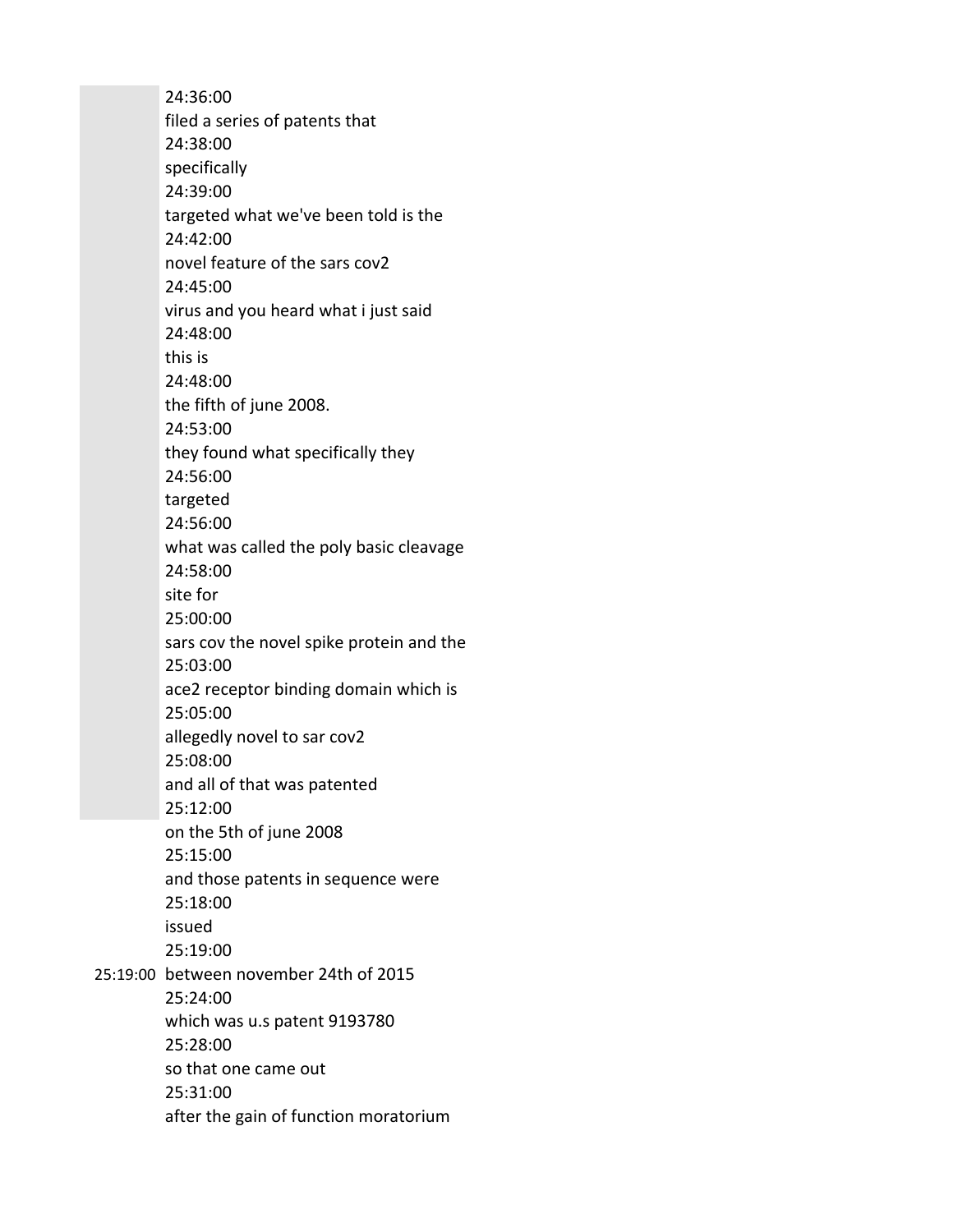24:36:00 filed a series of patents that 24:38:00 specifically 24:39:00 targeted what we've been told is the 24:42:00 novel feature of the sars cov2 24:45:00 virus and you heard what i just said 24:48:00 this is 24:48:00 the fifth of june 2008. 24:53:00 they found what specifically they 24:56:00 targeted 24:56:00 what was called the poly basic cleavage 24:58:00 site for 25:00:00 sars cov the novel spike protein and the 25:03:00 ace2 receptor binding domain which is 25:05:00 allegedly novel to sar cov2 25:08:00 and all of that was patented 25:12:00 on the 5th of june 2008 25:15:00 and those patents in sequence were 25:18:00 issued 25:19:00 25:19:00 between november 24th of 2015 25:24:00 which was u.s patent 9193780 25:28:00 so that one came out 25:31:00 after the gain of function moratorium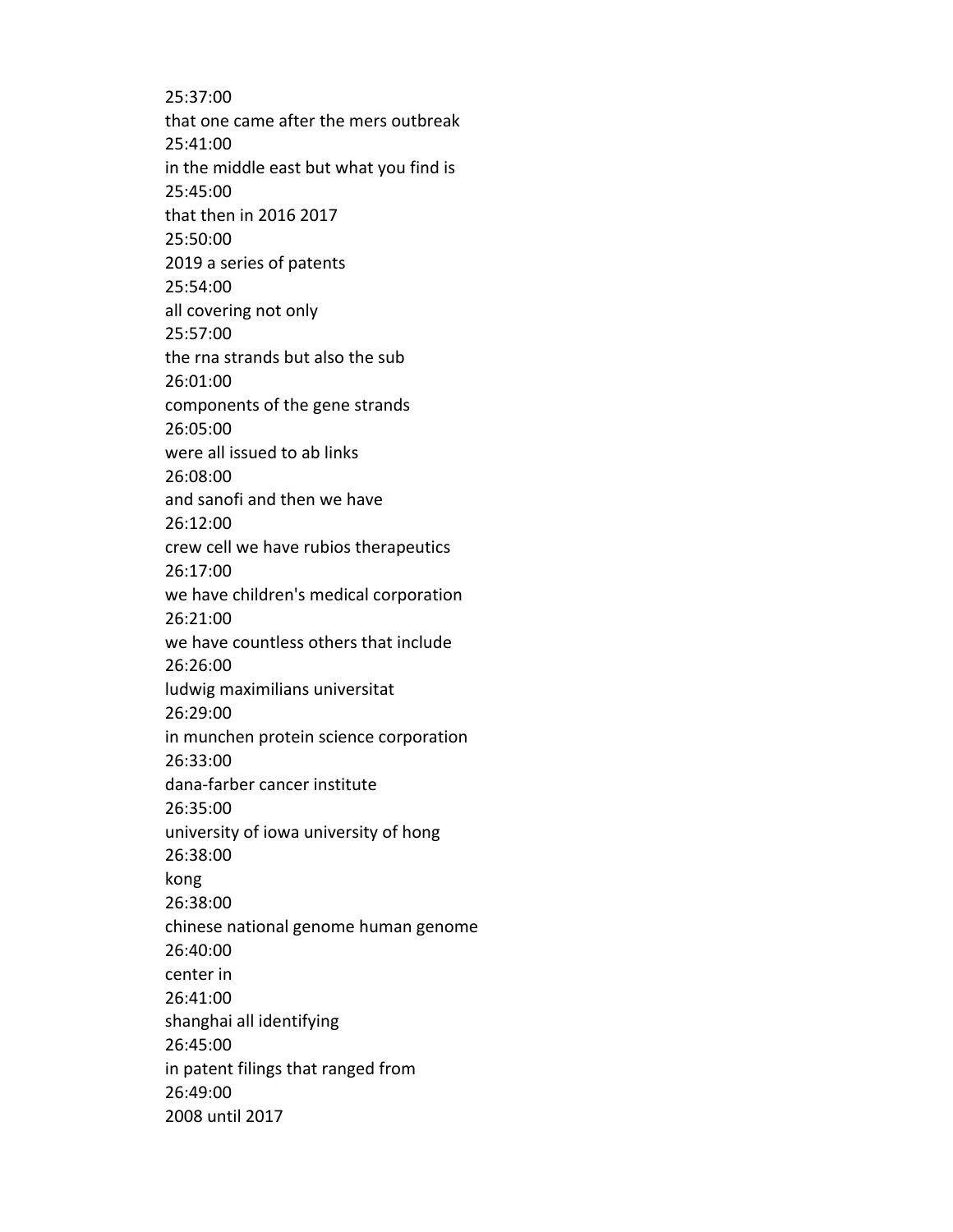25:37:00 that one came after the mers outbreak 25:41:00 in the middle east but what you find is 25:45:00 that then in 2016 2017 25:50:00 2019 a series of patents 25:54:00 all covering not only 25:57:00 the rna strands but also the sub 26:01:00 components of the gene strands 26:05:00 were all issued to ab links 26:08:00 and sanofi and then we have 26:12:00 crew cell we have rubios therapeutics 26:17:00 we have children's medical corporation 26:21:00 we have countless others that include 26:26:00 ludwig maximilians universitat 26:29:00 in munchen protein science corporation 26:33:00 dana-farber cancer institute 26:35:00 university of iowa university of hong 26:38:00 kong 26:38:00 chinese national genome human genome 26:40:00 center in 26:41:00 shanghai all identifying 26:45:00 in patent filings that ranged from 26:49:00 2008 until 2017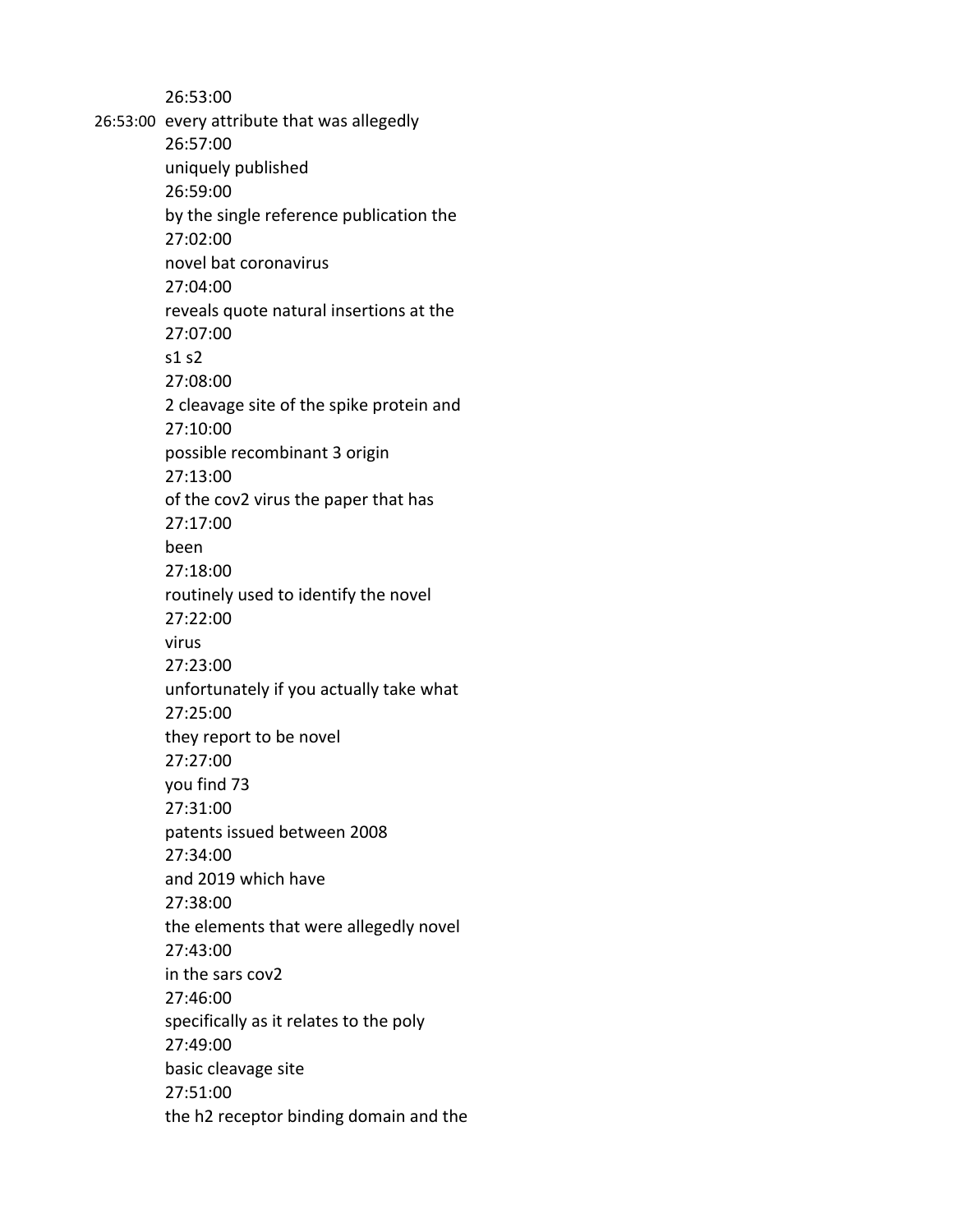26:53:00 26:53:00 every attribute that was allegedly 26:57:00 uniquely published 26:59:00 by the single reference publication the 27:02:00 novel bat coronavirus 27:04:00 reveals quote natural insertions at the 27:07:00 s1 s2 27:08:00 2 cleavage site of the spike protein and 27:10:00 possible recombinant 3 origin 27:13:00 of the cov2 virus the paper that has 27:17:00 been 27:18:00 routinely used to identify the novel 27:22:00 virus 27:23:00 unfortunately if you actually take what 27:25:00 they report to be novel 27:27:00 you find 73 27:31:00 patents issued between 2008 27:34:00 and 2019 which have 27:38:00 the elements that were allegedly novel 27:43:00 in the sars cov2 27:46:00 specifically as it relates to the poly 27:49:00 basic cleavage site 27:51:00 the h2 receptor binding domain and the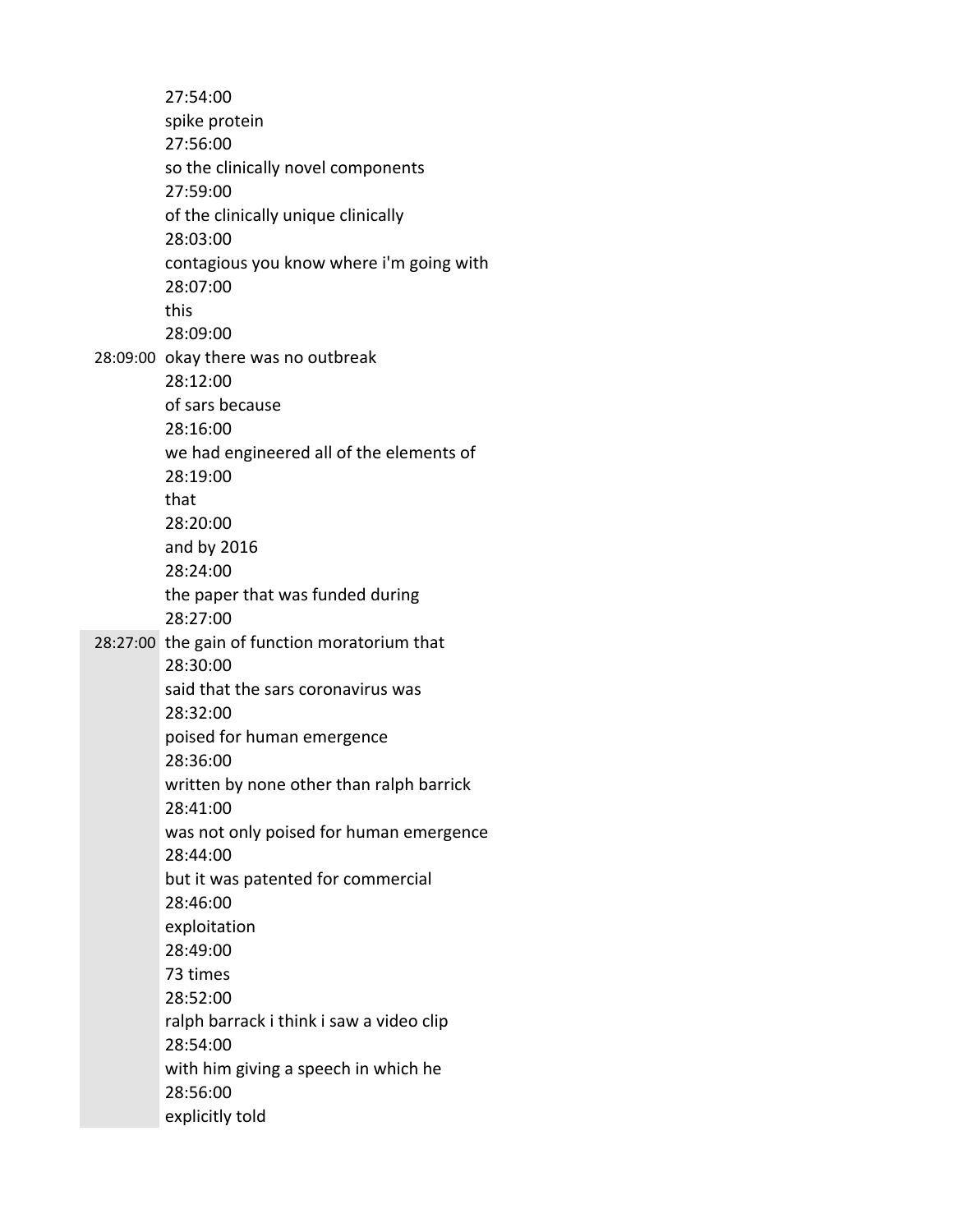27:54:00 spike protein 27:56:00 so the clinically novel components 27:59:00 of the clinically unique clinically 28:03:00 contagious you know where i'm going with 28:07:00 this 28:09:00 28:09:00 okay there was no outbreak 28:12:00 of sars because 28:16:00 we had engineered all of the elements of 28:19:00 that 28:20:00 and by 2016 28:24:00 the paper that was funded during 28:27:00 28:27:00 the gain of function moratorium that 28:30:00 said that the sars coronavirus was 28:32:00 poised for human emergence 28:36:00 written by none other than ralph barrick 28:41:00 was not only poised for human emergence 28:44:00 but it was patented for commercial 28:46:00 exploitation 28:49:00 73 times 28:52:00 ralph barrack i think i saw a video clip 28:54:00 with him giving a speech in which he 28:56:00 explicitly told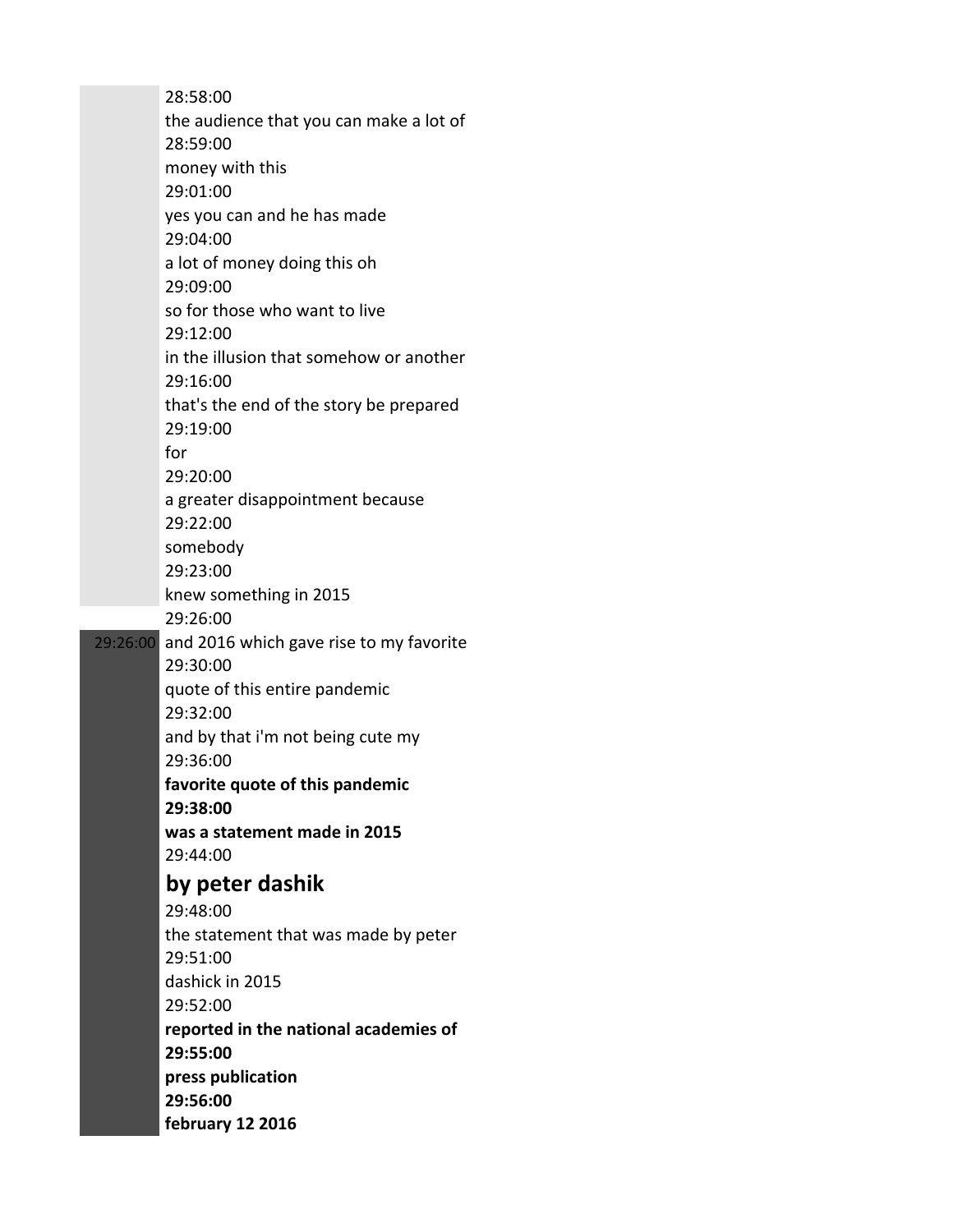28:58:00 the audience that you can make a lot of 28:59:00 money with this 29:01:00 yes you can and he has made 29:04:00 a lot of money doing this oh 29:09:00 so for those who want to live 29:12:00 in the illusion that somehow or another 29:16:00 that's the end of the story be prepared 29:19:00 for 29:20:00 a greater disappointment because 29:22:00 somebody 29:23:00 knew something in 2015 29:26:00 29:26:00 and 2016 which gave rise to my favorite 29:30:00 quote of this entire pandemic 29:32:00 and by that i'm not being cute my 29:36:00 **favorite quote of this pandemic 29:38:00 was a statement made in 2015** 29:44:00 **by peter dashik** 29:48:00 the statement that was made by peter 29:51:00 dashick in 2015 29:52:00 **reported in the national academies of 29:55:00 press publication 29:56:00 february 12 2016**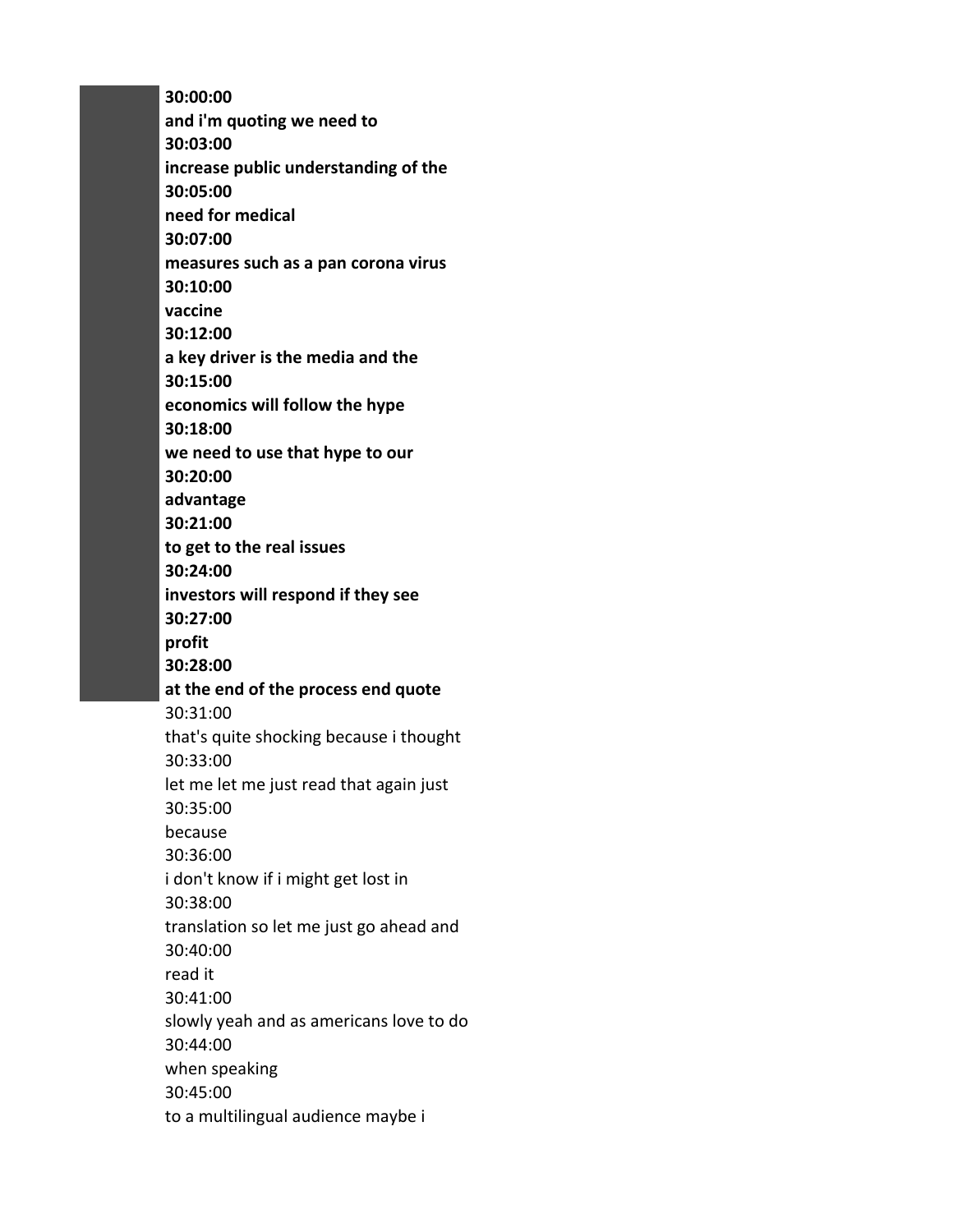**30:00:00 and i'm quoting we need to 30:03:00 increase public understanding of the 30:05:00 need for medical 30:07:00 measures such as a pan corona virus 30:10:00 vaccine 30:12:00 a key driver is the media and the 30:15:00 economics will follow the hype 30:18:00 we need to use that hype to our 30:20:00 advantage 30:21:00 to get to the real issues 30:24:00 investors will respond if they see 30:27:00 profit 30:28:00 at the end of the process end quote** 30:31:00 that's quite shocking because i thought 30:33:00 let me let me just read that again just 30:35:00 because 30:36:00 i don't know if i might get lost in 30:38:00 translation so let me just go ahead and 30:40:00 read it 30:41:00 slowly yeah and as americans love to do 30:44:00 when speaking 30:45:00 to a multilingual audience maybe i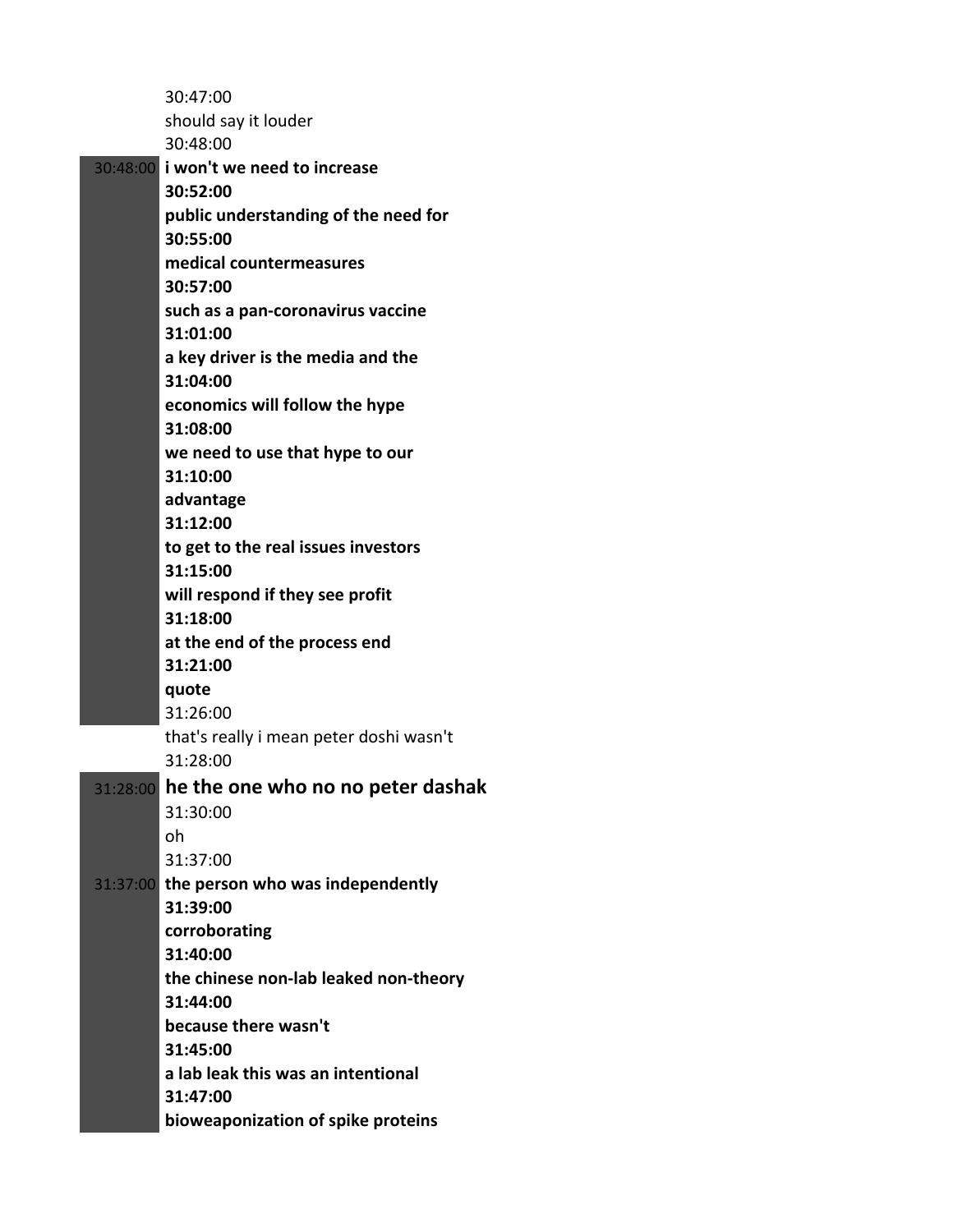|          | 30:47:00                                          |
|----------|---------------------------------------------------|
|          | should say it louder                              |
|          | 30:48:00                                          |
|          | 30:48:00 i won't we need to increase              |
|          | 30:52:00                                          |
|          | public understanding of the need for              |
|          | 30:55:00                                          |
|          | medical countermeasures                           |
|          | 30:57:00                                          |
|          | such as a pan-coronavirus vaccine                 |
|          | 31:01:00                                          |
|          | a key driver is the media and the                 |
|          | 31:04:00                                          |
|          | economics will follow the hype                    |
|          | 31:08:00                                          |
|          | we need to use that hype to our                   |
|          | 31:10:00                                          |
|          | advantage                                         |
|          | 31:12:00                                          |
|          | to get to the real issues investors               |
|          | 31:15:00                                          |
|          | will respond if they see profit                   |
|          | 31:18:00                                          |
|          | at the end of the process end                     |
|          | 31:21:00                                          |
|          | quote                                             |
|          | 31:26:00                                          |
|          | that's really i mean peter doshi wasn't           |
|          | 31:28:00                                          |
| 31:28:00 | he the one who no no peter dashak                 |
|          | 31:30:00                                          |
|          | oh                                                |
|          | 31:37:00                                          |
| 31:37:00 | the person who was independently                  |
|          | 31:39:00                                          |
|          | corroborating<br>31:40:00                         |
|          |                                                   |
|          | the chinese non-lab leaked non-theory<br>31:44:00 |
|          | because there wasn't                              |
|          | 31:45:00                                          |
|          | a lab leak this was an intentional                |
|          | 31:47:00                                          |
|          | bioweaponization of spike proteins                |
|          |                                                   |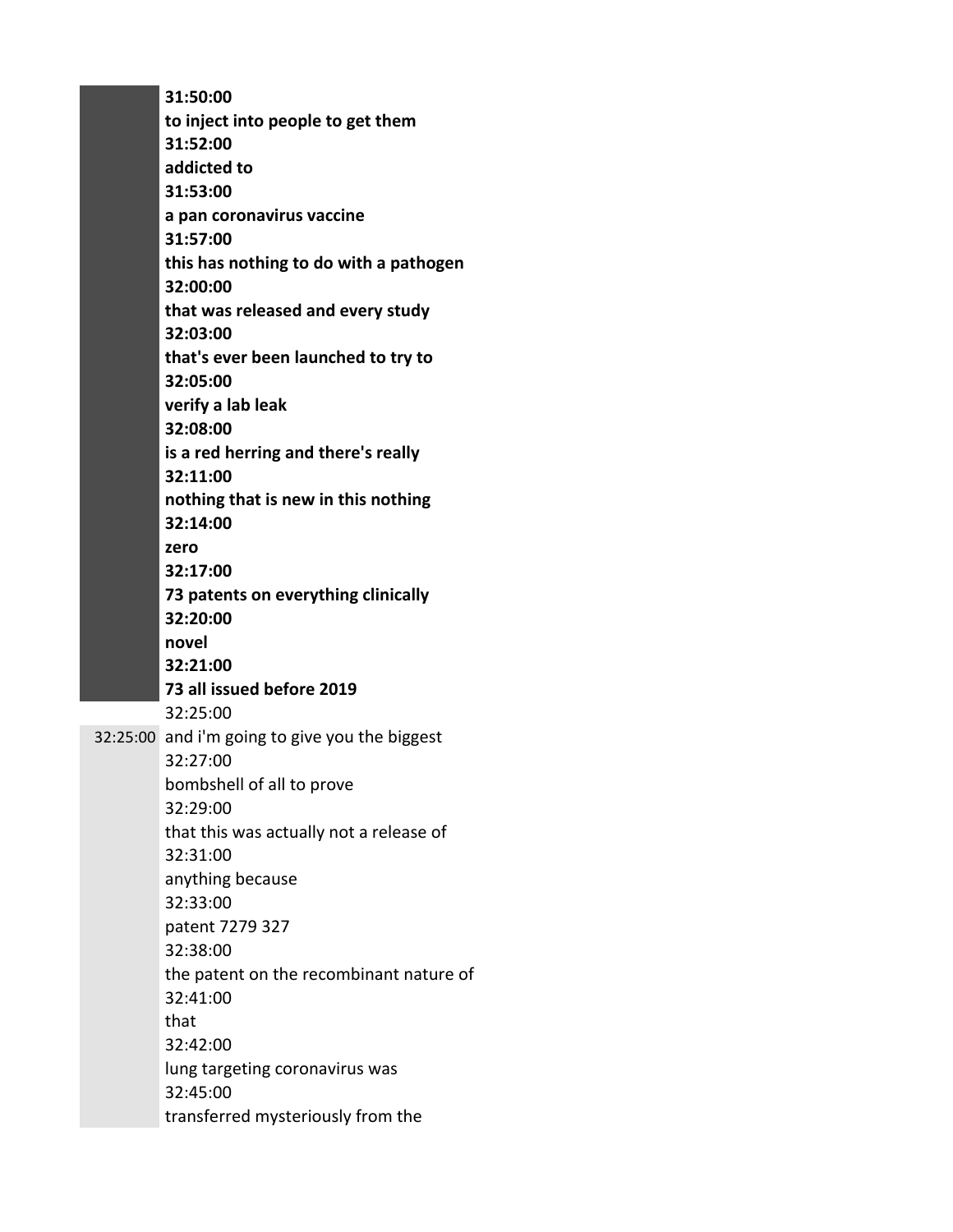**31:50:00 to inject into people to get them 31:52:00 addicted to 31:53:00 a pan coronavirus vaccine 31:57:00 this has nothing to do with a pathogen 32:00:00 that was released and every study 32:03:00 that's ever been launched to try to 32:05:00 verify a lab leak 32:08:00 is a red herring and there's really 32:11:00 nothing that is new in this nothing 32:14:00 zero 32:17:00 73 patents on everything clinically 32:20:00 novel 32:21:00 73 all issued before 2019** 32:25:00 32:25:00 and i'm going to give you the biggest 32:27:00 bombshell of all to prove 32:29:00 that this was actually not a release of 32:31:00 anything because 32:33:00 patent 7279 327 32:38:00 the patent on the recombinant nature of 32:41:00 that 32:42:00 lung targeting coronavirus was 32:45:00 transferred mysteriously from the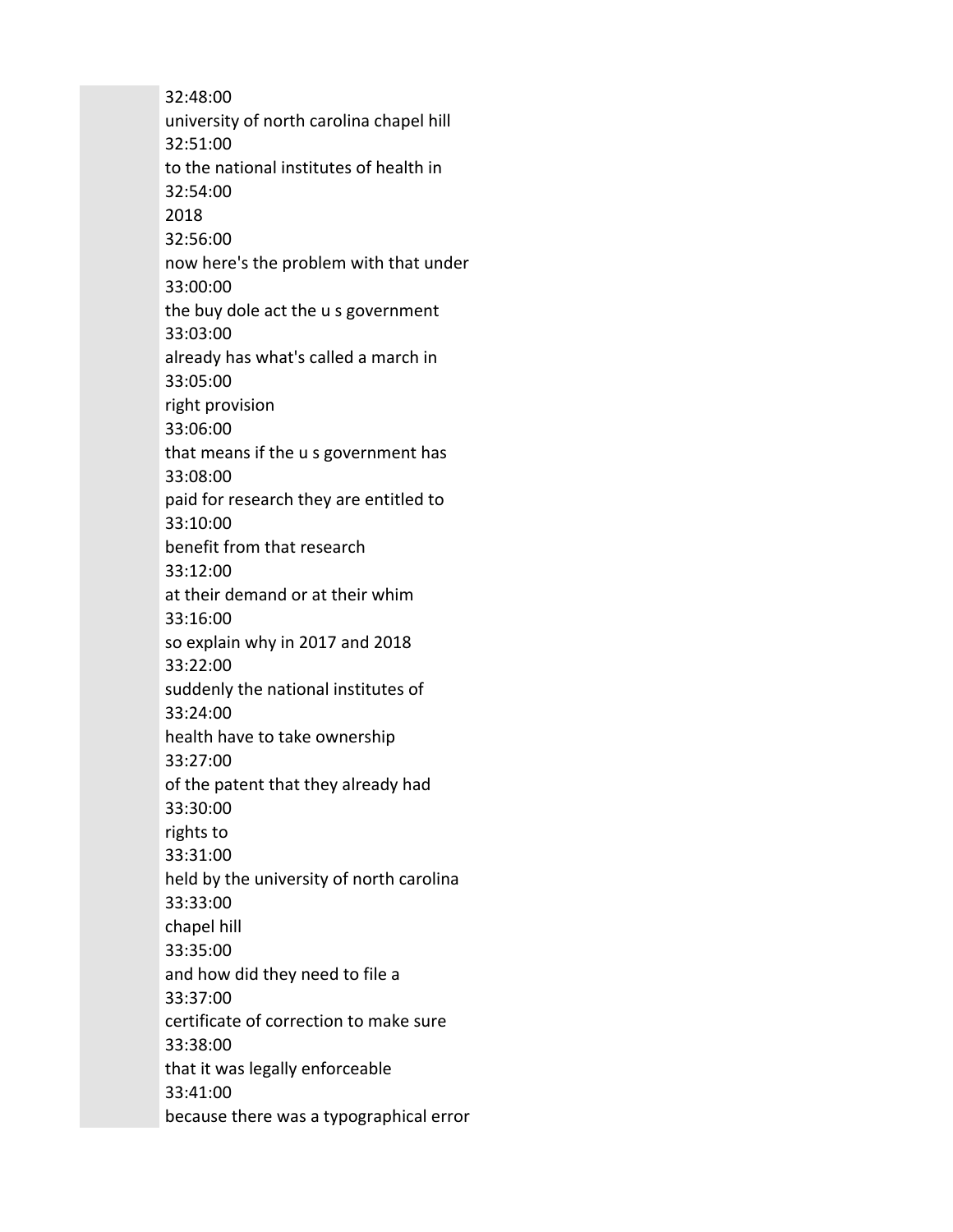32:48:00 university of north carolina chapel hill 32:51:00 to the national institutes of health in 32:54:00 2018 32:56:00 now here's the problem with that under 33:00:00 the buy dole act the u s government 33:03:00 already has what's called a march in 33:05:00 right provision 33:06:00 that means if the u s government has 33:08:00 paid for research they are entitled to 33:10:00 benefit from that research 33:12:00 at their demand or at their whim 33:16:00 so explain why in 2017 and 2018 33:22:00 suddenly the national institutes of 33:24:00 health have to take ownership 33:27:00 of the patent that they already had 33:30:00 rights to 33:31:00 held by the university of north carolina 33:33:00 chapel hill 33:35:00 and how did they need to file a 33:37:00 certificate of correction to make sure 33:38:00 that it was legally enforceable 33:41:00 because there was a typographical error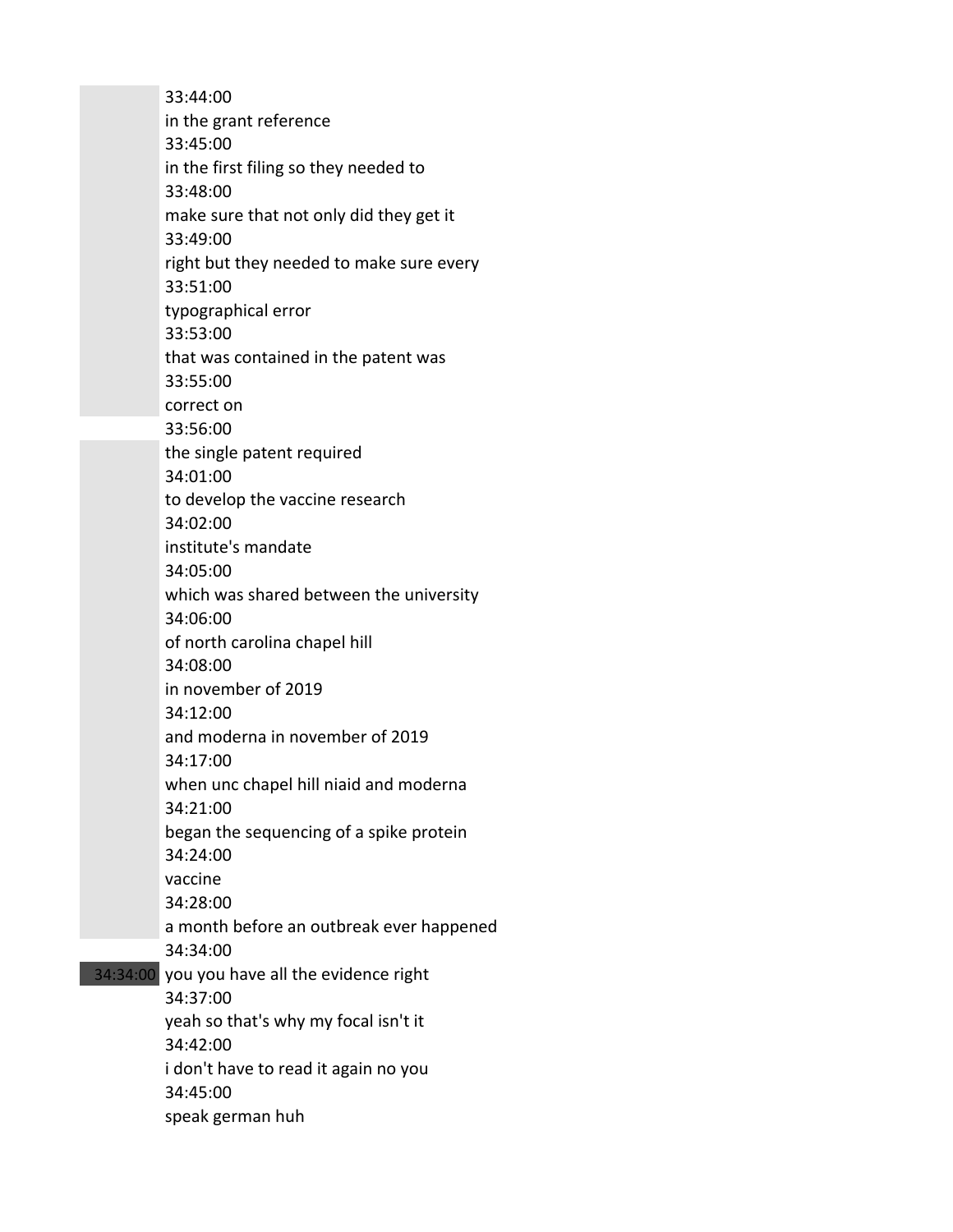33:44:00 in the grant reference 33:45:00 in the first filing so they needed to 33:48:00 make sure that not only did they get it 33:49:00 right but they needed to make sure every 33:51:00 typographical error 33:53:00 that was contained in the patent was 33:55:00 correct on 33:56:00 the single patent required 34:01:00 to develop the vaccine research 34:02:00 institute's mandate 34:05:00 which was shared between the university 34:06:00 of north carolina chapel hill 34:08:00 in november of 2019 34:12:00 and moderna in november of 2019 34:17:00 when unc chapel hill niaid and moderna 34:21:00 began the sequencing of a spike protein 34:24:00 vaccine 34:28:00 a month before an outbreak ever happened 34:34:00 34:34:00 you you have all the evidence right 34:37:00 yeah so that's why my focal isn't it 34:42:00 i don't have to read it again no you 34:45:00 speak german huh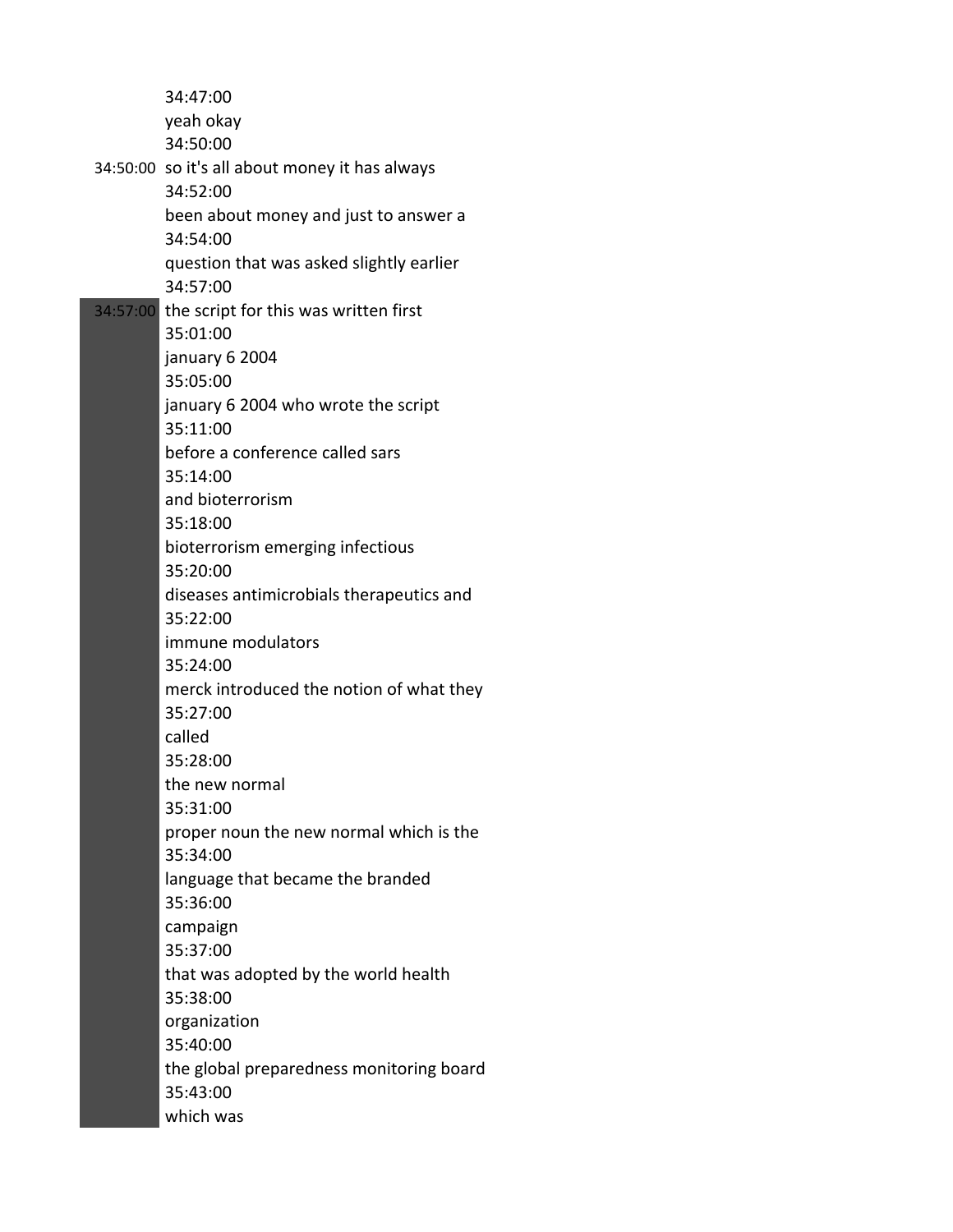34:47:00 yeah okay 34:50:00 34:50:00 so it's all about money it has always 34:52:00 been about money and just to answer a 34:54:00 question that was asked slightly earlier 34:57:00 34:57:00 the script for this was written first 35:01:00 january 6 2004 35:05:00 january 6 2004 who wrote the script 35:11:00 before a conference called sars 35:14:00 and bioterrorism 35:18:00 bioterrorism emerging infectious 35:20:00 diseases antimicrobials therapeutics and 35:22:00 immune modulators 35:24:00 merck introduced the notion of what they 35:27:00 called 35:28:00 the new normal 35:31:00 proper noun the new normal which is the 35:34:00 language that became the branded 35:36:00 campaign 35:37:00 that was adopted by the world health 35:38:00 organization 35:40:00 the global preparedness monitoring board 35:43:00 which was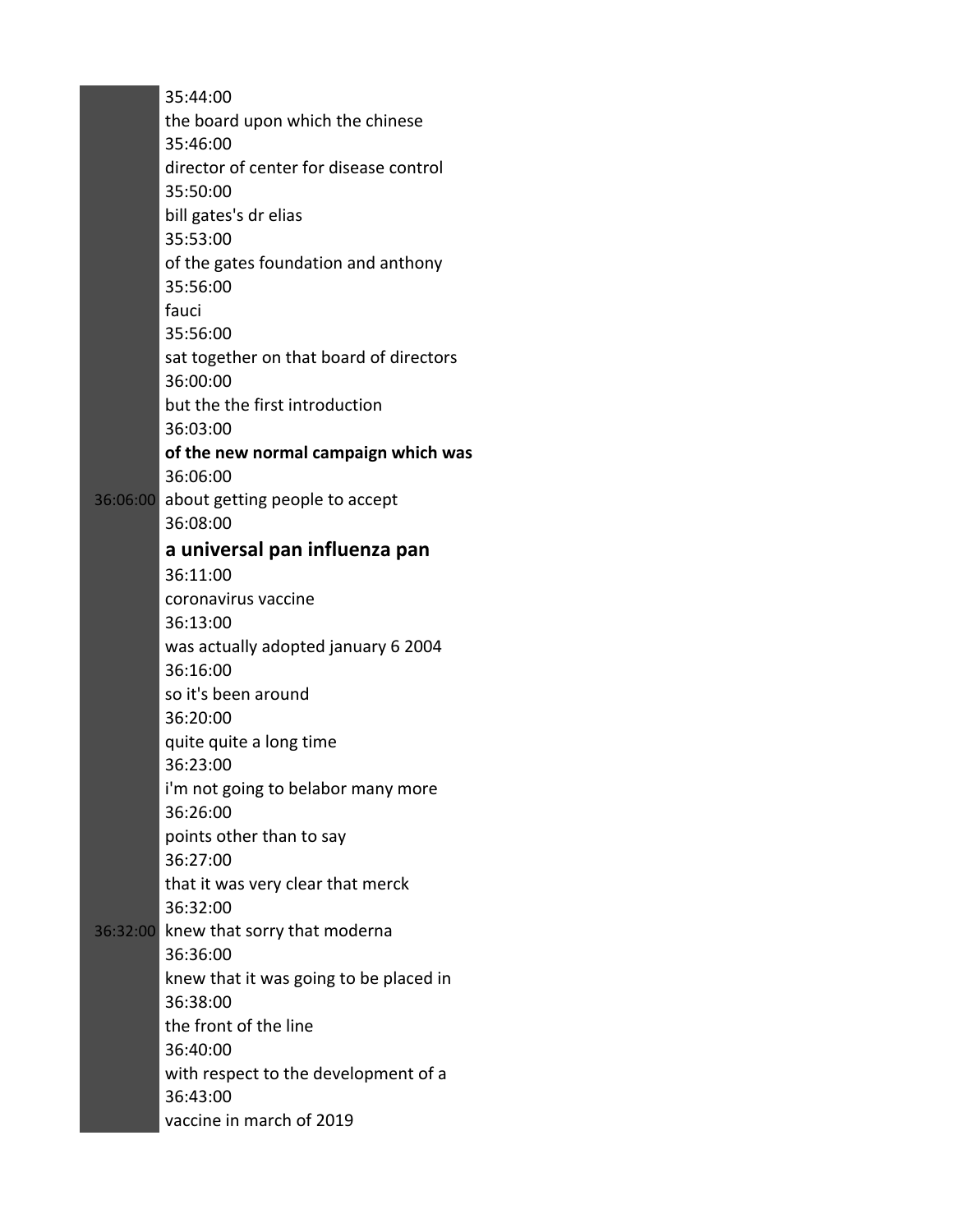35:44:00 the board upon which the chinese 35:46:00 director of center for disease control 35:50:00 bill gates's dr elias 35:53:00 of the gates foundation and anthony 35:56:00 fauci 35:56:00 sat together on that board of directors 36:00:00 but the the first introduction 36:03:00 **of the new normal campaign which was** 36:06:00 36:06:00 about getting people to accept 36:08:00 **a universal pan influenza pan** 36:11:00 coronavirus vaccine 36:13:00 was actually adopted january 6 2004 36:16:00 so it's been around 36:20:00 quite quite a long time 36:23:00 i'm not going to belabor many more 36:26:00 points other than to say 36:27:00 that it was very clear that merck 36:32:00 36:32:00 knew that sorry that moderna 36:36:00 knew that it was going to be placed in 36:38:00 the front of the line 36:40:00 with respect to the development of a 36:43:00 vaccine in march of 2019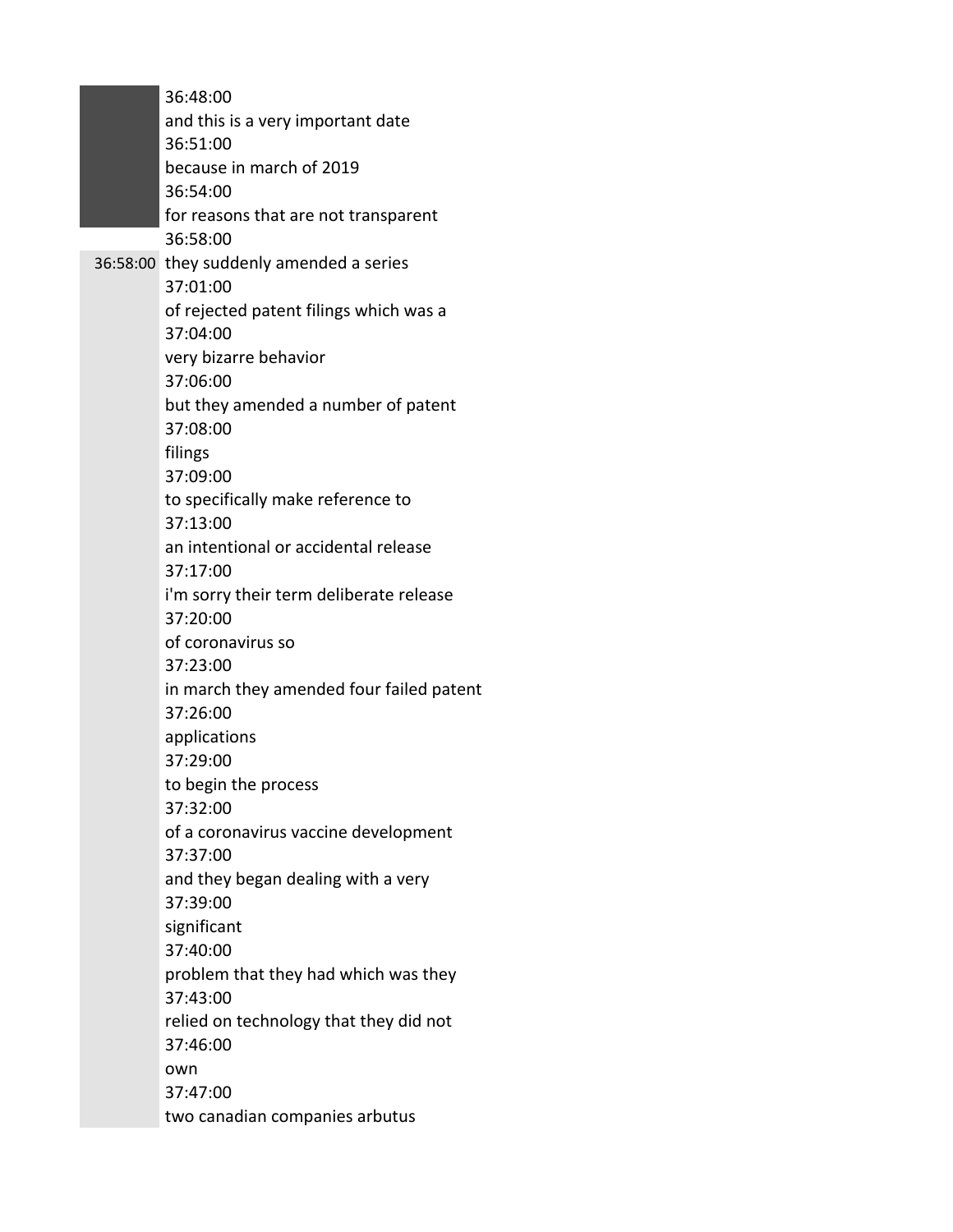36:48:00 and this is a very important date 36:51:00 because in march of 2019 36:54:00 for reasons that are not transparent 36:58:00 36:58:00 they suddenly amended a series 37:01:00 of rejected patent filings which was a 37:04:00 very bizarre behavior 37:06:00 but they amended a number of patent 37:08:00 filings 37:09:00 to specifically make reference to 37:13:00 an intentional or accidental release 37:17:00 i'm sorry their term deliberate release 37:20:00 of coronavirus so 37:23:00 in march they amended four failed patent 37:26:00 applications 37:29:00 to begin the process 37:32:00 of a coronavirus vaccine development 37:37:00 and they began dealing with a very 37:39:00 significant 37:40:00 problem that they had which was they 37:43:00 relied on technology that they did not 37:46:00 own 37:47:00 two canadian companies arbutus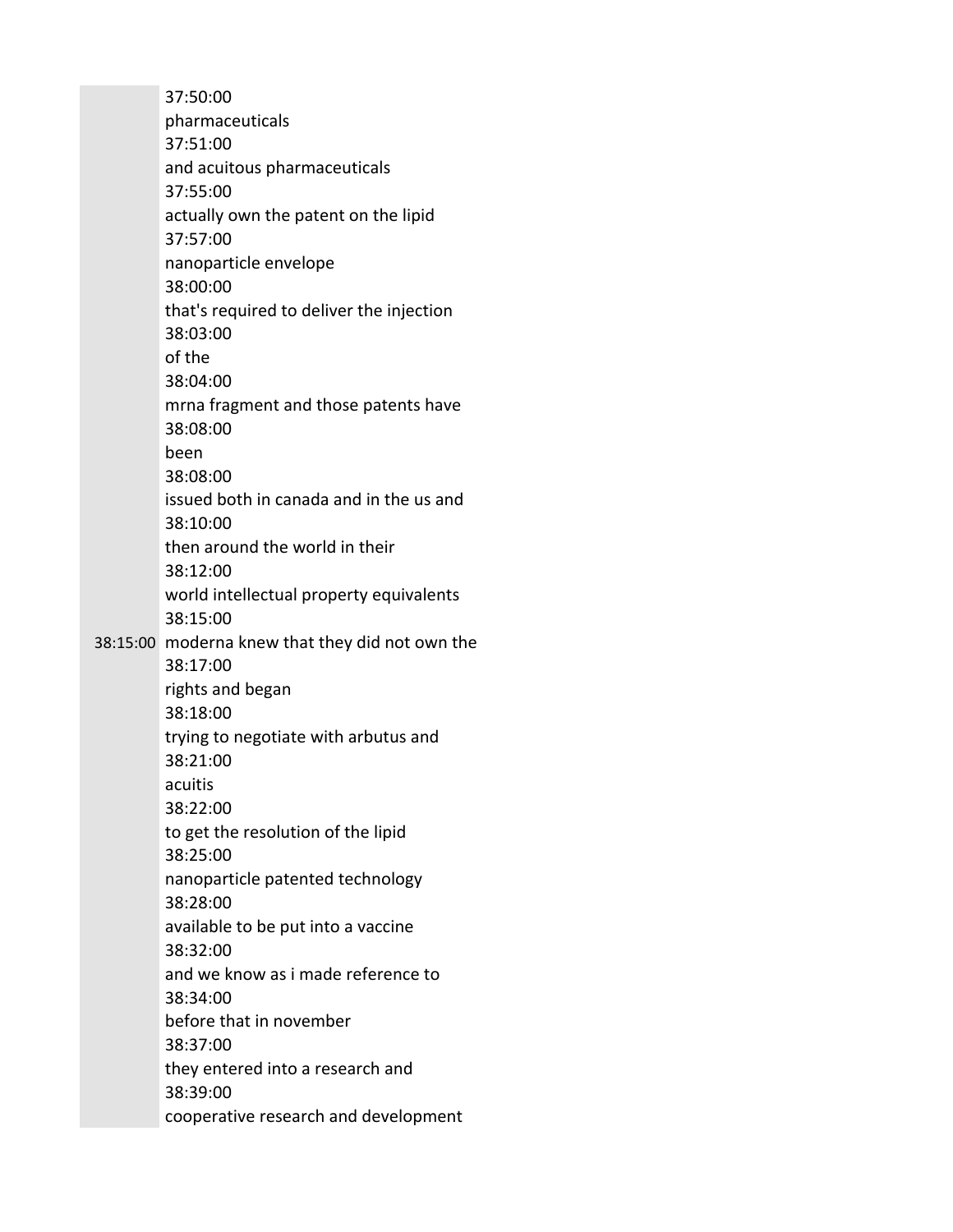37:50:00 pharmaceuticals 37:51:00 and acuitous pharmaceuticals 37:55:00 actually own the patent on the lipid 37:57:00 nanoparticle envelope 38:00:00 that's required to deliver the injection 38:03:00 of the 38:04:00 mrna fragment and those patents have 38:08:00 been 38:08:00 issued both in canada and in the us and 38:10:00 then around the world in their 38:12:00 world intellectual property equivalents 38:15:00 38:15:00 moderna knew that they did not own the 38:17:00 rights and began 38:18:00 trying to negotiate with arbutus and 38:21:00 acuitis 38:22:00 to get the resolution of the lipid 38:25:00 nanoparticle patented technology 38:28:00 available to be put into a vaccine 38:32:00 and we know as i made reference to 38:34:00 before that in november 38:37:00 they entered into a research and 38:39:00 cooperative research and development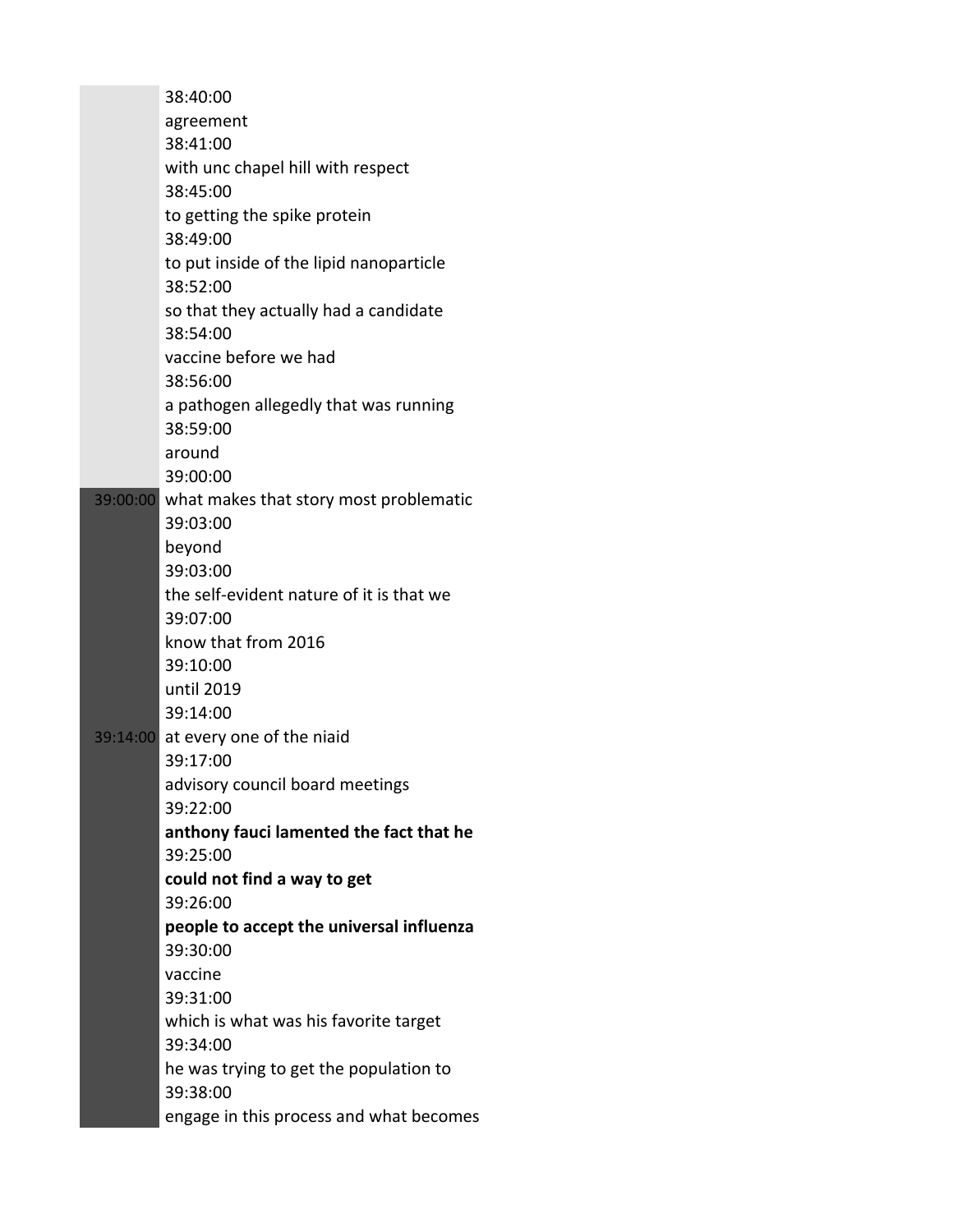| 38:40:00                                            |
|-----------------------------------------------------|
| agreement                                           |
| 38:41:00                                            |
| with unc chapel hill with respect                   |
| 38:45:00                                            |
| to getting the spike protein                        |
| 38:49:00                                            |
| to put inside of the lipid nanoparticle             |
| 38:52:00                                            |
| so that they actually had a candidate               |
| 38:54:00                                            |
| vaccine before we had                               |
| 38:56:00                                            |
| a pathogen allegedly that was running<br>38:59:00   |
| around                                              |
| 39:00:00                                            |
| 39:00:00 what makes that story most problematic     |
| 39:03:00                                            |
| beyond                                              |
| 39:03:00                                            |
| the self-evident nature of it is that we            |
| 39:07:00                                            |
| know that from 2016                                 |
| 39:10:00                                            |
| until 2019                                          |
| 39:14:00                                            |
| 39:14:00 at every one of the niaid                  |
| 39:17:00                                            |
| advisory council board meetings                     |
| 39:22:00<br>anthony fauci lamented the fact that he |
| 39:25:00                                            |
| could not find a way to get                         |
| 39:26:00                                            |
| people to accept the universal influenza            |
| 39:30:00                                            |
| vaccine                                             |
| 39:31:00                                            |
| which is what was his favorite target               |
| 39:34:00                                            |
| he was trying to get the population to              |
| 39:38:00                                            |
| engage in this process and what becomes             |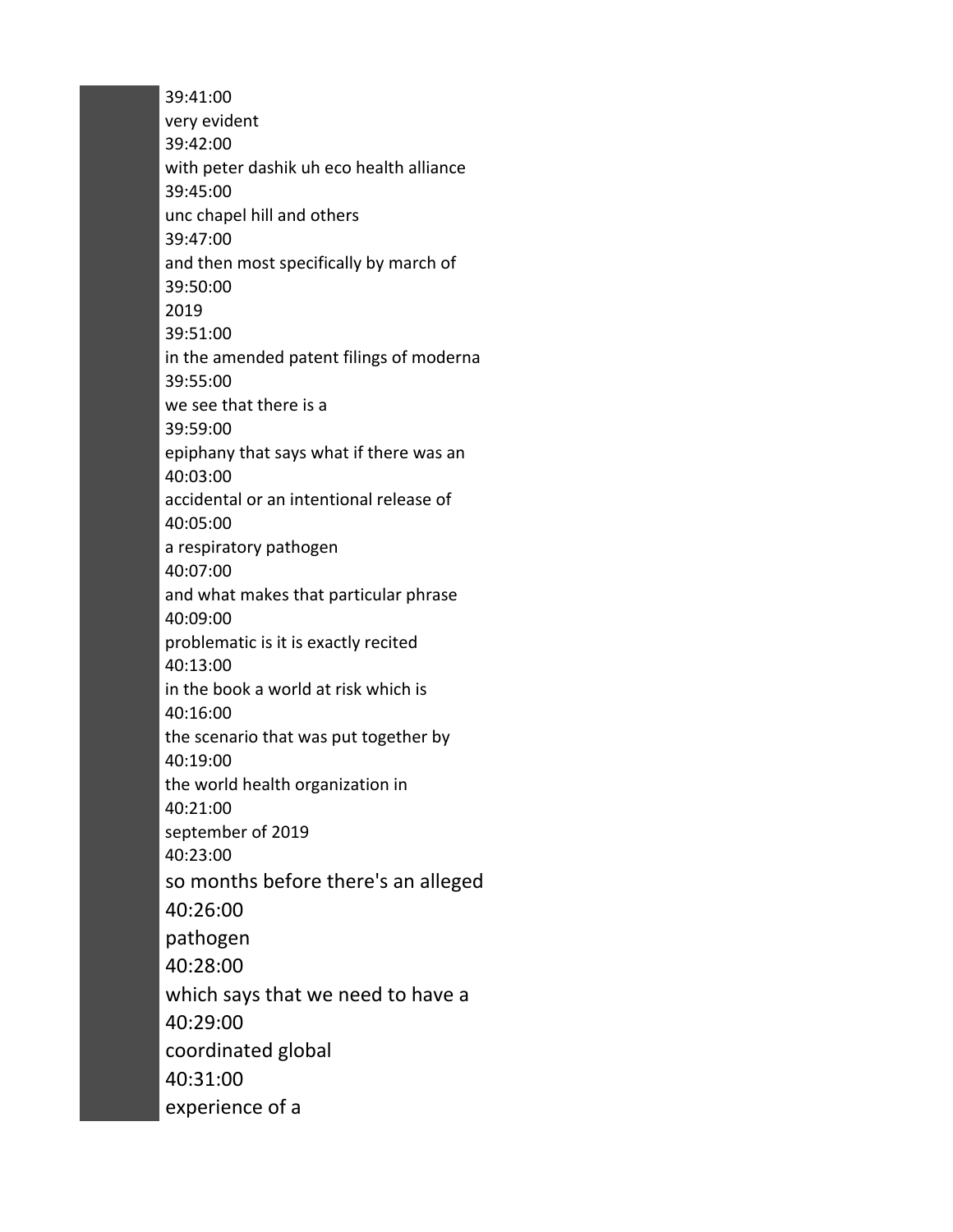39:41:00 very evident 39:42:00 with peter dashik uh eco health alliance 39:45:00 unc chapel hill and others 39:47:00 and then most specifically by march of 39:50:00 2019 39:51:00 in the amended patent filings of moderna 39:55:00 we see that there is a 39:59:00 epiphany that says what if there was an 40:03:00 accidental or an intentional release of 40:05:00 a respiratory pathogen 40:07:00 and what makes that particular phrase 40:09:00 problematic is it is exactly recited 40:13:00 in the book a world at risk which is 40:16:00 the scenario that was put together by 40:19:00 the world health organization in 40:21:00 september of 2019 40:23:00 so months before there's an alleged 40:26:00 pathogen 40:28:00 which says that we need to have a 40:29:00 coordinated global 40:31:00 experience of a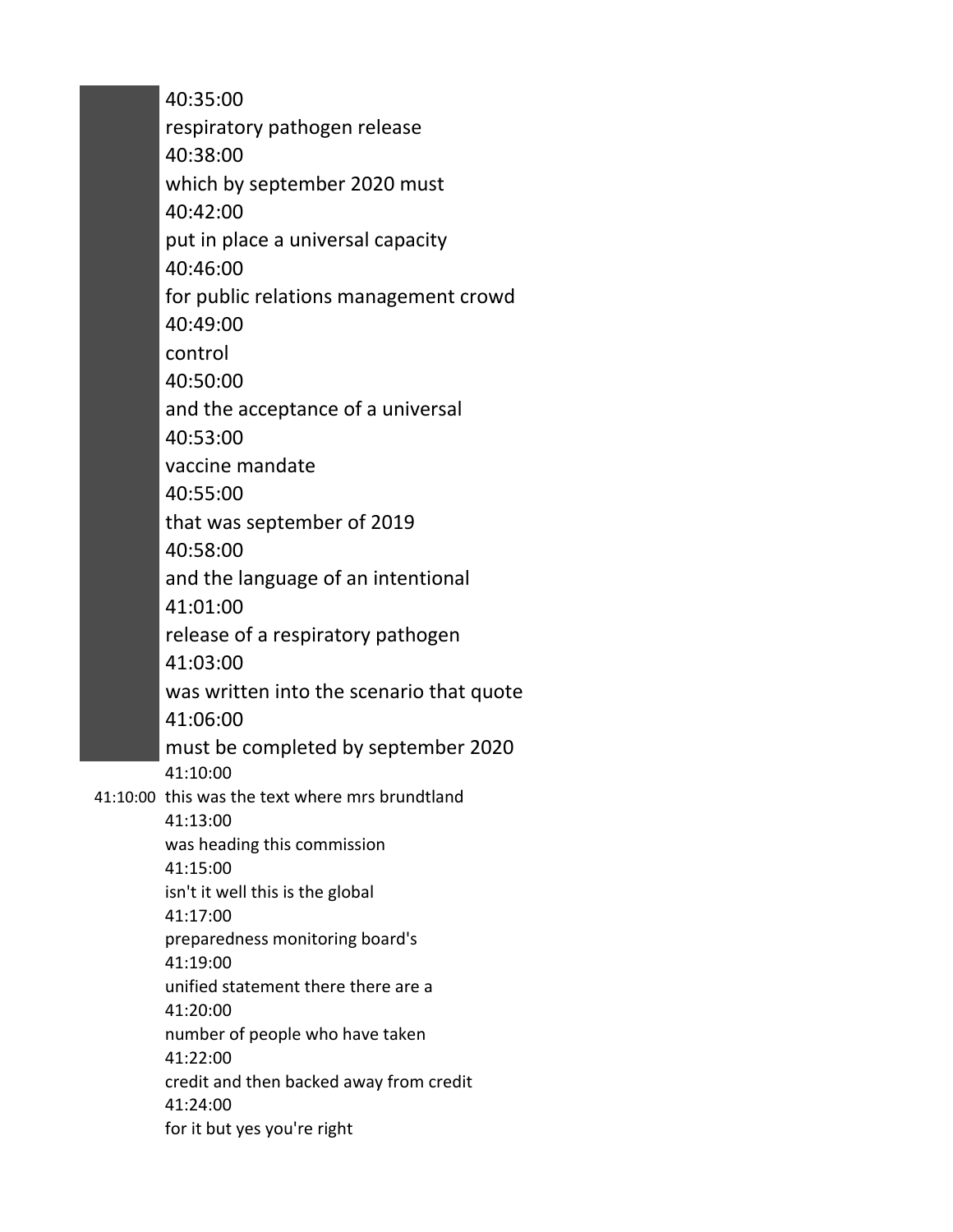40:35:00 respiratory pathogen release 40:38:00 which by september 2020 must 40:42:00 put in place a universal capacity 40:46:00 for public relations management crowd 40:49:00 control 40:50:00 and the acceptance of a universal 40:53:00 vaccine mandate 40:55:00 that was september of 2019 40:58:00 and the language of an intentional 41:01:00 release of a respiratory pathogen 41:03:00 was written into the scenario that quote 41:06:00 must be completed by september 2020 41:10:00 41:10:00 this was the text where mrs brundtland 41:13:00 was heading this commission 41:15:00 isn't it well this is the global 41:17:00 preparedness monitoring board's 41:19:00 unified statement there there are a 41:20:00 number of people who have taken 41:22:00 credit and then backed away from credit 41:24:00 for it but yes you're right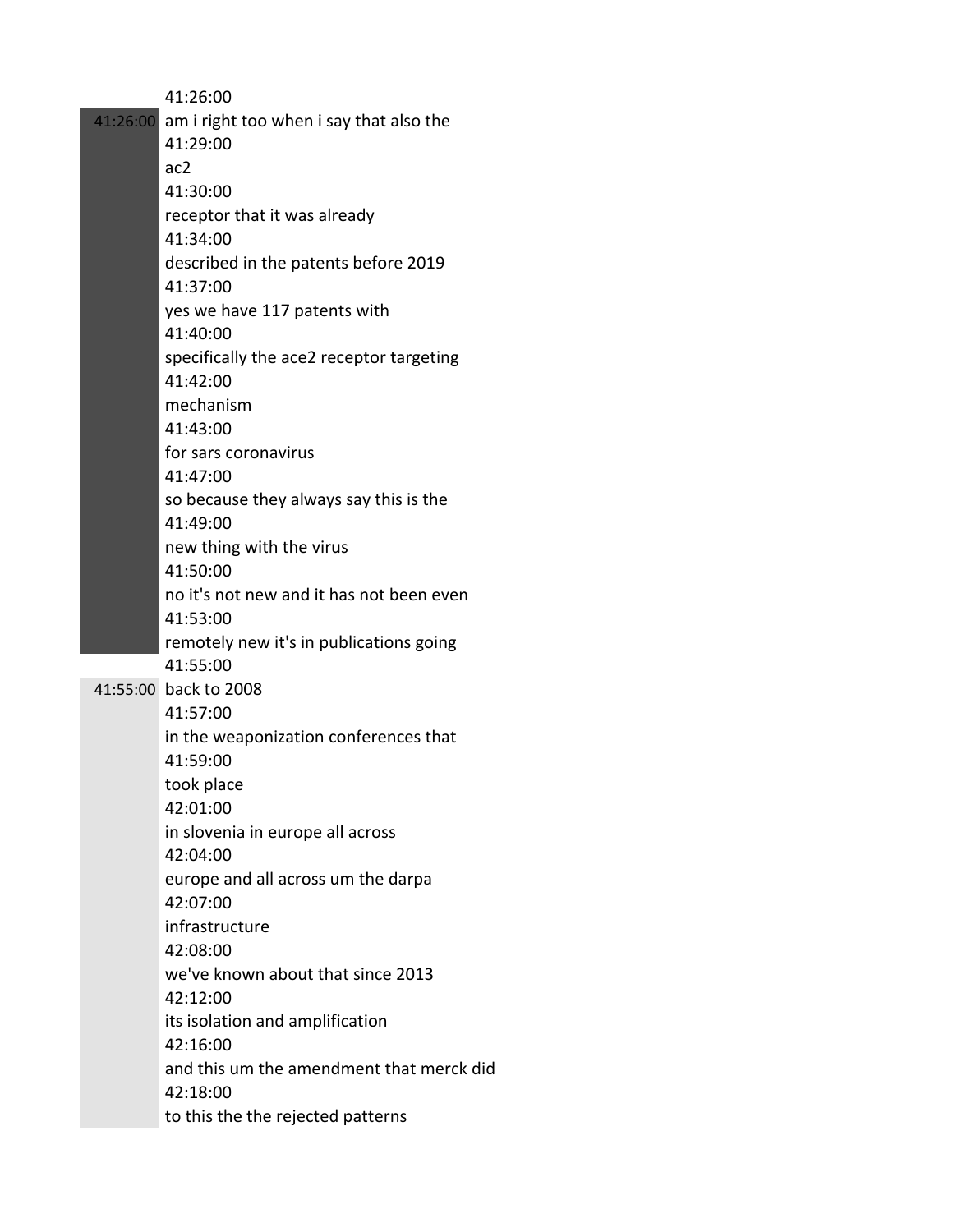|          | 41:26:00                                 |
|----------|------------------------------------------|
| 41:26:00 | am i right too when i say that also the  |
|          | 41:29:00                                 |
|          | ac2                                      |
|          | 41:30:00                                 |
|          | receptor that it was already             |
|          | 41:34:00                                 |
|          | described in the patents before 2019     |
|          | 41:37:00                                 |
|          | yes we have 117 patents with             |
|          | 41:40:00                                 |
|          | specifically the ace2 receptor targeting |
|          | 41:42:00                                 |
|          | mechanism                                |
|          | 41:43:00                                 |
|          | for sars coronavirus                     |
|          | 41:47:00                                 |
|          | so because they always say this is the   |
|          | 41:49:00                                 |
|          | new thing with the virus                 |
|          | 41:50:00                                 |
|          | no it's not new and it has not been even |
|          | 41:53:00                                 |
|          | remotely new it's in publications going  |
|          | 41:55:00                                 |
|          | 41:55:00 back to 2008                    |
|          | 41:57:00                                 |
|          | in the weaponization conferences that    |
|          | 41:59:00                                 |
|          | took place                               |
|          | 42:01:00                                 |
|          | in slovenia in europe all across         |
|          | 42:04:00                                 |
|          | europe and all across um the darpa       |
|          | 42:07:00                                 |
|          | infrastructure                           |
|          | 42:08:00                                 |
|          | we've known about that since 2013        |
|          | 42:12:00                                 |
|          | its isolation and amplification          |
|          | 42:16:00                                 |
|          | and this um the amendment that merck did |
|          | 42:18:00                                 |
|          | to this the the rejected patterns        |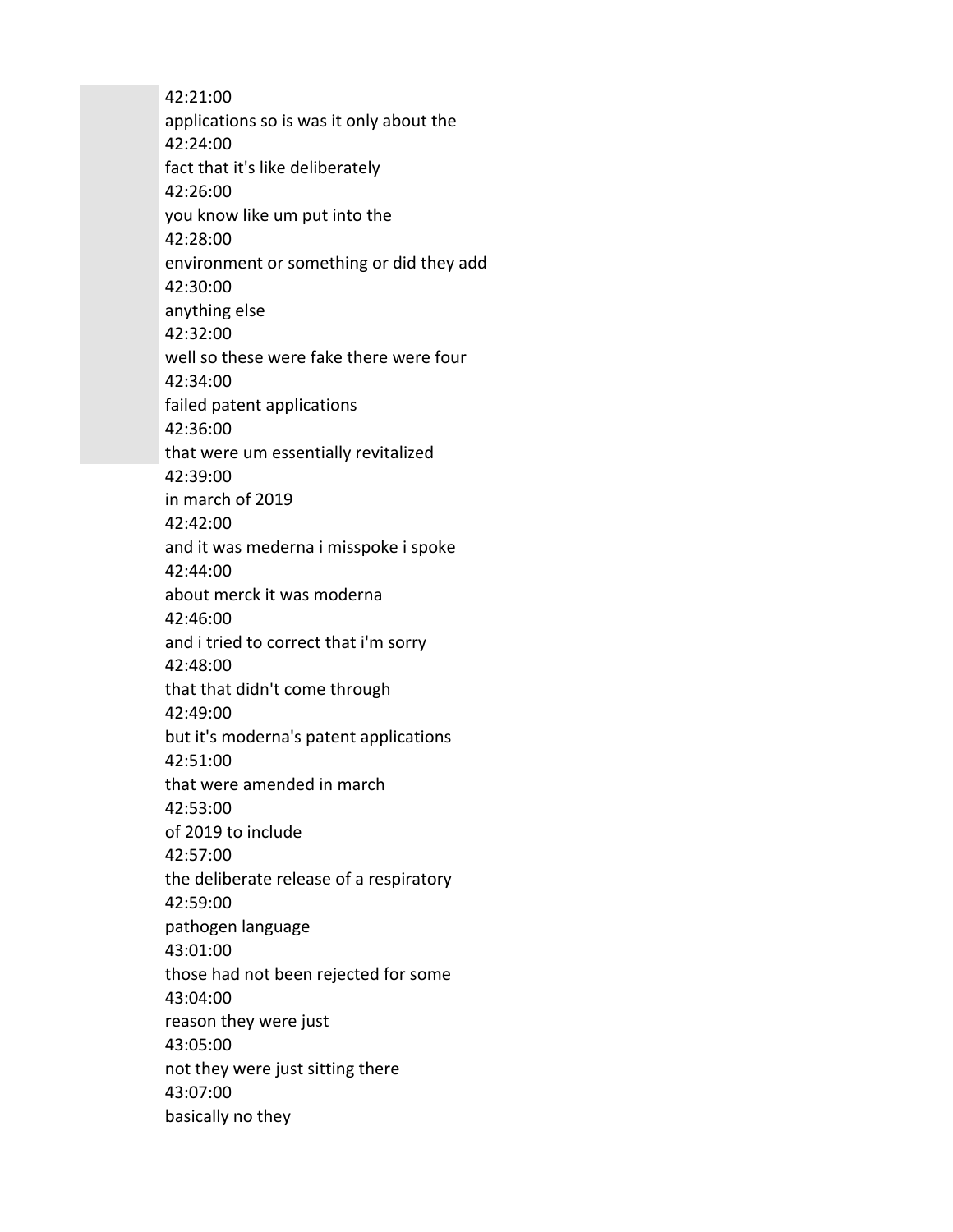42:21:00 applications so is was it only about the 42:24:00 fact that it's like deliberately 42:26:00 you know like um put into the 42:28:00 environment or something or did they add 42:30:00 anything else 42:32:00 well so these were fake there were four 42:34:00 failed patent applications 42:36:00 that were um essentially revitalized 42:39:00 in march of 2019 42:42:00 and it was mederna i misspoke i spoke 42:44:00 about merck it was moderna 42:46:00 and i tried to correct that i'm sorry 42:48:00 that that didn't come through 42:49:00 but it's moderna's patent applications 42:51:00 that were amended in march 42:53:00 of 2019 to include 42:57:00 the deliberate release of a respiratory 42:59:00 pathogen language 43:01:00 those had not been rejected for some 43:04:00 reason they were just 43:05:00 not they were just sitting there 43:07:00 basically no they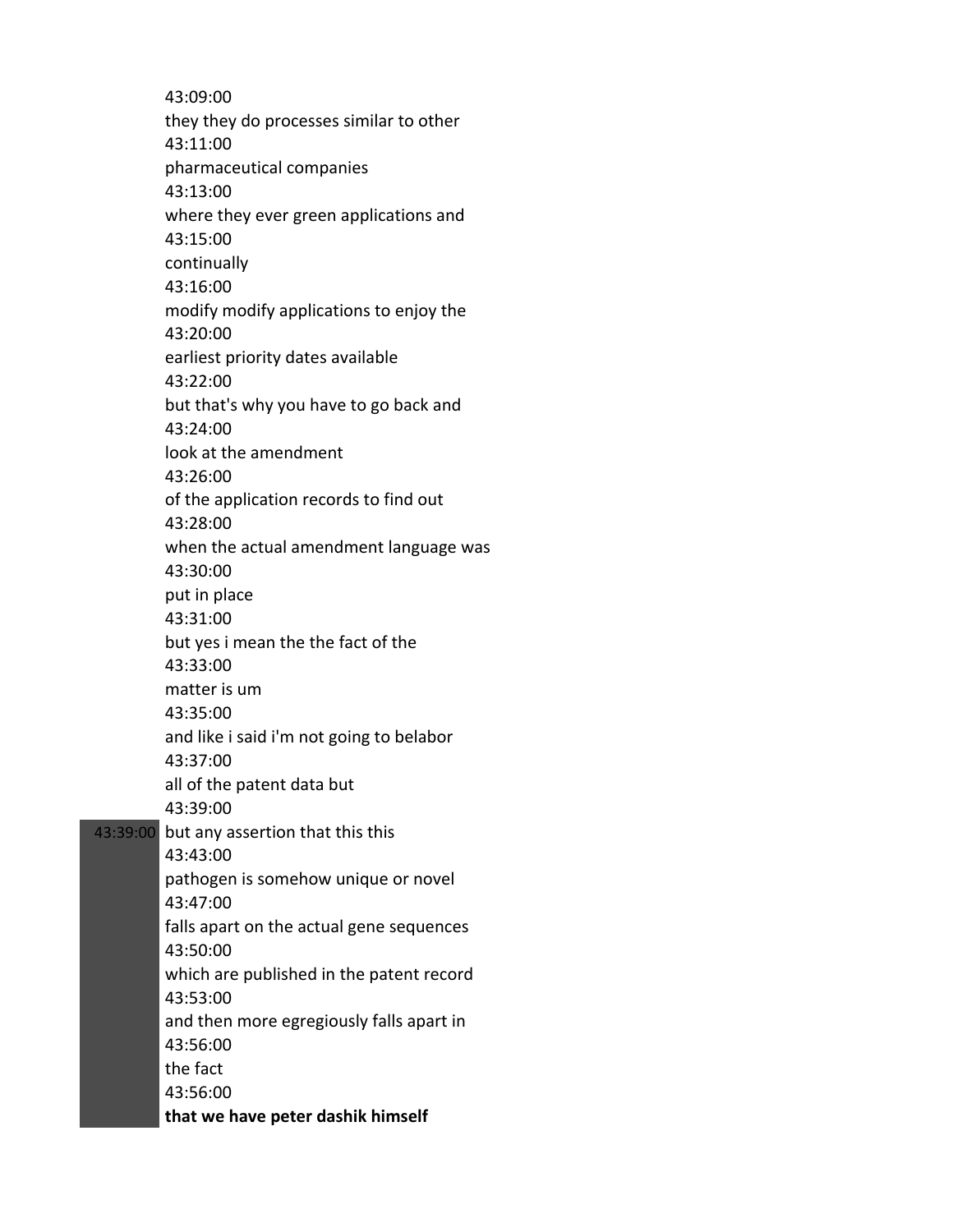43:09:00 they they do processes similar to other 43:11:00 pharmaceutical companies 43:13:00 where they ever green applications and 43:15:00 continually 43:16:00 modify modify applications to enjoy the 43:20:00 earliest priority dates available 43:22:00 but that's why you have to go back and 43:24:00 look at the amendment 43:26:00 of the application records to find out 43:28:00 when the actual amendment language was 43:30:00 put in place 43:31:00 but yes i mean the the fact of the 43:33:00 matter is um 43:35:00 and like i said i'm not going to belabor 43:37:00 all of the patent data but 43:39:00 43:39:00 but any assertion that this this 43:43:00 pathogen is somehow unique or novel 43:47:00 falls apart on the actual gene sequences 43:50:00 which are published in the patent record 43:53:00 and then more egregiously falls apart in 43:56:00 the fact 43:56:00 **that we have peter dashik himself**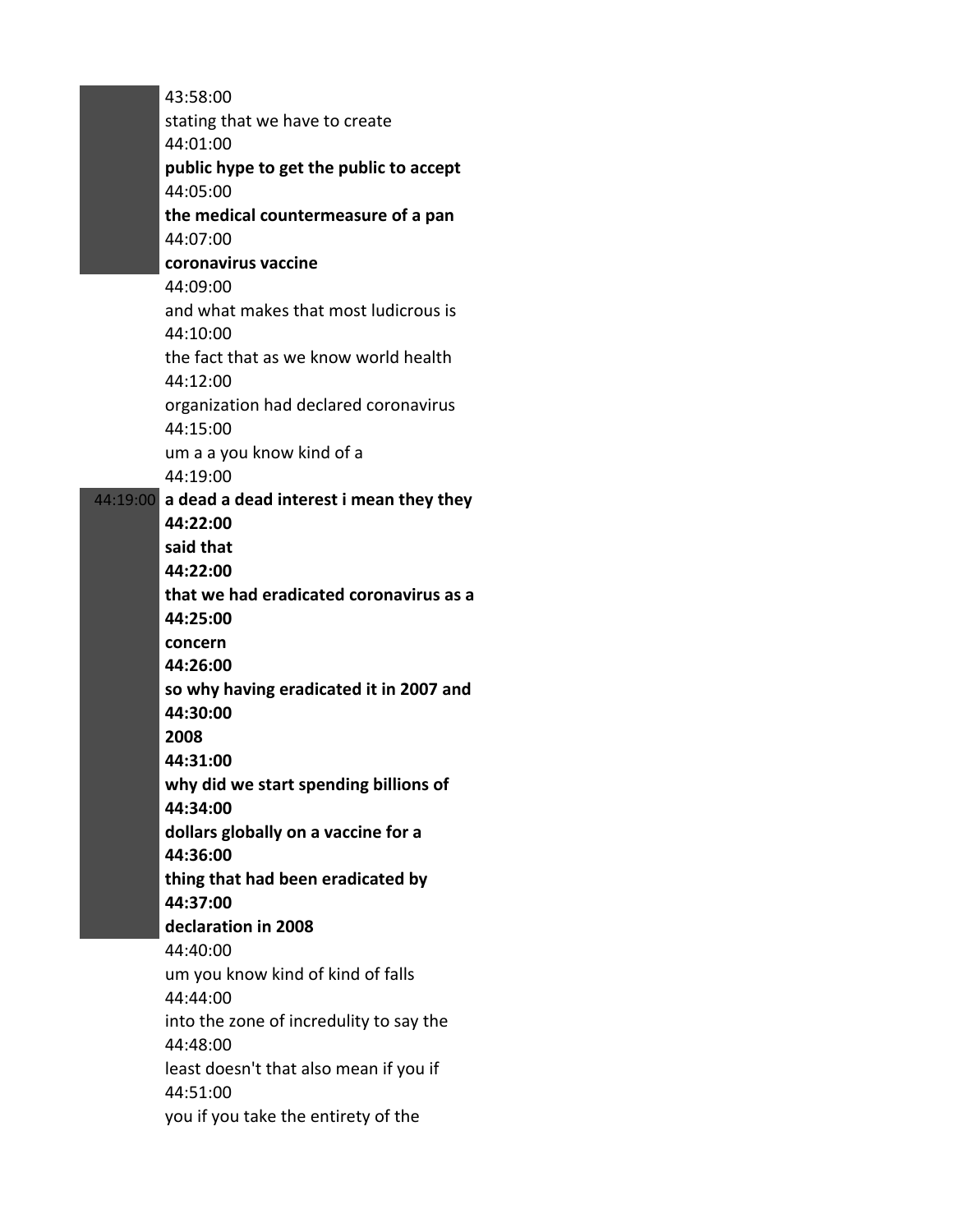| 43:58:00                                         |
|--------------------------------------------------|
| stating that we have to create                   |
| 44:01:00                                         |
| public hype to get the public to accept          |
| 44:05:00                                         |
| the medical countermeasure of a pan              |
| 44:07:00                                         |
| coronavirus vaccine                              |
| 44:09:00                                         |
| and what makes that most ludicrous is            |
| 44:10:00                                         |
| the fact that as we know world health            |
| 44:12:00                                         |
| organization had declared coronavirus            |
| 44:15:00                                         |
| um a a you know kind of a                        |
| 44:19:00                                         |
| 44:19:00 a dead a dead interest i mean they they |
| 44:22:00                                         |
| said that                                        |
| 44:22:00                                         |
| that we had eradicated coronavirus as a          |
| 44:25:00                                         |
| concern                                          |
| 44:26:00                                         |
| so why having eradicated it in 2007 and          |
| 44:30:00                                         |
| 2008                                             |
| 44:31:00                                         |
| why did we start spending billions of            |
| 44:34:00                                         |
| dollars globally on a vaccine for a              |
| 44:36:00                                         |
| thing that had been eradicated by                |
| 44:37:00                                         |
| declaration in 2008                              |
| 44:40:00                                         |
| um you know kind of kind of falls                |
| 44:44:00                                         |
| into the zone of incredulity to say the          |
| 44:48:00                                         |
| least doesn't that also mean if you if           |
| 44:51:00                                         |
| you if you take the entirety of the              |
|                                                  |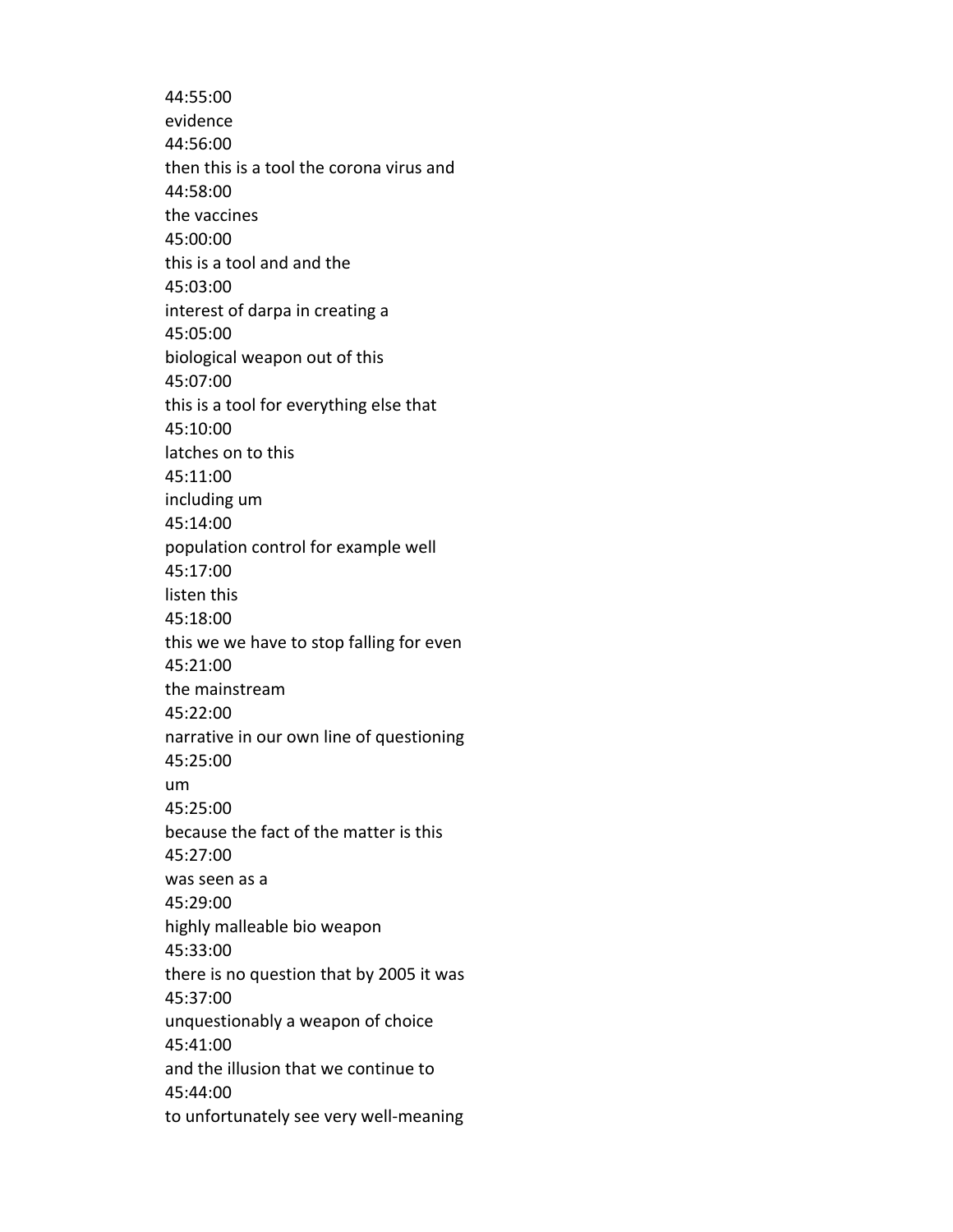44:55:00 evidence 44:56:00 then this is a tool the corona virus and 44:58:00 the vaccines 45:00:00 this is a tool and and the 45:03:00 interest of darpa in creating a 45:05:00 biological weapon out of this 45:07:00 this is a tool for everything else that 45:10:00 latches on to this 45:11:00 including um 45:14:00 population control for example well 45:17:00 listen this 45:18:00 this we we have to stop falling for even 45:21:00 the mainstream 45:22:00 narrative in our own line of questioning 45:25:00 um 45:25:00 because the fact of the matter is this 45:27:00 was seen as a 45:29:00 highly malleable bio weapon 45:33:00 there is no question that by 2005 it was 45:37:00 unquestionably a weapon of choice 45:41:00 and the illusion that we continue to 45:44:00 to unfortunately see very well-meaning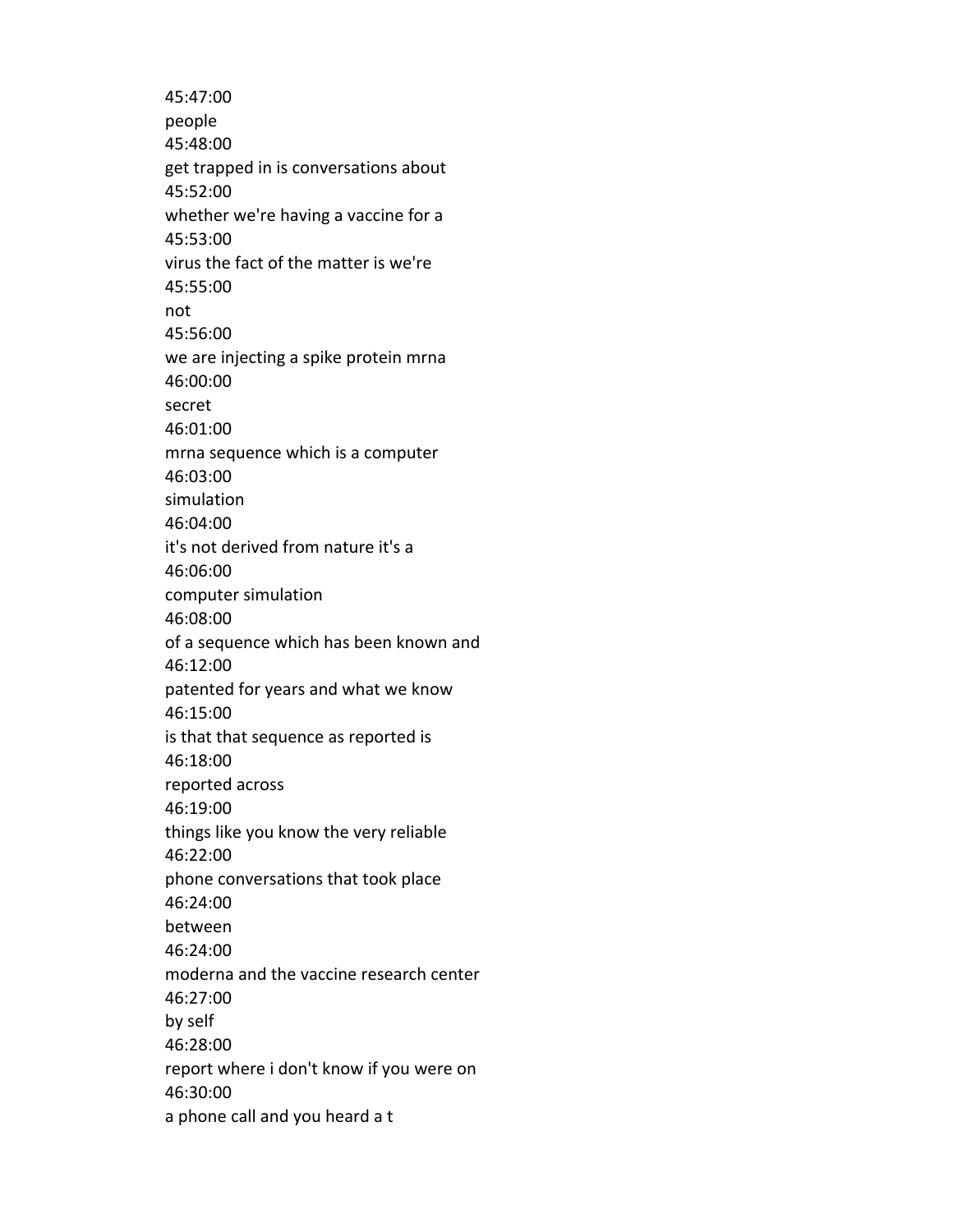45:47:00 people 45:48:00 get trapped in is conversations about 45:52:00 whether we're having a vaccine for a 45:53:00 virus the fact of the matter is we're 45:55:00 not 45:56:00 we are injecting a spike protein mrna 46:00:00 secret 46:01:00 mrna sequence which is a computer 46:03:00 simulation 46:04:00 it's not derived from nature it's a 46:06:00 computer simulation 46:08:00 of a sequence which has been known and 46:12:00 patented for years and what we know 46:15:00 is that that sequence as reported is 46:18:00 reported across 46:19:00 things like you know the very reliable 46:22:00 phone conversations that took place 46:24:00 between 46:24:00 moderna and the vaccine research center 46:27:00 by self 46:28:00 report where i don't know if you were on 46:30:00 a phone call and you heard a t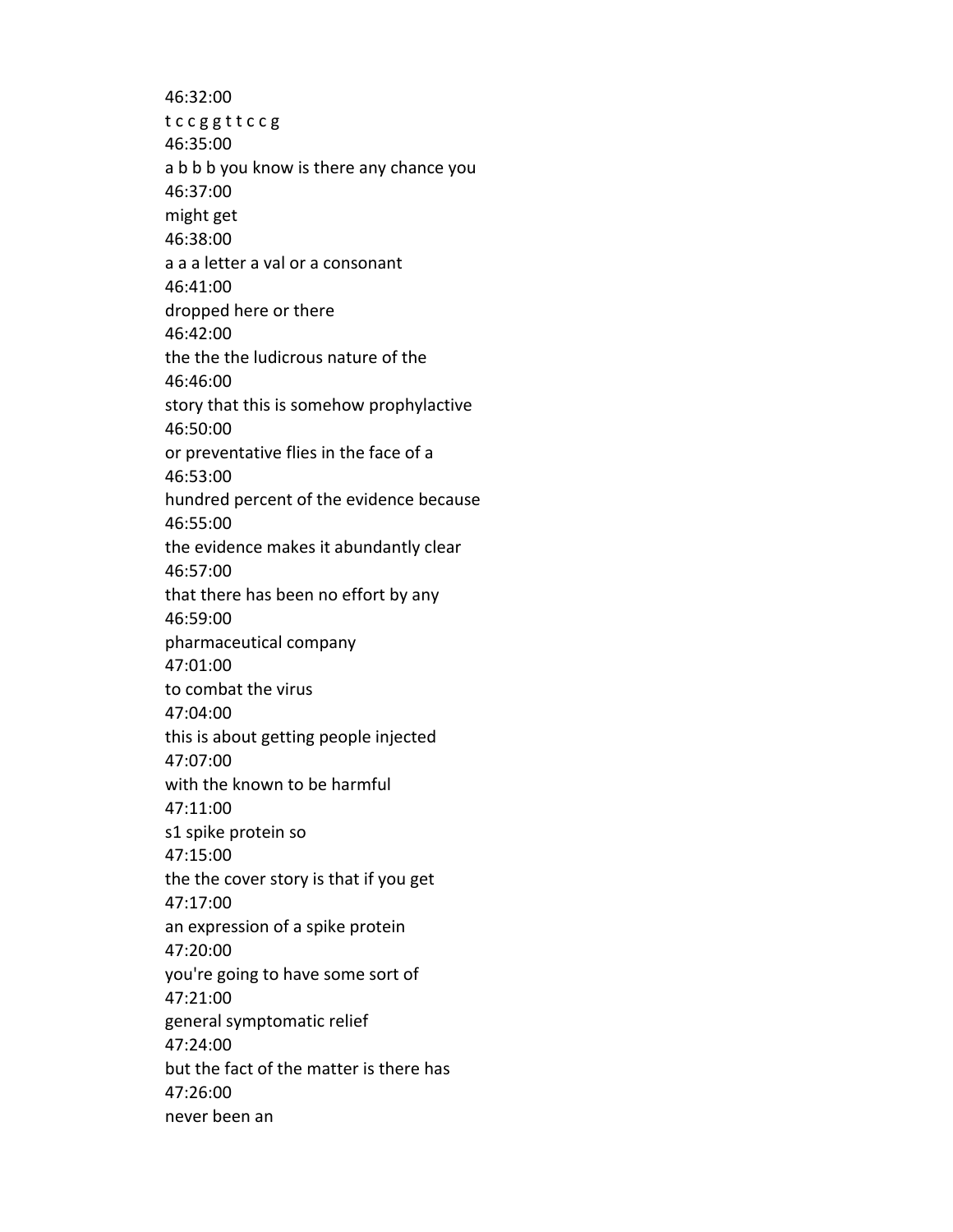46:32:00 t c c g g t t c c g 46:35:00 a b b b you know is there any chance you 46:37:00 might get 46:38:00 a a a letter a val or a consonant 46:41:00 dropped here or there 46:42:00 the the the ludicrous nature of the 46:46:00 story that this is somehow prophylactive 46:50:00 or preventative flies in the face of a 46:53:00 hundred percent of the evidence because 46:55:00 the evidence makes it abundantly clear 46:57:00 that there has been no effort by any 46:59:00 pharmaceutical company 47:01:00 to combat the virus 47:04:00 this is about getting people injected 47:07:00 with the known to be harmful 47:11:00 s1 spike protein so 47:15:00 the the cover story is that if you get 47:17:00 an expression of a spike protein 47:20:00 you're going to have some sort of 47:21:00 general symptomatic relief 47:24:00 but the fact of the matter is there has 47:26:00 never been an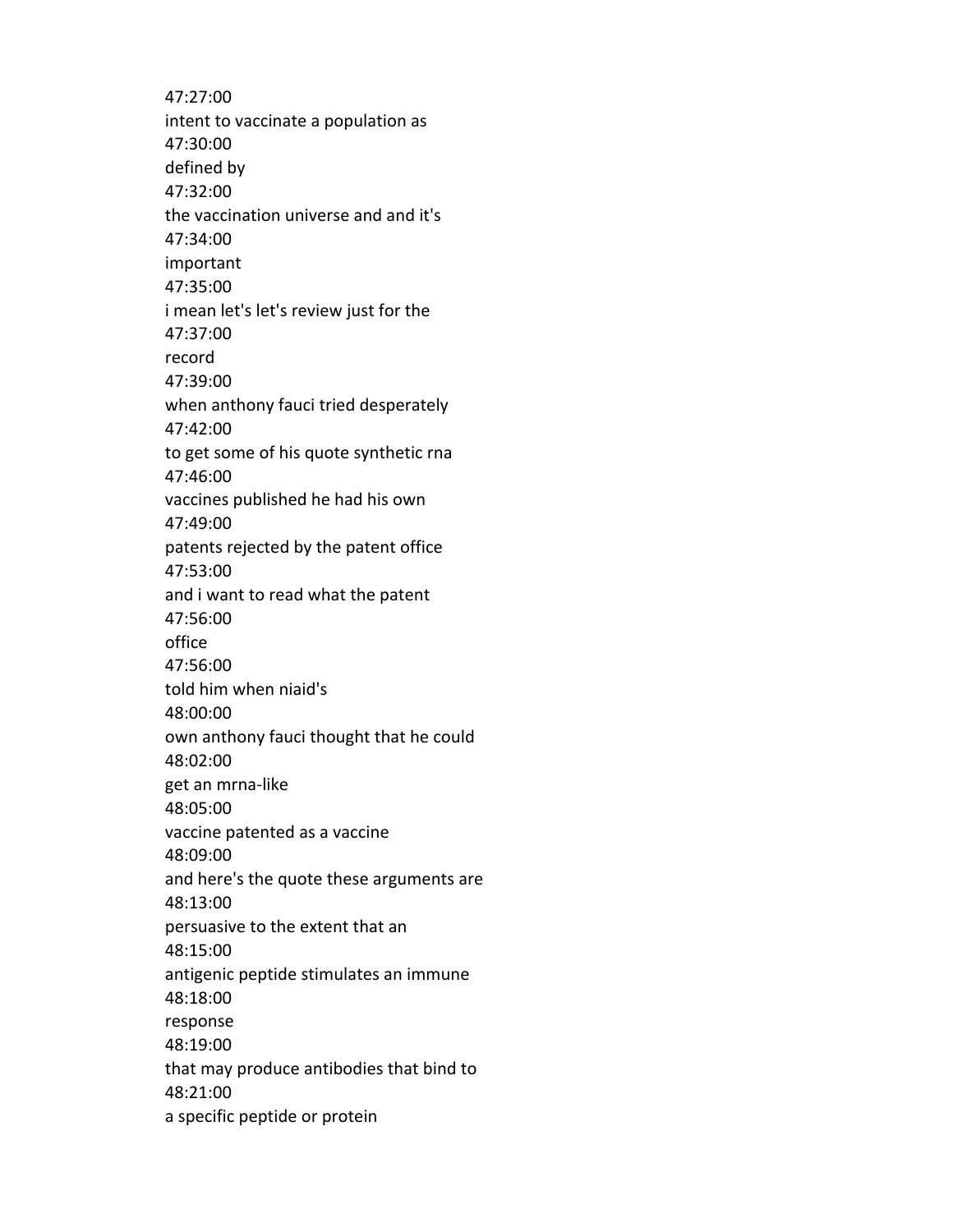47:27:00 intent to vaccinate a population as 47:30:00 defined by 47:32:00 the vaccination universe and and it's 47:34:00 important 47:35:00 i mean let's let's review just for the 47:37:00 record 47:39:00 when anthony fauci tried desperately 47:42:00 to get some of his quote synthetic rna 47:46:00 vaccines published he had his own 47:49:00 patents rejected by the patent office 47:53:00 and i want to read what the patent 47:56:00 office 47:56:00 told him when niaid's 48:00:00 own anthony fauci thought that he could 48:02:00 get an mrna-like 48:05:00 vaccine patented as a vaccine 48:09:00 and here's the quote these arguments are 48:13:00 persuasive to the extent that an 48:15:00 antigenic peptide stimulates an immune 48:18:00 response 48:19:00 that may produce antibodies that bind to 48:21:00 a specific peptide or protein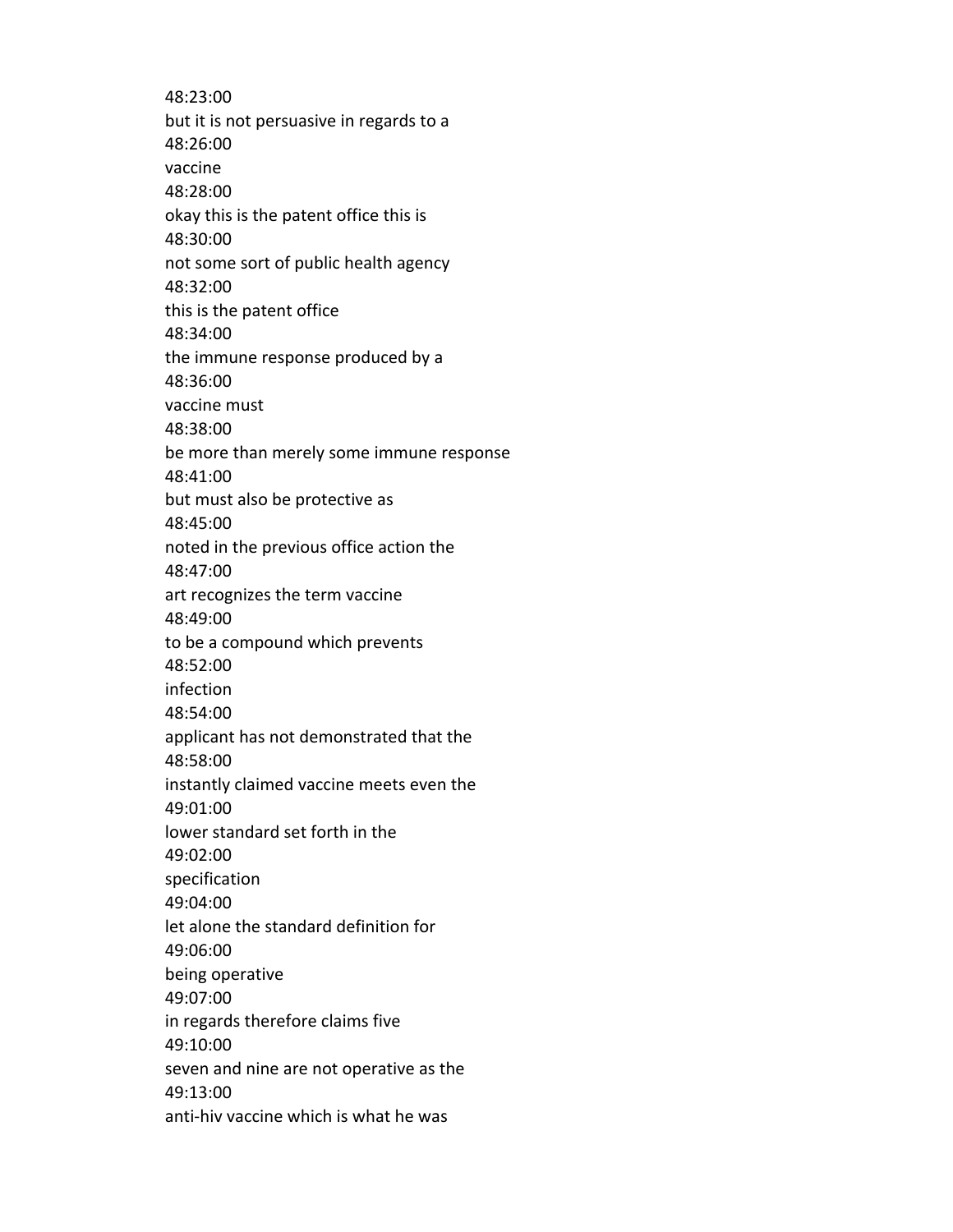48:23:00 but it is not persuasive in regards to a 48:26:00 vaccine 48:28:00 okay this is the patent office this is 48:30:00 not some sort of public health agency 48:32:00 this is the patent office 48:34:00 the immune response produced by a 48:36:00 vaccine must 48:38:00 be more than merely some immune response 48:41:00 but must also be protective as 48:45:00 noted in the previous office action the 48:47:00 art recognizes the term vaccine 48:49:00 to be a compound which prevents 48:52:00 infection 48:54:00 applicant has not demonstrated that the 48:58:00 instantly claimed vaccine meets even the 49:01:00 lower standard set forth in the 49:02:00 specification 49:04:00 let alone the standard definition for 49:06:00 being operative 49:07:00 in regards therefore claims five 49:10:00 seven and nine are not operative as the 49:13:00 anti-hiv vaccine which is what he was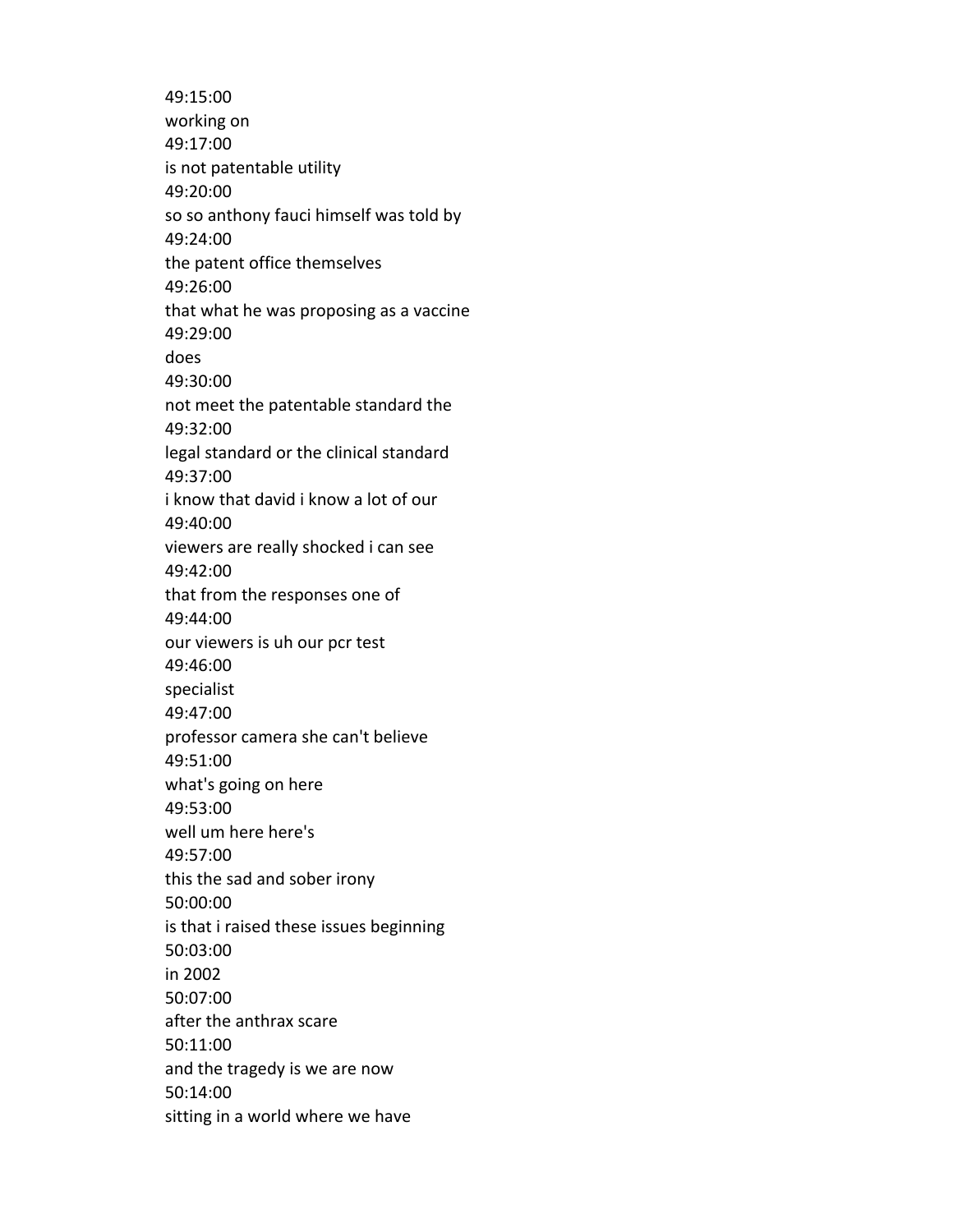49:15:00 working on 49:17:00 is not patentable utility 49:20:00 so so anthony fauci himself was told by 49:24:00 the patent office themselves 49:26:00 that what he was proposing as a vaccine 49:29:00 does 49:30:00 not meet the patentable standard the 49:32:00 legal standard or the clinical standard 49:37:00 i know that david i know a lot of our 49:40:00 viewers are really shocked i can see 49:42:00 that from the responses one of 49:44:00 our viewers is uh our pcr test 49:46:00 specialist 49:47:00 professor camera she can't believe 49:51:00 what's going on here 49:53:00 well um here here's 49:57:00 this the sad and sober irony 50:00:00 is that i raised these issues beginning 50:03:00 in 2002 50:07:00 after the anthrax scare 50:11:00 and the tragedy is we are now 50:14:00 sitting in a world where we have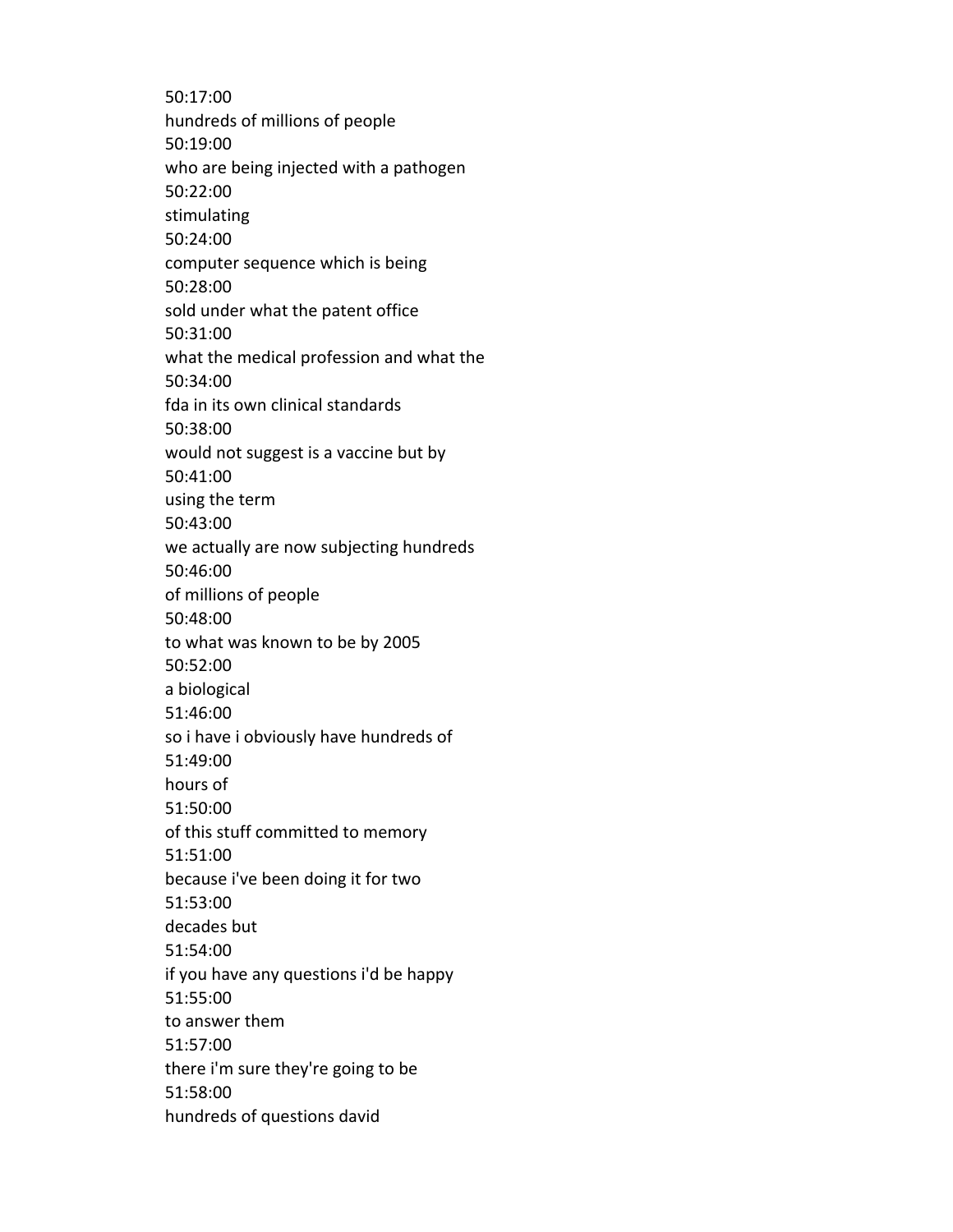50:17:00 hundreds of millions of people 50:19:00 who are being injected with a pathogen 50:22:00 stimulating 50:24:00 computer sequence which is being 50:28:00 sold under what the patent office 50:31:00 what the medical profession and what the 50:34:00 fda in its own clinical standards 50:38:00 would not suggest is a vaccine but by 50:41:00 using the term 50:43:00 we actually are now subjecting hundreds 50:46:00 of millions of people 50:48:00 to what was known to be by 2005 50:52:00 a biological 51:46:00 so i have i obviously have hundreds of 51:49:00 hours of 51:50:00 of this stuff committed to memory 51:51:00 because i've been doing it for two 51:53:00 decades but 51:54:00 if you have any questions i'd be happy 51:55:00 to answer them 51:57:00 there i'm sure they're going to be 51:58:00 hundreds of questions david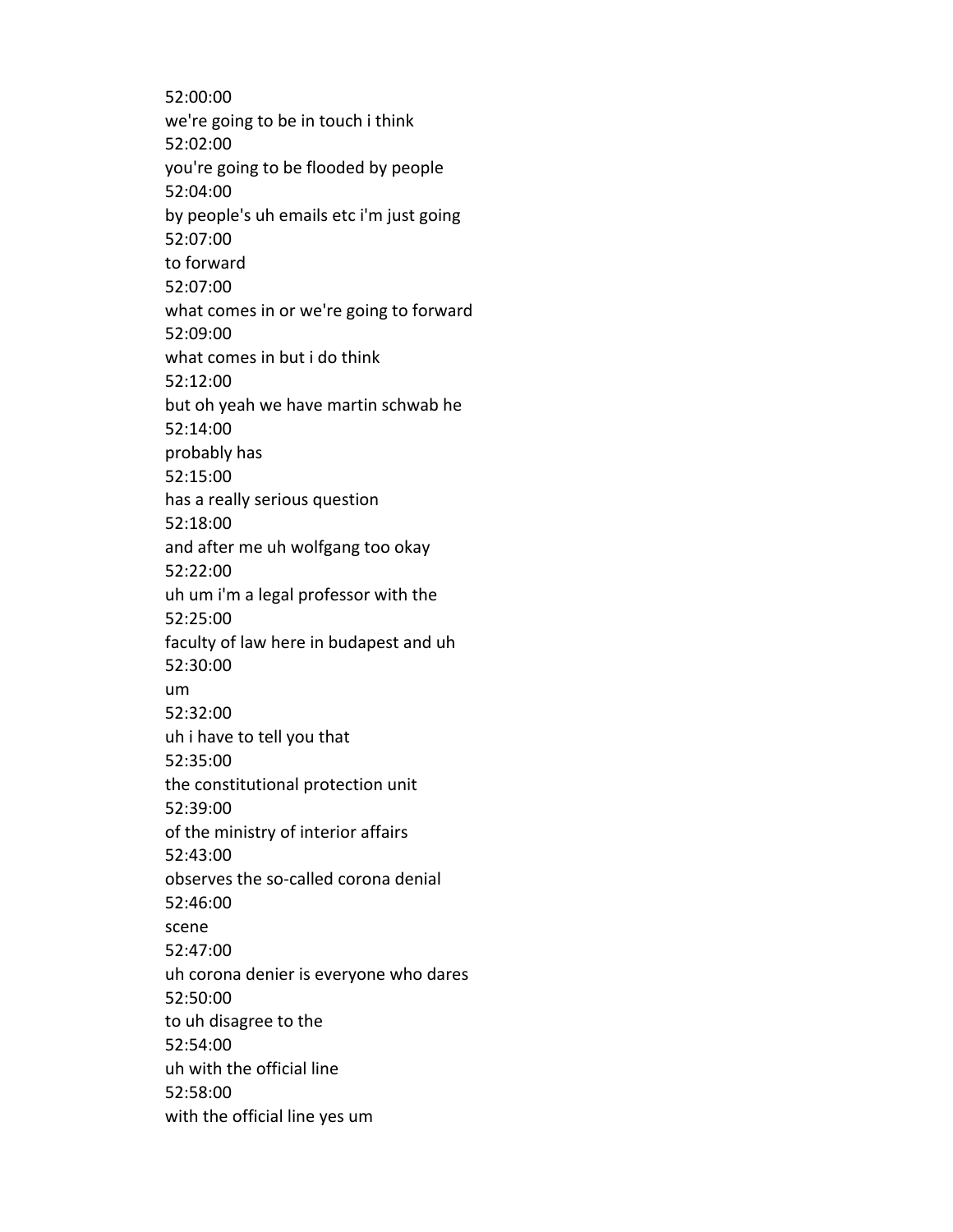52:00:00 we're going to be in touch i think 52:02:00 you're going to be flooded by people 52:04:00 by people's uh emails etc i'm just going 52:07:00 to forward 52:07:00 what comes in or we're going to forward 52:09:00 what comes in but i do think 52:12:00 but oh yeah we have martin schwab he 52:14:00 probably has 52:15:00 has a really serious question 52:18:00 and after me uh wolfgang too okay 52:22:00 uh um i'm a legal professor with the 52:25:00 faculty of law here in budapest and uh 52:30:00 um 52:32:00 uh i have to tell you that 52:35:00 the constitutional protection unit 52:39:00 of the ministry of interior affairs 52:43:00 observes the so-called corona denial 52:46:00 scene 52:47:00 uh corona denier is everyone who dares 52:50:00 to uh disagree to the 52:54:00 uh with the official line 52:58:00 with the official line yes um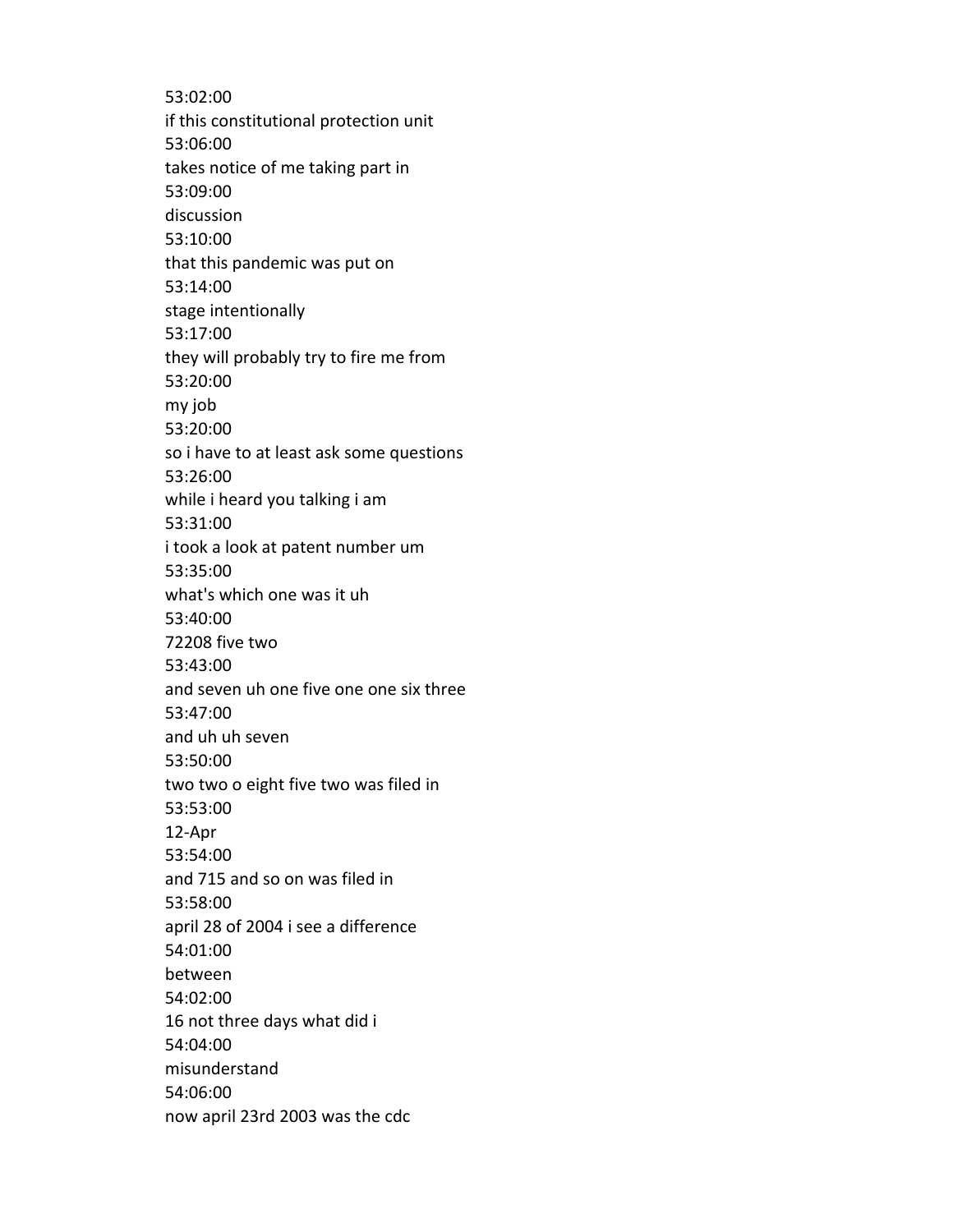53:02:00 if this constitutional protection unit 53:06:00 takes notice of me taking part in 53:09:00 discussion 53:10:00 that this pandemic was put on 53:14:00 stage intentionally 53:17:00 they will probably try to fire me from 53:20:00 my job 53:20:00 so i have to at least ask some questions 53:26:00 while i heard you talking i am 53:31:00 i took a look at patent number um 53:35:00 what's which one was it uh 53:40:00 72208 five two 53:43:00 and seven uh one five one one six three 53:47:00 and uh uh seven 53:50:00 two two o eight five two was filed in 53:53:00 12-Apr 53:54:00 and 715 and so on was filed in 53:58:00 april 28 of 2004 i see a difference 54:01:00 between 54:02:00 16 not three days what did i 54:04:00 misunderstand 54:06:00 now april 23rd 2003 was the cdc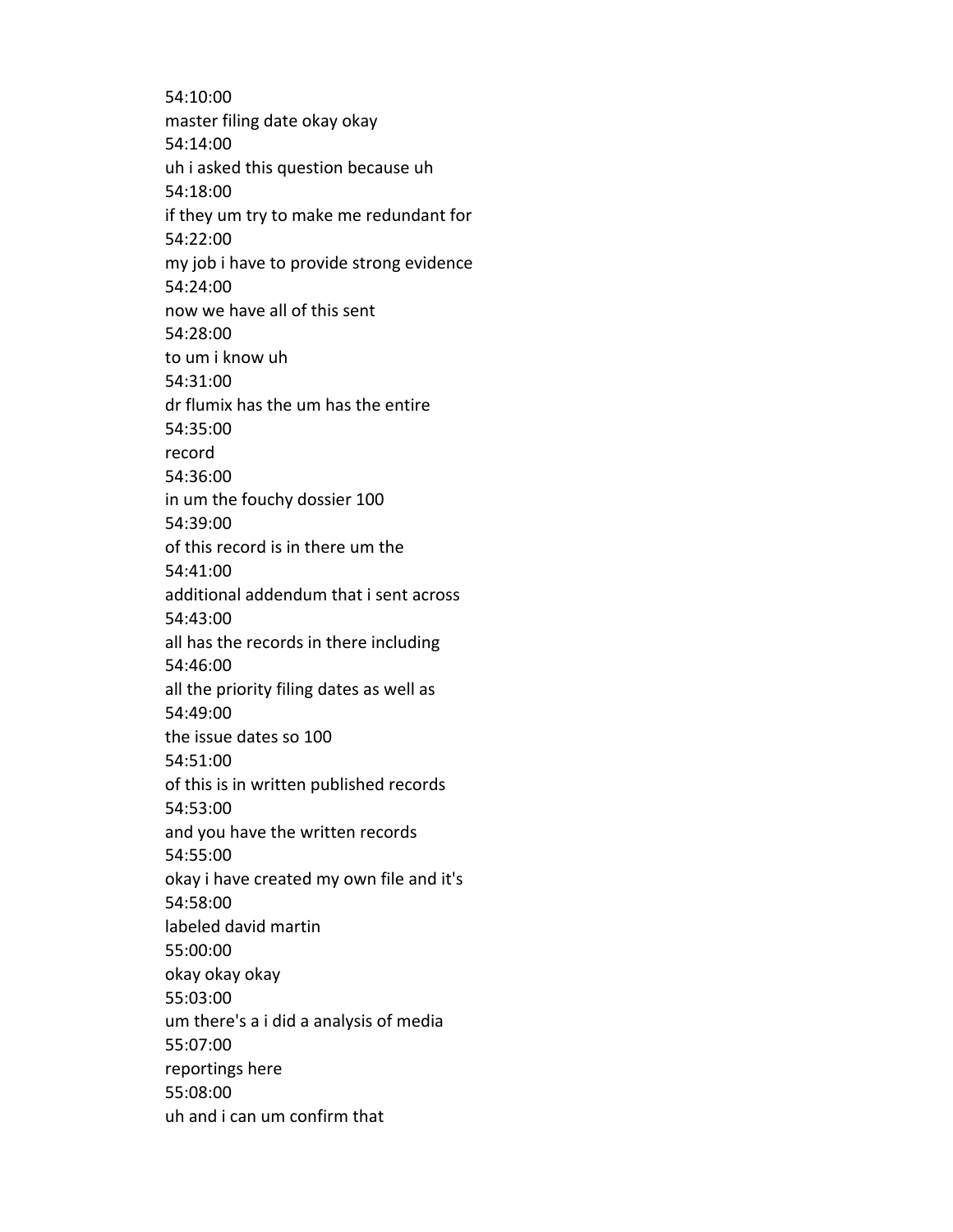54:10:00 master filing date okay okay 54:14:00 uh i asked this question because uh 54:18:00 if they um try to make me redundant for 54:22:00 my job i have to provide strong evidence 54:24:00 now we have all of this sent 54:28:00 to um i know uh 54:31:00 dr flumix has the um has the entire 54:35:00 record 54:36:00 in um the fouchy dossier 100 54:39:00 of this record is in there um the 54:41:00 additional addendum that i sent across 54:43:00 all has the records in there including 54:46:00 all the priority filing dates as well as 54:49:00 the issue dates so 100 54:51:00 of this is in written published records 54:53:00 and you have the written records 54:55:00 okay i have created my own file and it's 54:58:00 labeled david martin 55:00:00 okay okay okay 55:03:00 um there's a i did a analysis of media 55:07:00 reportings here 55:08:00 uh and i can um confirm that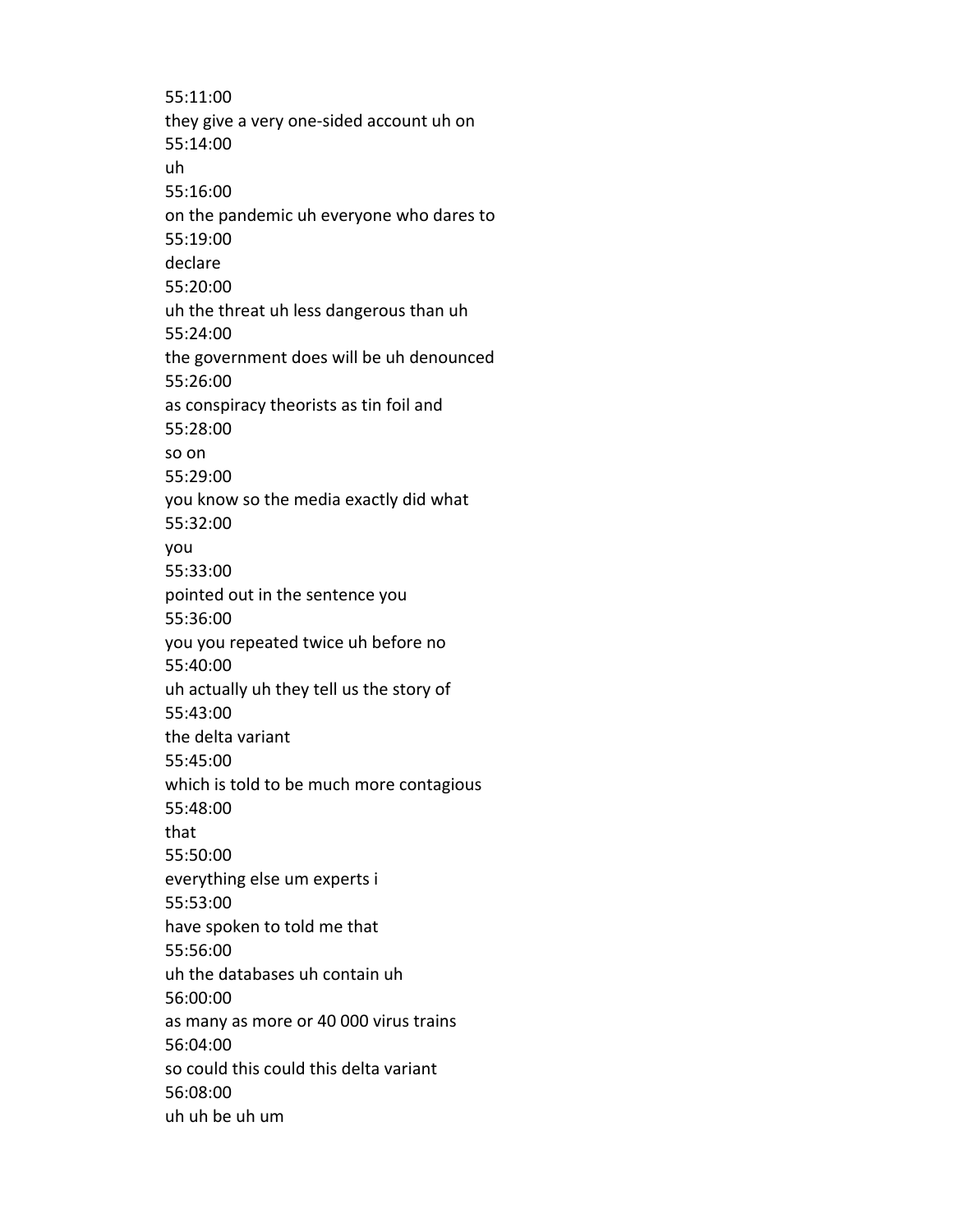55:11:00 they give a very one-sided account uh on 55:14:00 uh 55:16:00 on the pandemic uh everyone who dares to 55:19:00 declare 55:20:00 uh the threat uh less dangerous than uh 55:24:00 the government does will be uh denounced 55:26:00 as conspiracy theorists as tin foil and 55:28:00 so on 55:29:00 you know so the media exactly did what 55:32:00 you 55:33:00 pointed out in the sentence you 55:36:00 you you repeated twice uh before no 55:40:00 uh actually uh they tell us the story of 55:43:00 the delta variant 55:45:00 which is told to be much more contagious 55:48:00 that 55:50:00 everything else um experts i 55:53:00 have spoken to told me that 55:56:00 uh the databases uh contain uh 56:00:00 as many as more or 40 000 virus trains 56:04:00 so could this could this delta variant 56:08:00 uh uh be uh um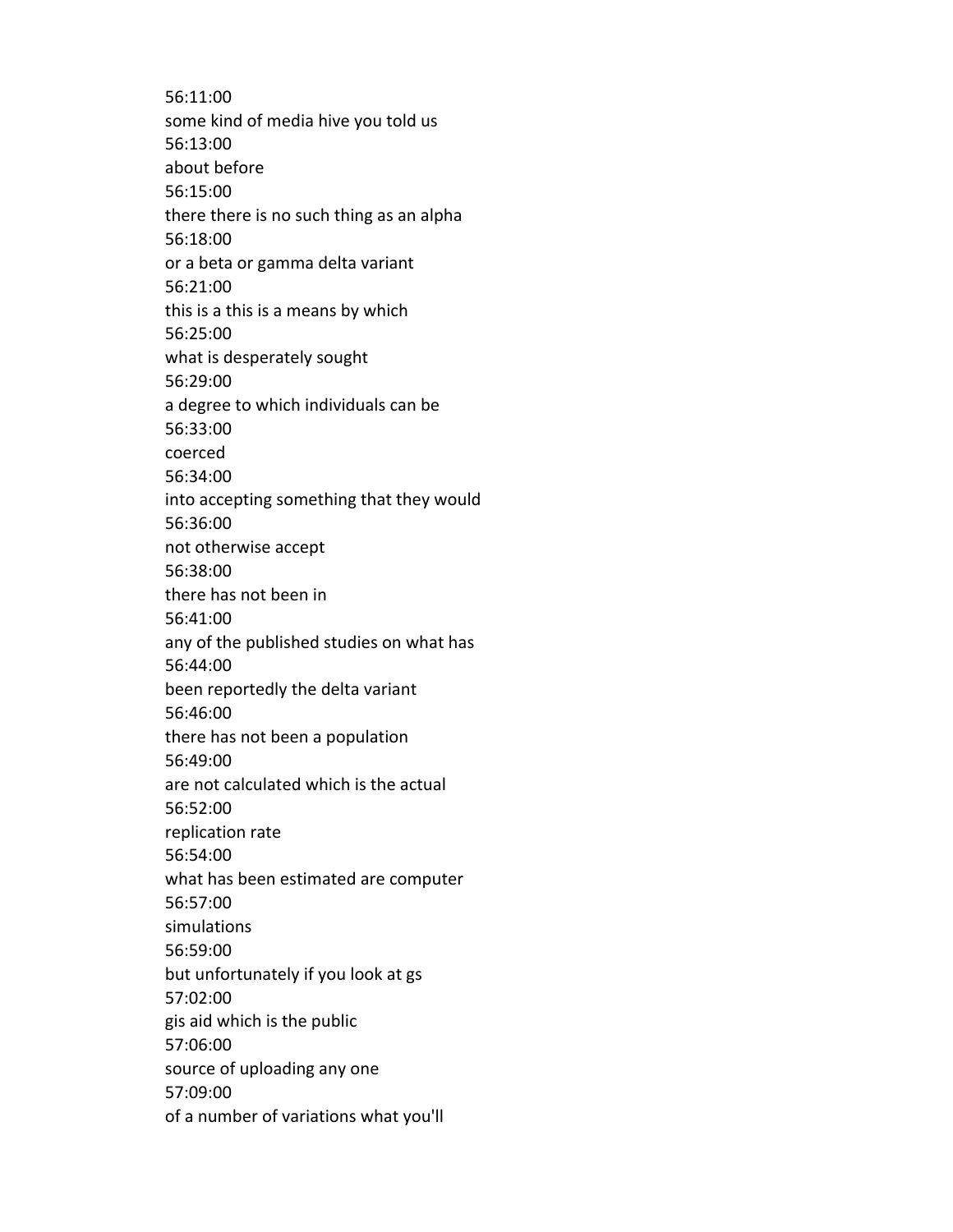56:11:00 some kind of media hive you told us 56:13:00 about before 56:15:00 there there is no such thing as an alpha 56:18:00 or a beta or gamma delta variant 56:21:00 this is a this is a means by which 56:25:00 what is desperately sought 56:29:00 a degree to which individuals can be 56:33:00 coerced 56:34:00 into accepting something that they would 56:36:00 not otherwise accept 56:38:00 there has not been in 56:41:00 any of the published studies on what has 56:44:00 been reportedly the delta variant 56:46:00 there has not been a population 56:49:00 are not calculated which is the actual 56:52:00 replication rate 56:54:00 what has been estimated are computer 56:57:00 simulations 56:59:00 but unfortunately if you look at gs 57:02:00 gis aid which is the public 57:06:00 source of uploading any one 57:09:00 of a number of variations what you'll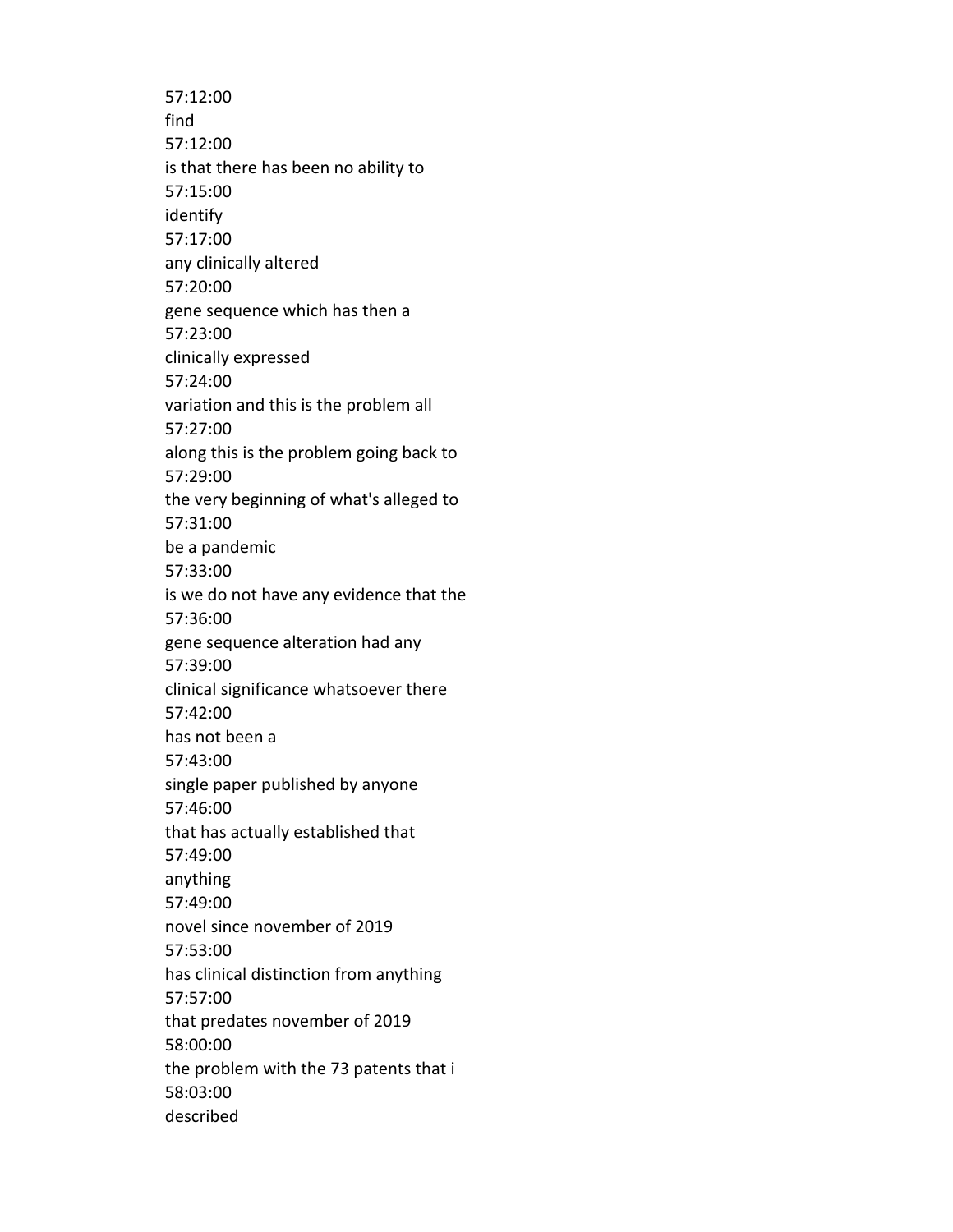57:12:00 find 57:12:00 is that there has been no ability to 57:15:00 identify 57:17:00 any clinically altered 57:20:00 gene sequence which has then a 57:23:00 clinically expressed 57:24:00 variation and this is the problem all 57:27:00 along this is the problem going back to 57:29:00 the very beginning of what's alleged to 57:31:00 be a pandemic 57:33:00 is we do not have any evidence that the 57:36:00 gene sequence alteration had any 57:39:00 clinical significance whatsoever there 57:42:00 has not been a 57:43:00 single paper published by anyone 57:46:00 that has actually established that 57:49:00 anything 57:49:00 novel since november of 2019 57:53:00 has clinical distinction from anything 57:57:00 that predates november of 2019 58:00:00 the problem with the 73 patents that i 58:03:00 described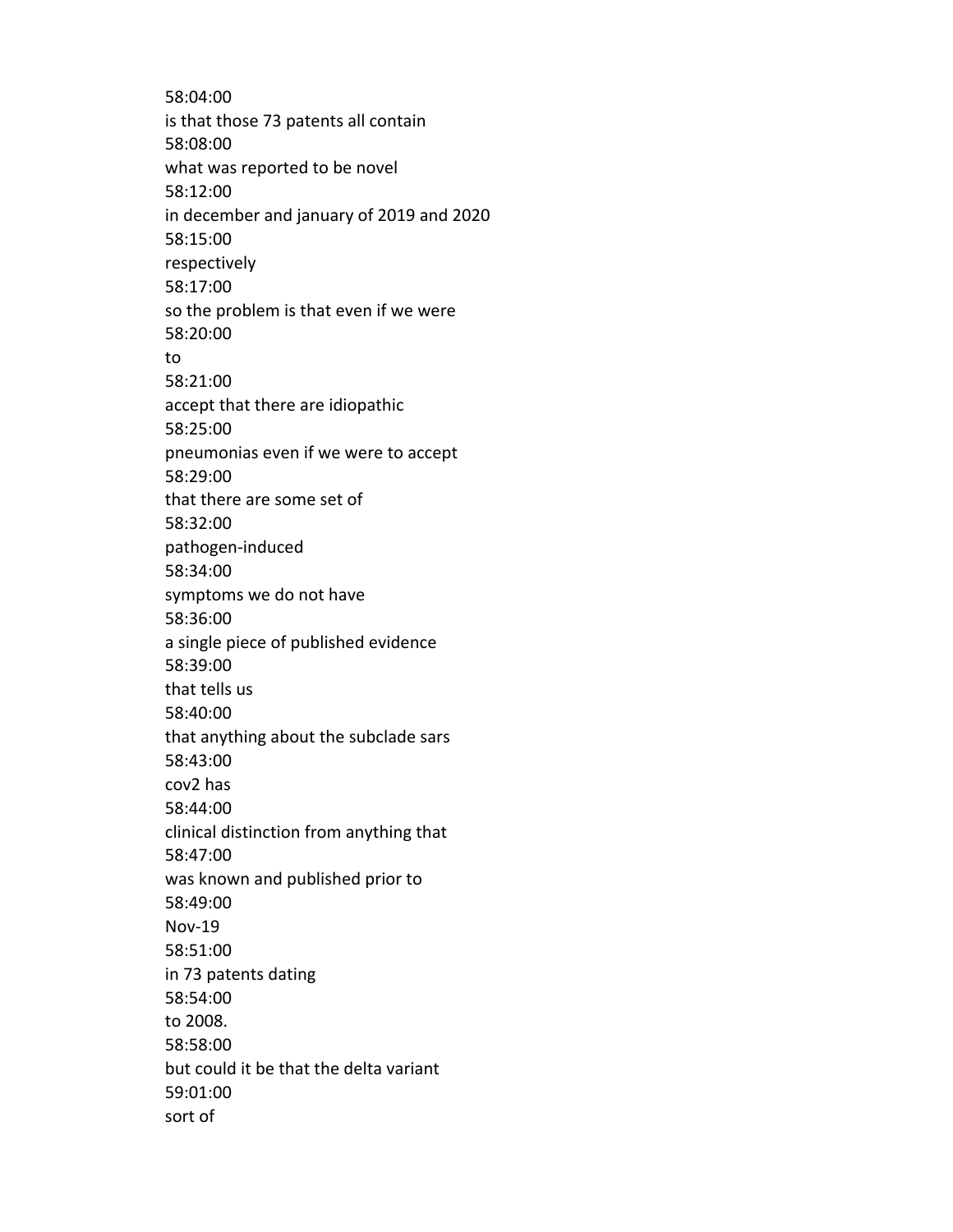58:04:00 is that those 73 patents all contain 58:08:00 what was reported to be novel 58:12:00 in december and january of 2019 and 2020 58:15:00 respectively 58:17:00 so the problem is that even if we were 58:20:00 to 58:21:00 accept that there are idiopathic 58:25:00 pneumonias even if we were to accept 58:29:00 that there are some set of 58:32:00 pathogen-induced 58:34:00 symptoms we do not have 58:36:00 a single piece of published evidence 58:39:00 that tells us 58:40:00 that anything about the subclade sars 58:43:00 cov2 has 58:44:00 clinical distinction from anything that 58:47:00 was known and published prior to 58:49:00 Nov-19 58:51:00 in 73 patents dating 58:54:00 to 2008. 58:58:00 but could it be that the delta variant 59:01:00 sort of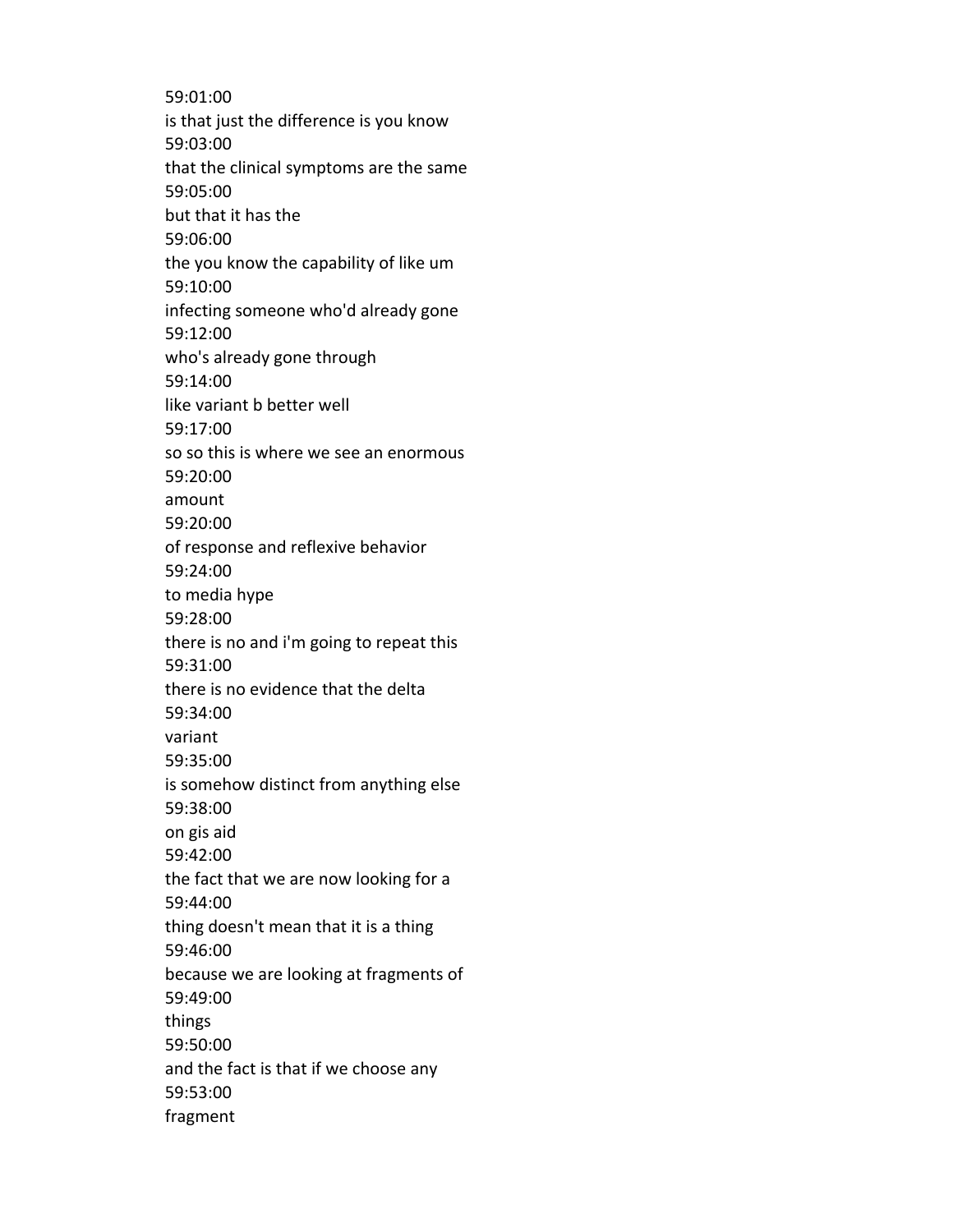59:01:00 is that just the difference is you know 59:03:00 that the clinical symptoms are the same 59:05:00 but that it has the 59:06:00 the you know the capability of like um 59:10:00 infecting someone who'd already gone 59:12:00 who's already gone through 59:14:00 like variant b better well 59:17:00 so so this is where we see an enormous 59:20:00 amount 59:20:00 of response and reflexive behavior 59:24:00 to media hype 59:28:00 there is no and i'm going to repeat this 59:31:00 there is no evidence that the delta 59:34:00 variant 59:35:00 is somehow distinct from anything else 59:38:00 on gis aid 59:42:00 the fact that we are now looking for a 59:44:00 thing doesn't mean that it is a thing 59:46:00 because we are looking at fragments of 59:49:00 things 59:50:00 and the fact is that if we choose any 59:53:00 fragment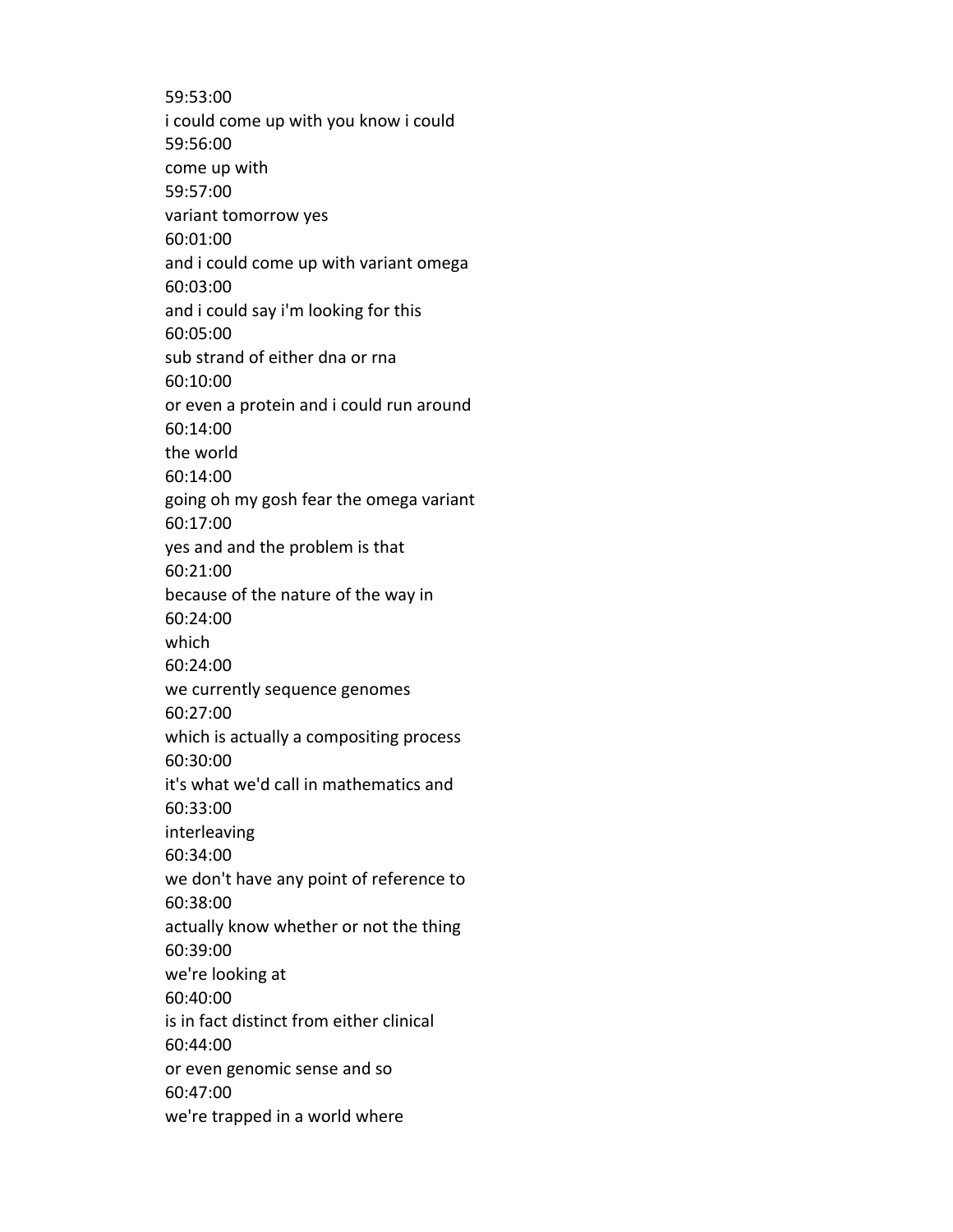59:53:00 i could come up with you know i could 59:56:00 come up with 59:57:00 variant tomorrow yes 60:01:00 and i could come up with variant omega 60:03:00 and i could say i'm looking for this 60:05:00 sub strand of either dna or rna 60:10:00 or even a protein and i could run around 60:14:00 the world 60:14:00 going oh my gosh fear the omega variant 60:17:00 yes and and the problem is that 60:21:00 because of the nature of the way in 60:24:00 which 60:24:00 we currently sequence genomes 60:27:00 which is actually a compositing process 60:30:00 it's what we'd call in mathematics and 60:33:00 interleaving 60:34:00 we don't have any point of reference to 60:38:00 actually know whether or not the thing 60:39:00 we're looking at 60:40:00 is in fact distinct from either clinical 60:44:00 or even genomic sense and so 60:47:00 we're trapped in a world where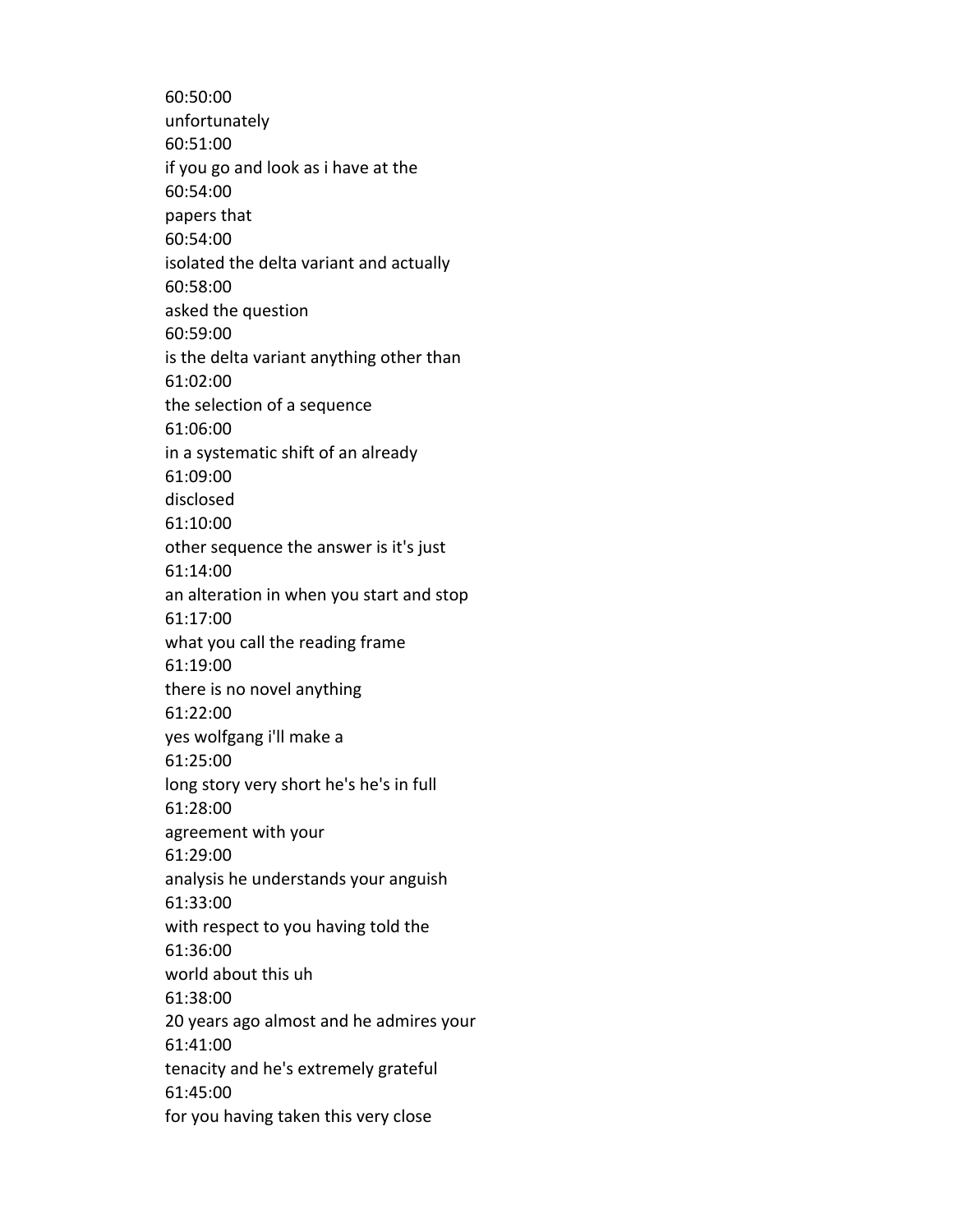60:50:00 unfortunately 60:51:00 if you go and look as i have at the 60:54:00 papers that 60:54:00 isolated the delta variant and actually 60:58:00 asked the question 60:59:00 is the delta variant anything other than 61:02:00 the selection of a sequence 61:06:00 in a systematic shift of an already 61:09:00 disclosed 61:10:00 other sequence the answer is it's just 61:14:00 an alteration in when you start and stop 61:17:00 what you call the reading frame 61:19:00 there is no novel anything 61:22:00 yes wolfgang i'll make a 61:25:00 long story very short he's he's in full 61:28:00 agreement with your 61:29:00 analysis he understands your anguish 61:33:00 with respect to you having told the 61:36:00 world about this uh 61:38:00 20 years ago almost and he admires your 61:41:00 tenacity and he's extremely grateful 61:45:00 for you having taken this very close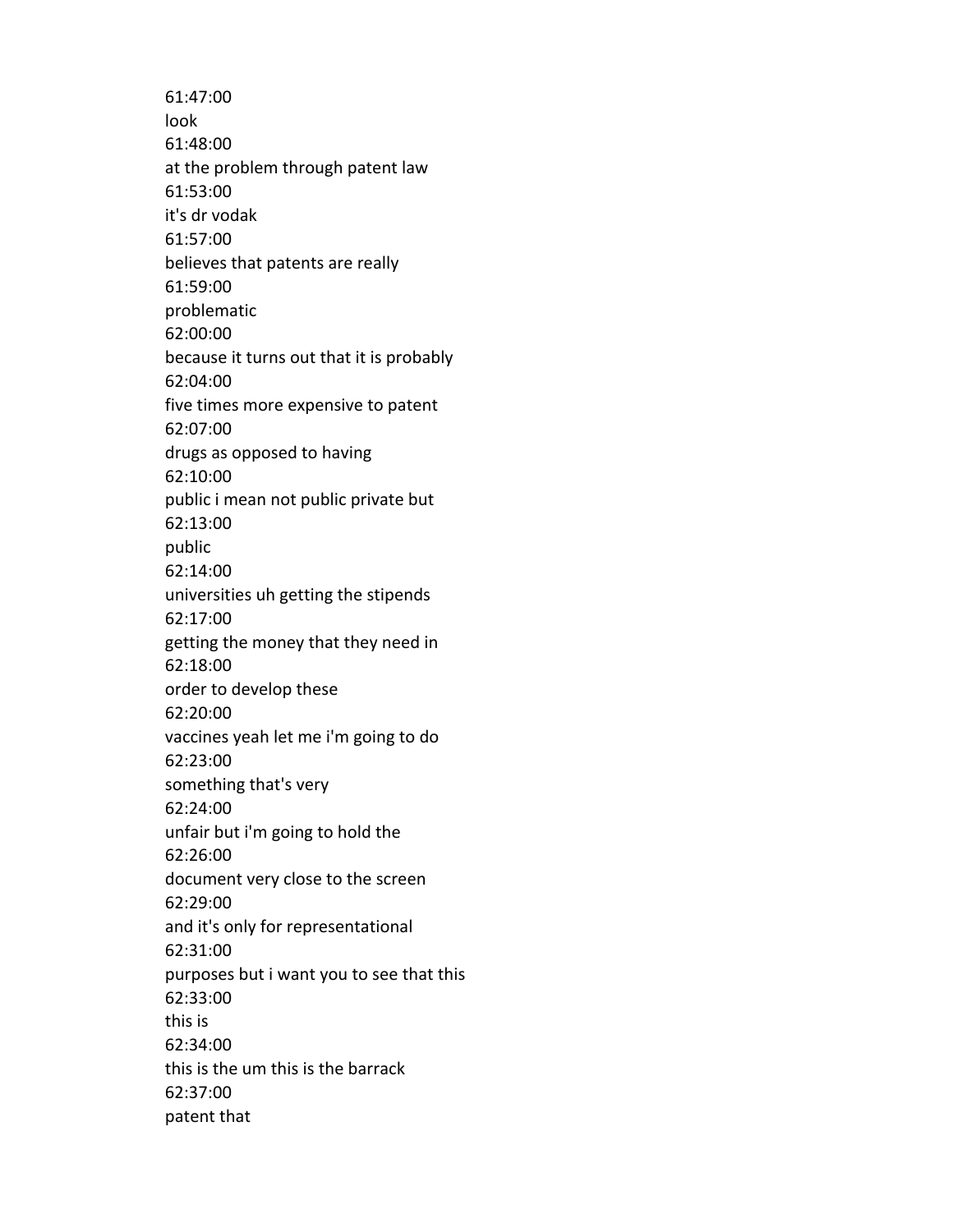61:47:00 look 61:48:00 at the problem through patent law 61:53:00 it's dr vodak 61:57:00 believes that patents are really 61:59:00 problematic 62:00:00 because it turns out that it is probably 62:04:00 five times more expensive to patent 62:07:00 drugs as opposed to having 62:10:00 public i mean not public private but 62:13:00 public 62:14:00 universities uh getting the stipends 62:17:00 getting the money that they need in 62:18:00 order to develop these 62:20:00 vaccines yeah let me i'm going to do 62:23:00 something that's very 62:24:00 unfair but i'm going to hold the 62:26:00 document very close to the screen 62:29:00 and it's only for representational 62:31:00 purposes but i want you to see that this 62:33:00 this is 62:34:00 this is the um this is the barrack 62:37:00 patent that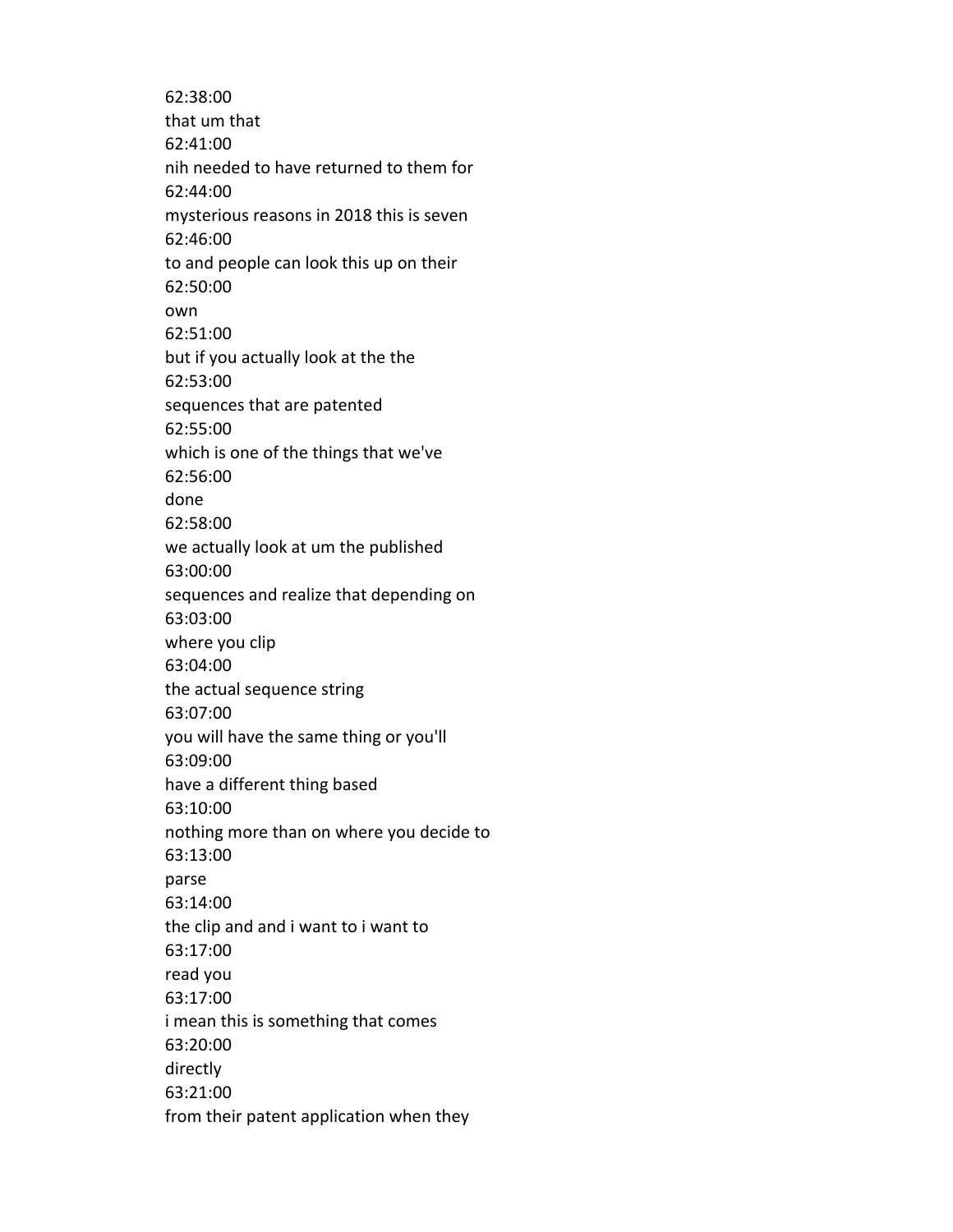62:38:00 that um that 62:41:00 nih needed to have returned to them for 62:44:00 mysterious reasons in 2018 this is seven 62:46:00 to and people can look this up on their 62:50:00 own 62:51:00 but if you actually look at the the 62:53:00 sequences that are patented 62:55:00 which is one of the things that we've 62:56:00 done 62:58:00 we actually look at um the published 63:00:00 sequences and realize that depending on 63:03:00 where you clip 63:04:00 the actual sequence string 63:07:00 you will have the same thing or you'll 63:09:00 have a different thing based 63:10:00 nothing more than on where you decide to 63:13:00 parse 63:14:00 the clip and and i want to i want to 63:17:00 read you 63:17:00 i mean this is something that comes 63:20:00 directly 63:21:00 from their patent application when they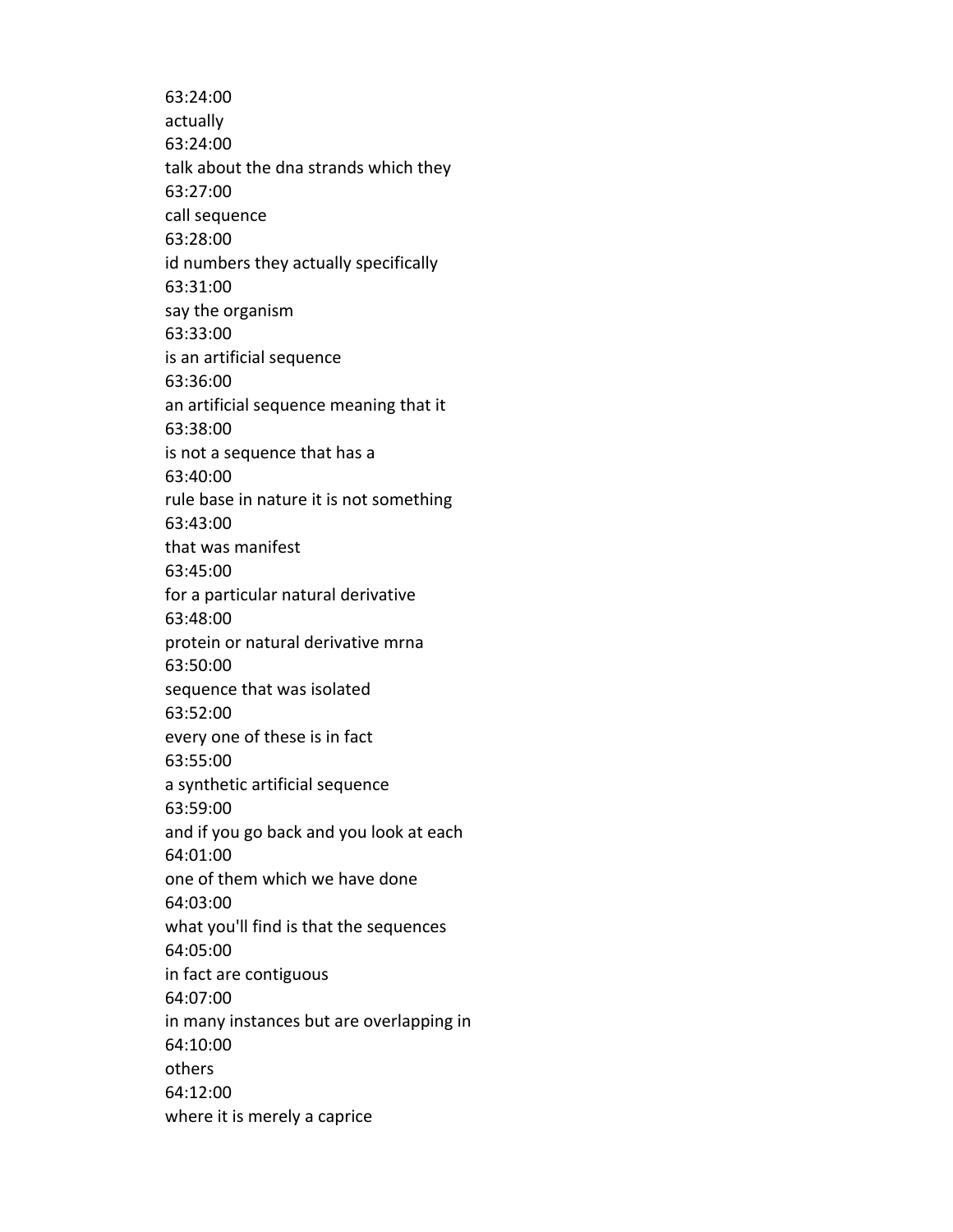63:24:00 actually 63:24:00 talk about the dna strands which they 63:27:00 call sequence 63:28:00 id numbers they actually specifically 63:31:00 say the organism 63:33:00 is an artificial sequence 63:36:00 an artificial sequence meaning that it 63:38:00 is not a sequence that has a 63:40:00 rule base in nature it is not something 63:43:00 that was manifest 63:45:00 for a particular natural derivative 63:48:00 protein or natural derivative mrna 63:50:00 sequence that was isolated 63:52:00 every one of these is in fact 63:55:00 a synthetic artificial sequence 63:59:00 and if you go back and you look at each 64:01:00 one of them which we have done 64:03:00 what you'll find is that the sequences 64:05:00 in fact are contiguous 64:07:00 in many instances but are overlapping in 64:10:00 others 64:12:00 where it is merely a caprice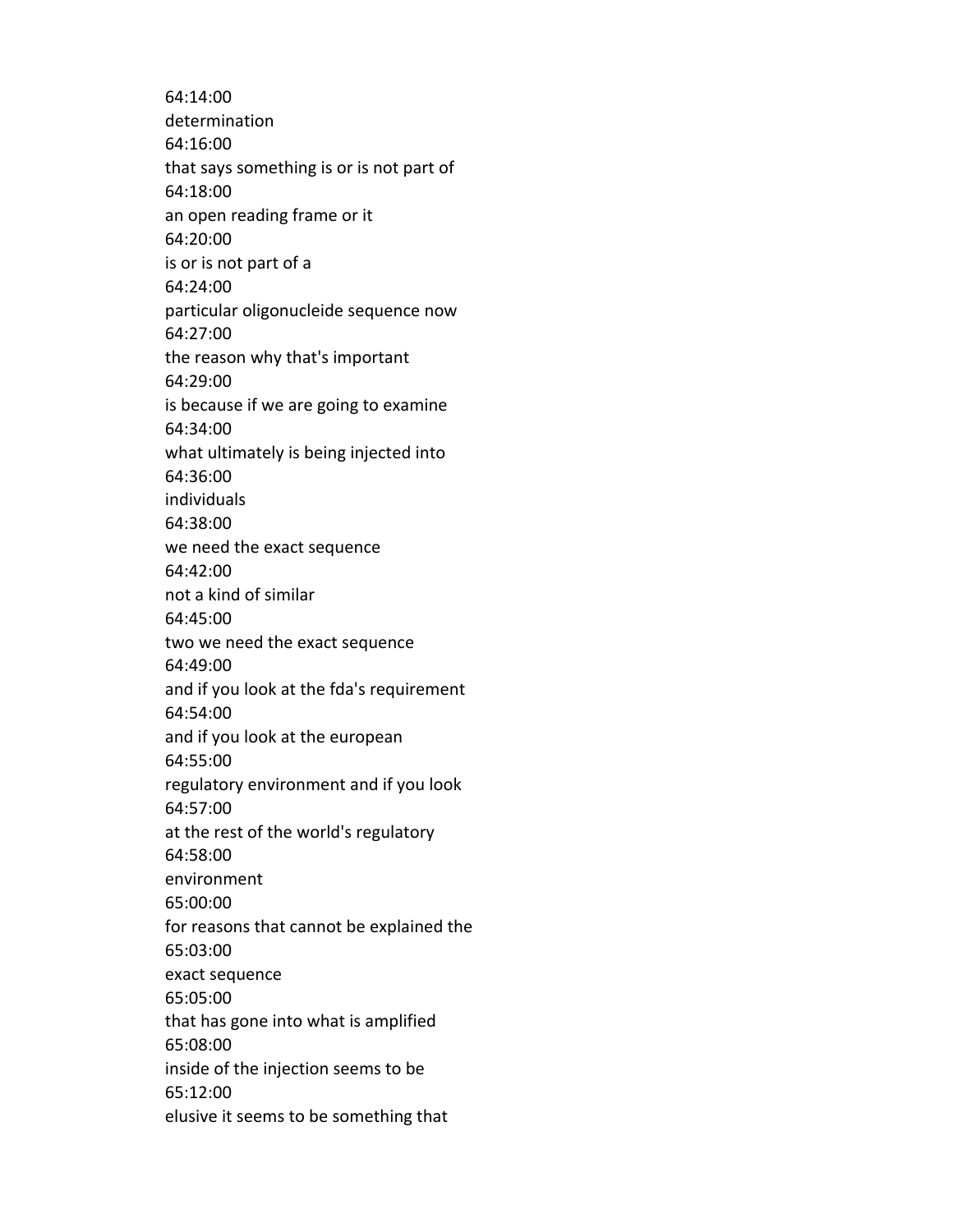64:14:00 determination 64:16:00 that says something is or is not part of 64:18:00 an open reading frame or it 64:20:00 is or is not part of a 64:24:00 particular oligonucleide sequence now 64:27:00 the reason why that's important 64:29:00 is because if we are going to examine 64:34:00 what ultimately is being injected into 64:36:00 individuals 64:38:00 we need the exact sequence 64:42:00 not a kind of similar 64:45:00 two we need the exact sequence 64:49:00 and if you look at the fda's requirement 64:54:00 and if you look at the european 64:55:00 regulatory environment and if you look 64:57:00 at the rest of the world's regulatory 64:58:00 environment 65:00:00 for reasons that cannot be explained the 65:03:00 exact sequence 65:05:00 that has gone into what is amplified 65:08:00 inside of the injection seems to be 65:12:00 elusive it seems to be something that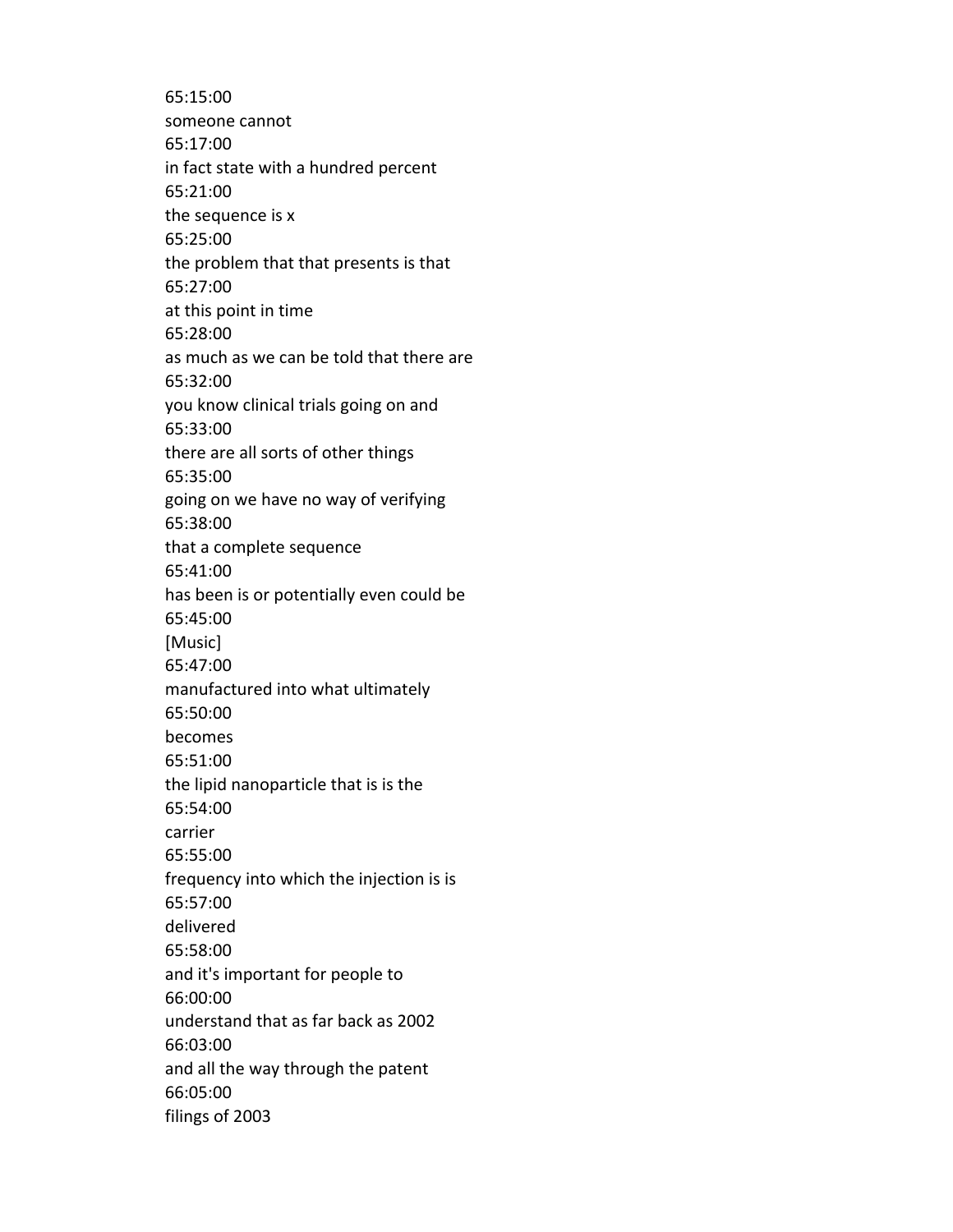65:15:00 someone cannot 65:17:00 in fact state with a hundred percent 65:21:00 the sequence is x 65:25:00 the problem that that presents is that 65:27:00 at this point in time 65:28:00 as much as we can be told that there are 65:32:00 you know clinical trials going on and 65:33:00 there are all sorts of other things 65:35:00 going on we have no way of verifying 65:38:00 that a complete sequence 65:41:00 has been is or potentially even could be 65:45:00 [Music] 65:47:00 manufactured into what ultimately 65:50:00 becomes 65:51:00 the lipid nanoparticle that is is the 65:54:00 carrier 65:55:00 frequency into which the injection is is 65:57:00 delivered 65:58:00 and it's important for people to 66:00:00 understand that as far back as 2002 66:03:00 and all the way through the patent 66:05:00 filings of 2003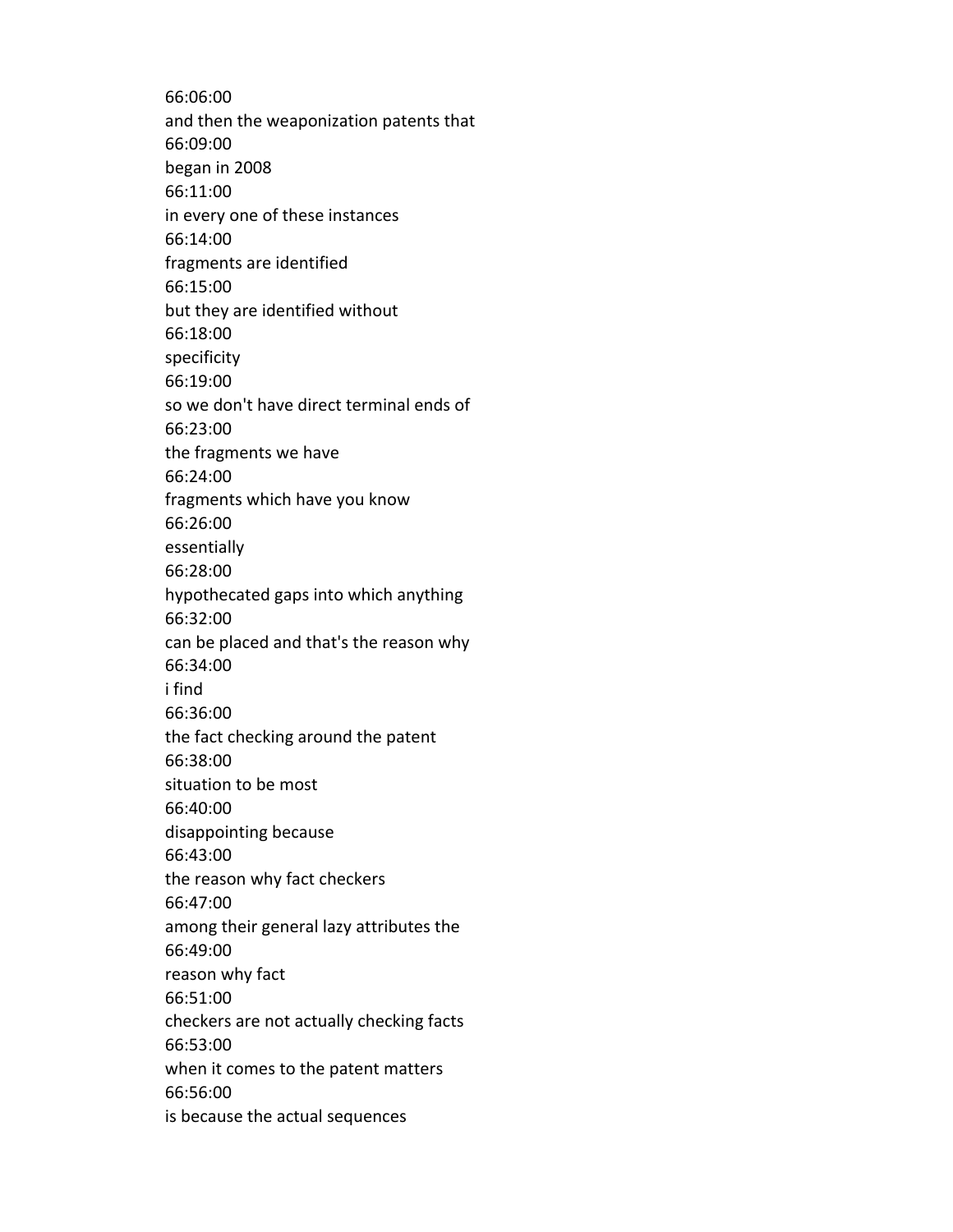66:06:00 and then the weaponization patents that 66:09:00 began in 2008 66:11:00 in every one of these instances 66:14:00 fragments are identified 66:15:00 but they are identified without 66:18:00 specificity 66:19:00 so we don't have direct terminal ends of 66:23:00 the fragments we have 66:24:00 fragments which have you know 66:26:00 essentially 66:28:00 hypothecated gaps into which anything 66:32:00 can be placed and that's the reason why 66:34:00 i find 66:36:00 the fact checking around the patent 66:38:00 situation to be most 66:40:00 disappointing because 66:43:00 the reason why fact checkers 66:47:00 among their general lazy attributes the 66:49:00 reason why fact 66:51:00 checkers are not actually checking facts 66:53:00 when it comes to the patent matters 66:56:00 is because the actual sequences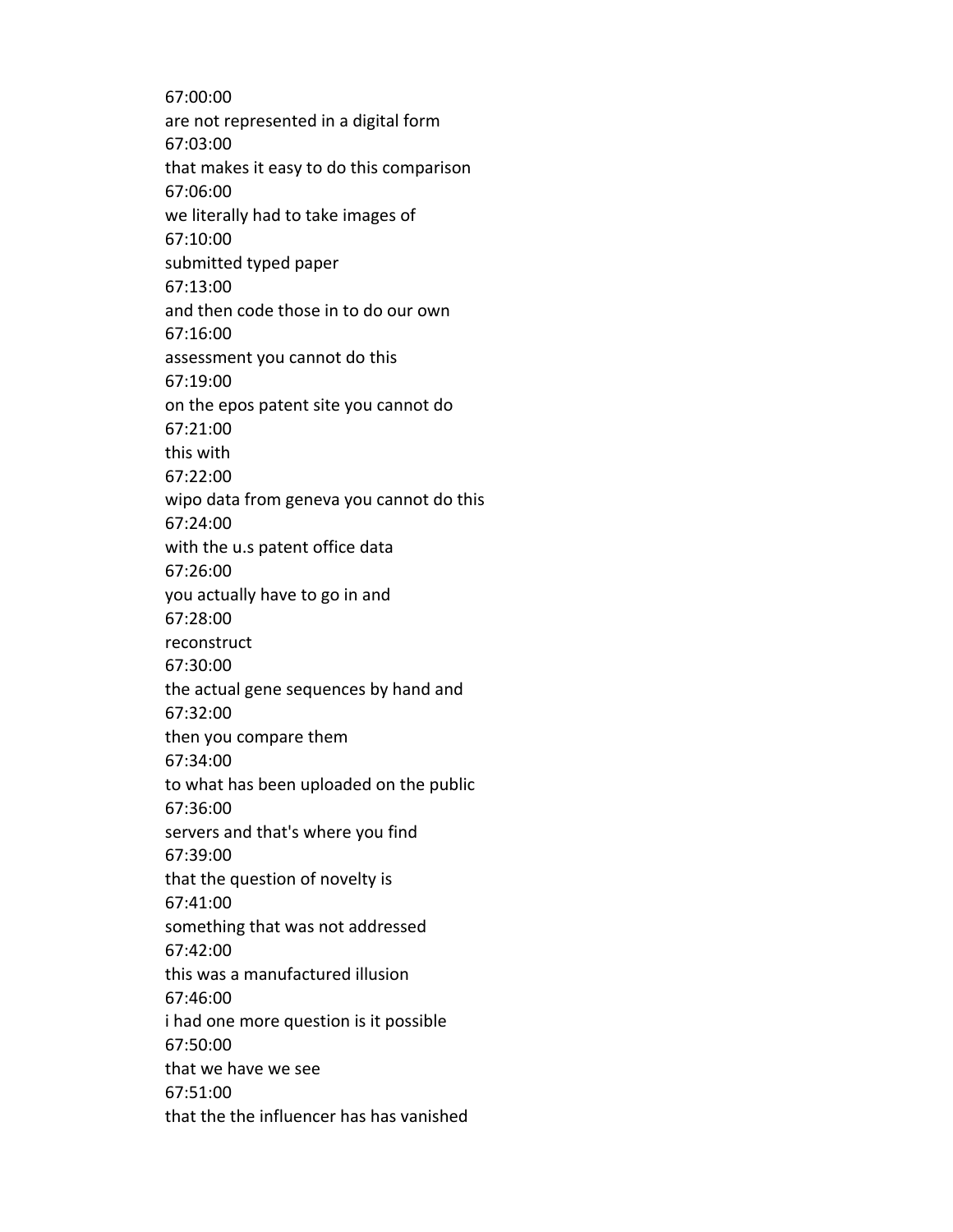67:00:00 are not represented in a digital form 67:03:00 that makes it easy to do this comparison 67:06:00 we literally had to take images of 67:10:00 submitted typed paper 67:13:00 and then code those in to do our own 67:16:00 assessment you cannot do this 67:19:00 on the epos patent site you cannot do 67:21:00 this with 67:22:00 wipo data from geneva you cannot do this 67:24:00 with the u.s patent office data 67:26:00 you actually have to go in and 67:28:00 reconstruct 67:30:00 the actual gene sequences by hand and 67:32:00 then you compare them 67:34:00 to what has been uploaded on the public 67:36:00 servers and that's where you find 67:39:00 that the question of novelty is 67:41:00 something that was not addressed 67:42:00 this was a manufactured illusion 67:46:00 i had one more question is it possible 67:50:00 that we have we see 67:51:00 that the the influencer has has vanished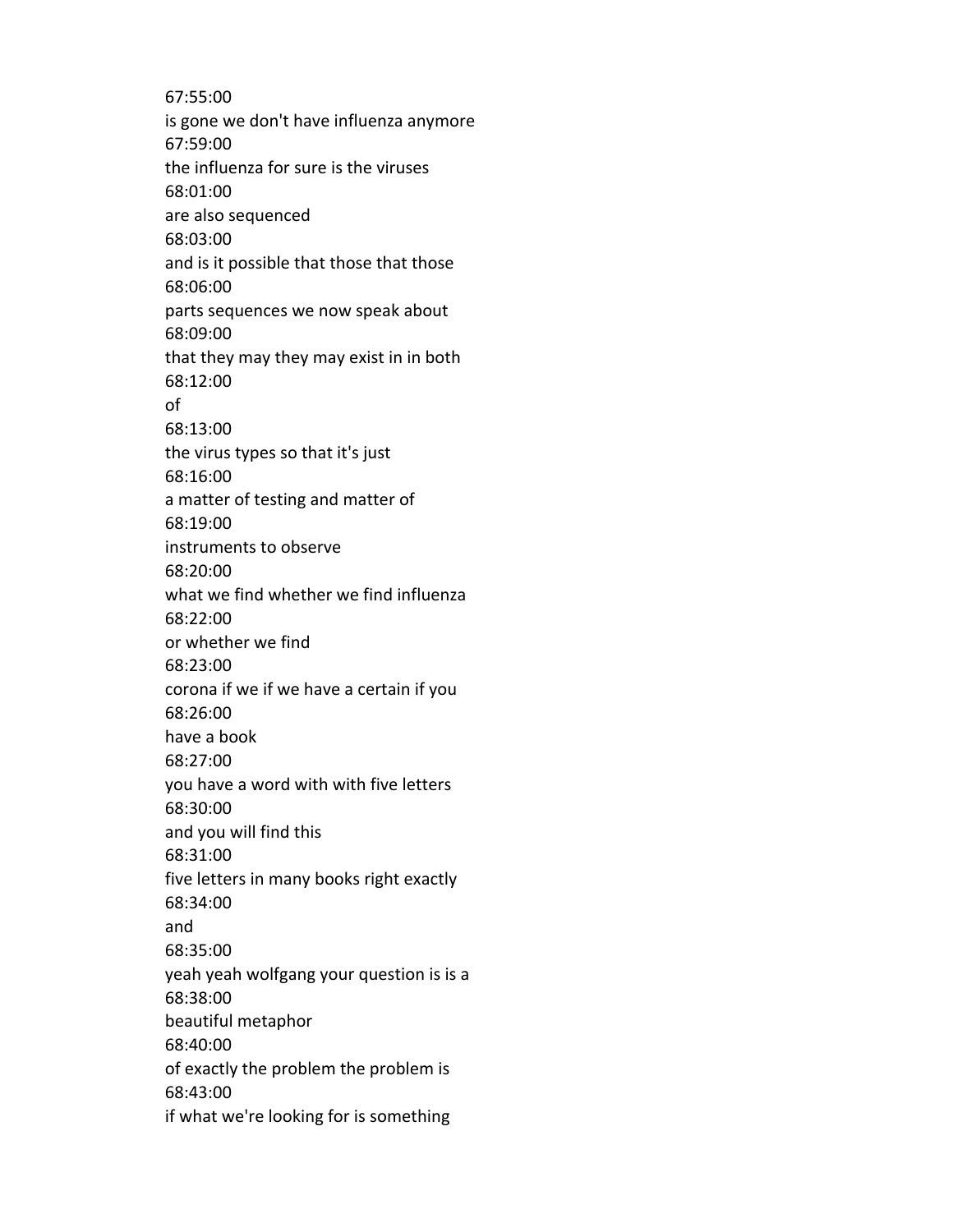67:55:00 is gone we don't have influenza anymore 67:59:00 the influenza for sure is the viruses 68:01:00 are also sequenced 68:03:00 and is it possible that those that those 68:06:00 parts sequences we now speak about 68:09:00 that they may they may exist in in both 68:12:00 of 68:13:00 the virus types so that it's just 68:16:00 a matter of testing and matter of 68:19:00 instruments to observe 68:20:00 what we find whether we find influenza 68:22:00 or whether we find 68:23:00 corona if we if we have a certain if you 68:26:00 have a book 68:27:00 you have a word with with five letters 68:30:00 and you will find this 68:31:00 five letters in many books right exactly 68:34:00 and 68:35:00 yeah yeah wolfgang your question is is a 68:38:00 beautiful metaphor 68:40:00 of exactly the problem the problem is 68:43:00 if what we're looking for is something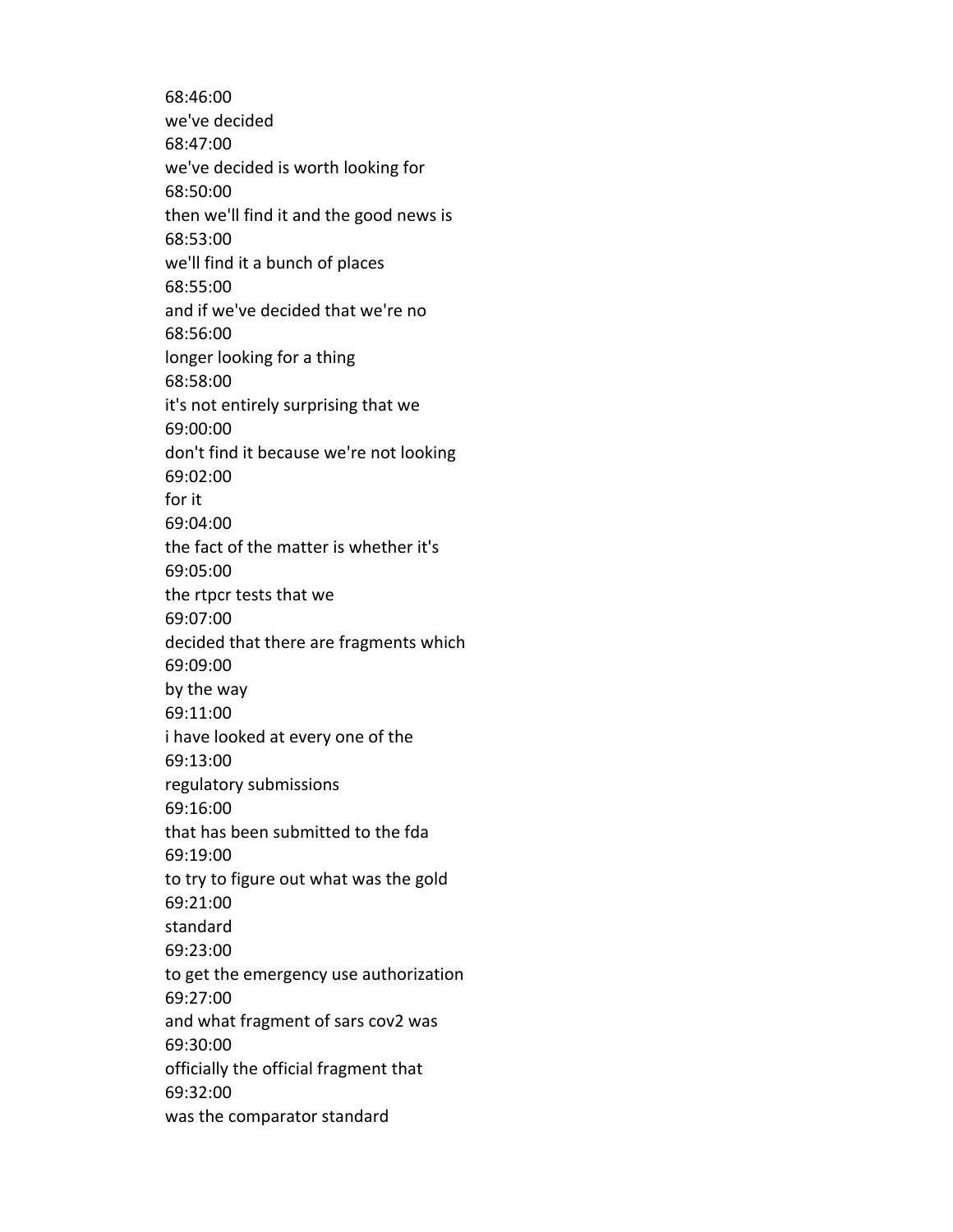68:46:00 we've decided 68:47:00 we've decided is worth looking for 68:50:00 then we'll find it and the good news is 68:53:00 we'll find it a bunch of places 68:55:00 and if we've decided that we're no 68:56:00 longer looking for a thing 68:58:00 it's not entirely surprising that we 69:00:00 don't find it because we're not looking 69:02:00 for it 69:04:00 the fact of the matter is whether it's 69:05:00 the rtpcr tests that we 69:07:00 decided that there are fragments which 69:09:00 by the way 69:11:00 i have looked at every one of the 69:13:00 regulatory submissions 69:16:00 that has been submitted to the fda 69:19:00 to try to figure out what was the gold 69:21:00 standard 69:23:00 to get the emergency use authorization 69:27:00 and what fragment of sars cov2 was 69:30:00 officially the official fragment that 69:32:00 was the comparator standard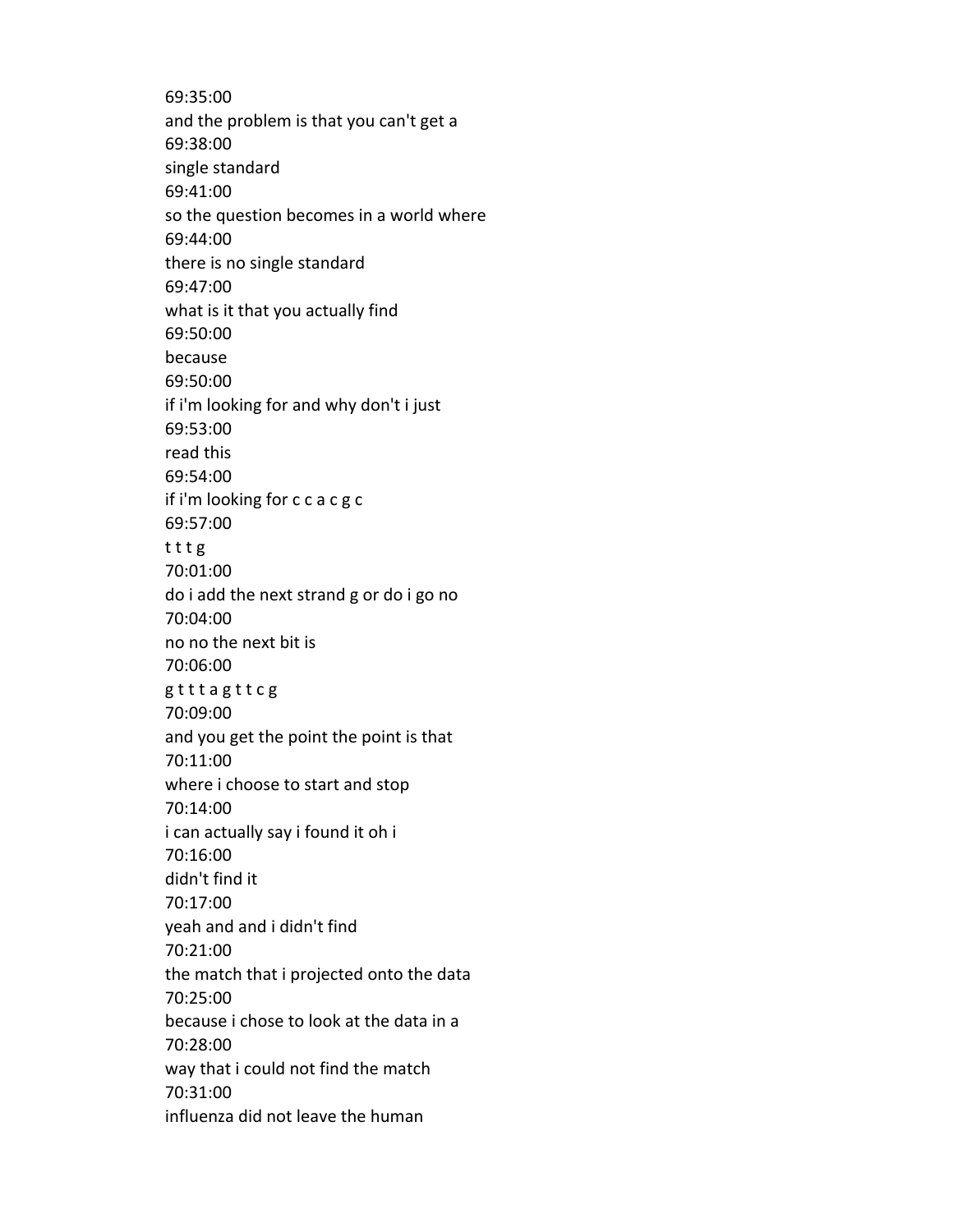69:35:00 and the problem is that you can't get a 69:38:00 single standard 69:41:00 so the question becomes in a world where 69:44:00 there is no single standard 69:47:00 what is it that you actually find 69:50:00 because 69:50:00 if i'm looking for and why don't i just 69:53:00 read this 69:54:00 if i'm looking for c c a c g c 69:57:00 t t t g 70:01:00 do i add the next strand g or do i go no 70:04:00 no no the next bit is 70:06:00 g t t t a g t t c g 70:09:00 and you get the point the point is that 70:11:00 where i choose to start and stop 70:14:00 i can actually say i found it oh i 70:16:00 didn't find it 70:17:00 yeah and and i didn't find 70:21:00 the match that i projected onto the data 70:25:00 because i chose to look at the data in a 70:28:00 way that i could not find the match 70:31:00 influenza did not leave the human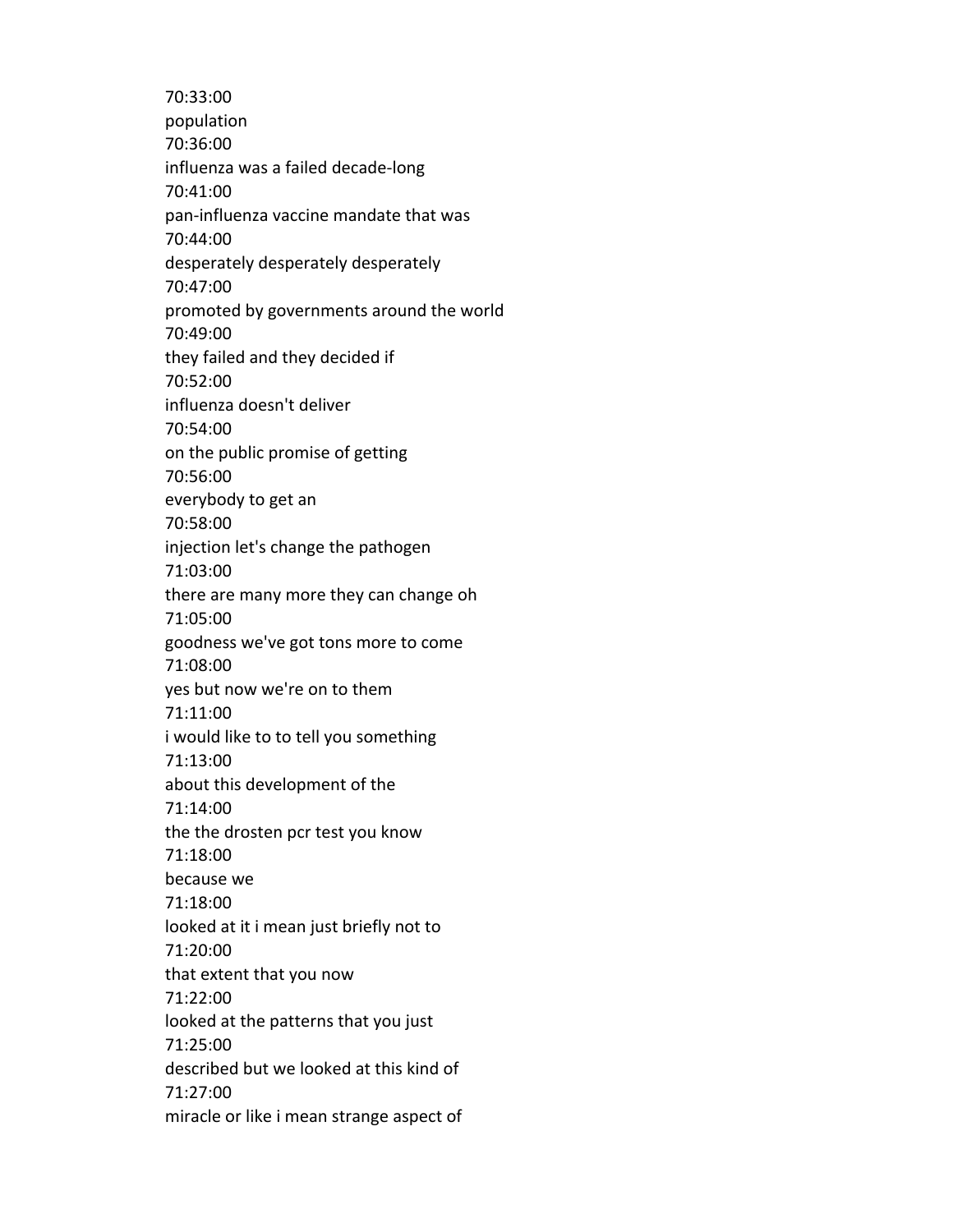70:33:00 population 70:36:00 influenza was a failed decade-long 70:41:00 pan-influenza vaccine mandate that was 70:44:00 desperately desperately desperately 70:47:00 promoted by governments around the world 70:49:00 they failed and they decided if 70:52:00 influenza doesn't deliver 70:54:00 on the public promise of getting 70:56:00 everybody to get an 70:58:00 injection let's change the pathogen 71:03:00 there are many more they can change oh 71:05:00 goodness we've got tons more to come 71:08:00 yes but now we're on to them 71:11:00 i would like to to tell you something 71:13:00 about this development of the 71:14:00 the the drosten pcr test you know 71:18:00 because we 71:18:00 looked at it i mean just briefly not to 71:20:00 that extent that you now 71:22:00 looked at the patterns that you just 71:25:00 described but we looked at this kind of 71:27:00 miracle or like i mean strange aspect of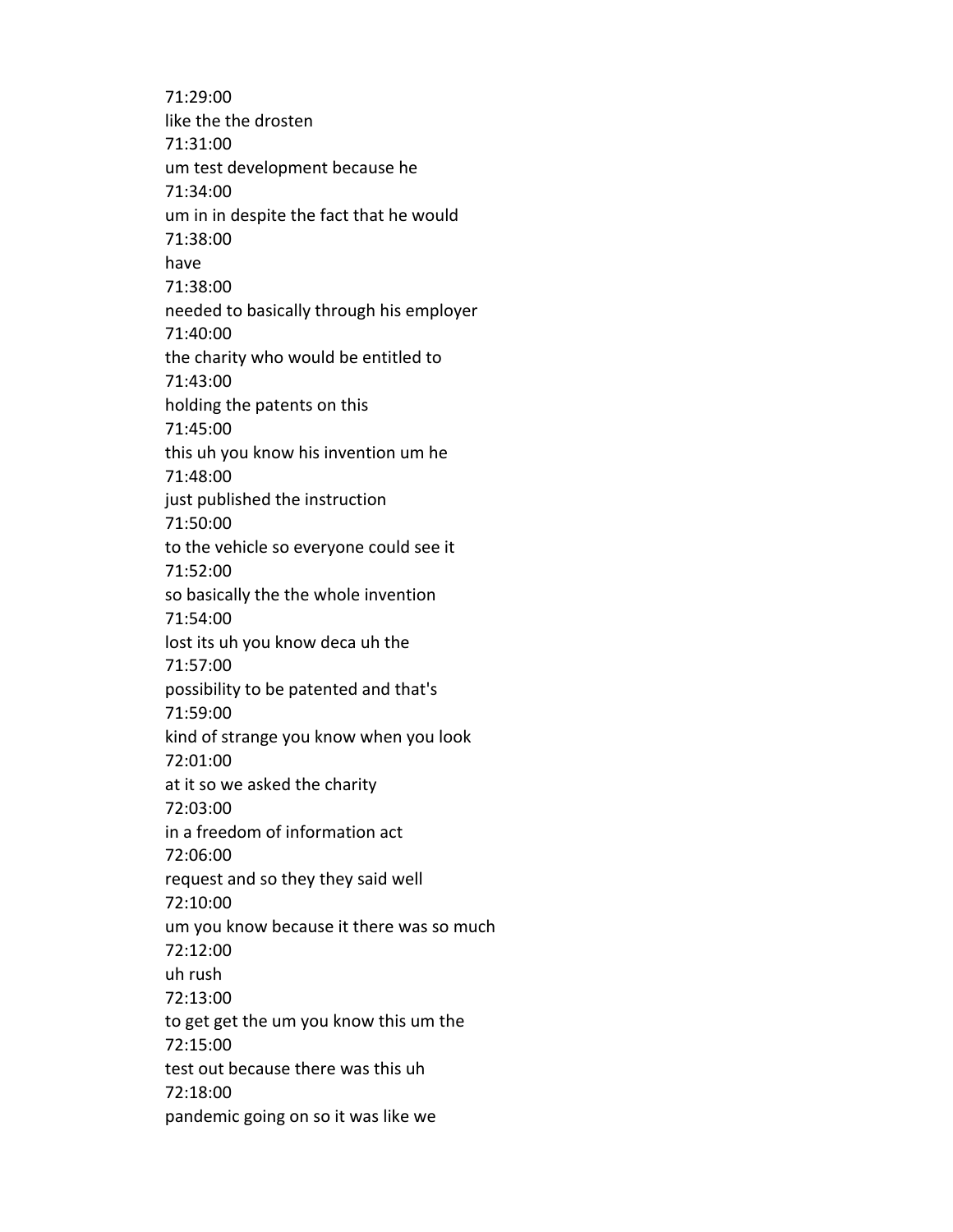71:29:00 like the the drosten 71:31:00 um test development because he 71:34:00 um in in despite the fact that he would 71:38:00 have 71:38:00 needed to basically through his employer 71:40:00 the charity who would be entitled to 71:43:00 holding the patents on this 71:45:00 this uh you know his invention um he 71:48:00 just published the instruction 71:50:00 to the vehicle so everyone could see it 71:52:00 so basically the the whole invention 71:54:00 lost its uh you know deca uh the 71:57:00 possibility to be patented and that's 71:59:00 kind of strange you know when you look 72:01:00 at it so we asked the charity 72:03:00 in a freedom of information act 72:06:00 request and so they they said well 72:10:00 um you know because it there was so much 72:12:00 uh rush 72:13:00 to get get the um you know this um the 72:15:00 test out because there was this uh 72:18:00 pandemic going on so it was like we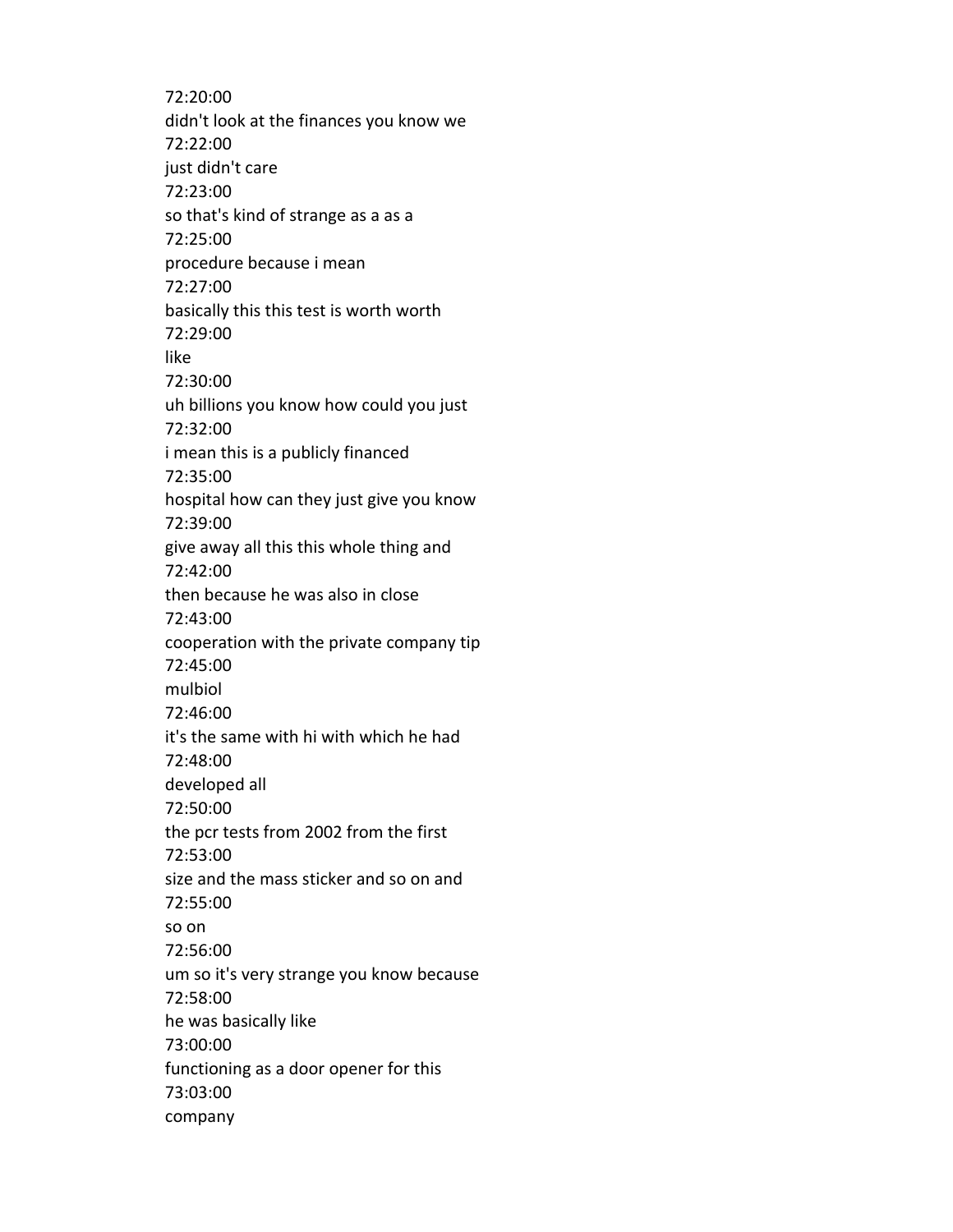72:20:00 didn't look at the finances you know we 72:22:00 just didn't care 72:23:00 so that's kind of strange as a as a 72:25:00 procedure because i mean 72:27:00 basically this this test is worth worth 72:29:00 like 72:30:00 uh billions you know how could you just 72:32:00 i mean this is a publicly financed 72:35:00 hospital how can they just give you know 72:39:00 give away all this this whole thing and 72:42:00 then because he was also in close 72:43:00 cooperation with the private company tip 72:45:00 mulbiol 72:46:00 it's the same with hi with which he had 72:48:00 developed all 72:50:00 the pcr tests from 2002 from the first 72:53:00 size and the mass sticker and so on and 72:55:00 so on 72:56:00 um so it's very strange you know because 72:58:00 he was basically like 73:00:00 functioning as a door opener for this 73:03:00 company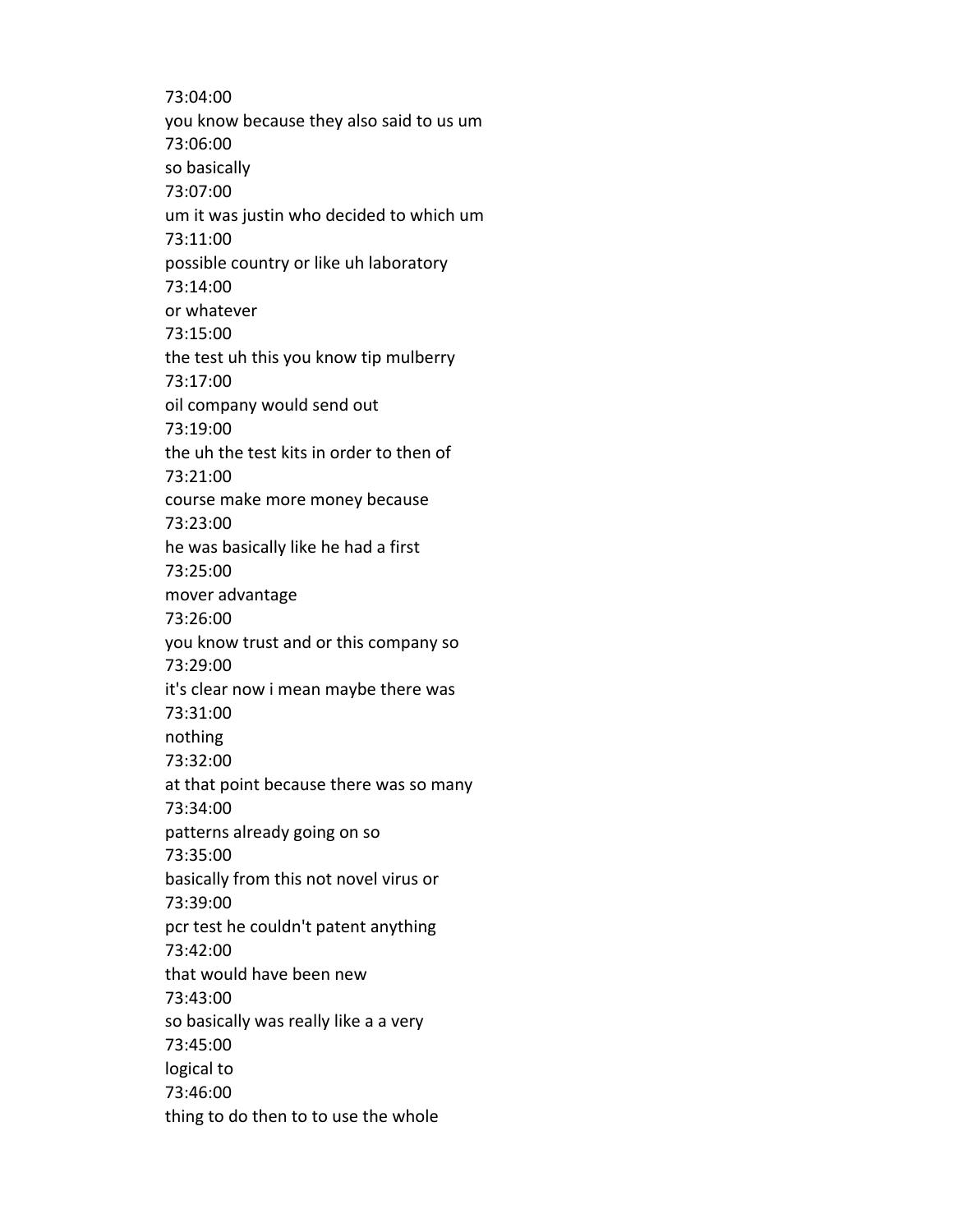73:04:00 you know because they also said to us um 73:06:00 so basically 73:07:00 um it was justin who decided to which um 73:11:00 possible country or like uh laboratory 73:14:00 or whatever 73:15:00 the test uh this you know tip mulberry 73:17:00 oil company would send out 73:19:00 the uh the test kits in order to then of 73:21:00 course make more money because 73:23:00 he was basically like he had a first 73:25:00 mover advantage 73:26:00 you know trust and or this company so 73:29:00 it's clear now i mean maybe there was 73:31:00 nothing 73:32:00 at that point because there was so many 73:34:00 patterns already going on so 73:35:00 basically from this not novel virus or 73:39:00 pcr test he couldn't patent anything 73:42:00 that would have been new 73:43:00 so basically was really like a a very 73:45:00 logical to 73:46:00 thing to do then to to use the whole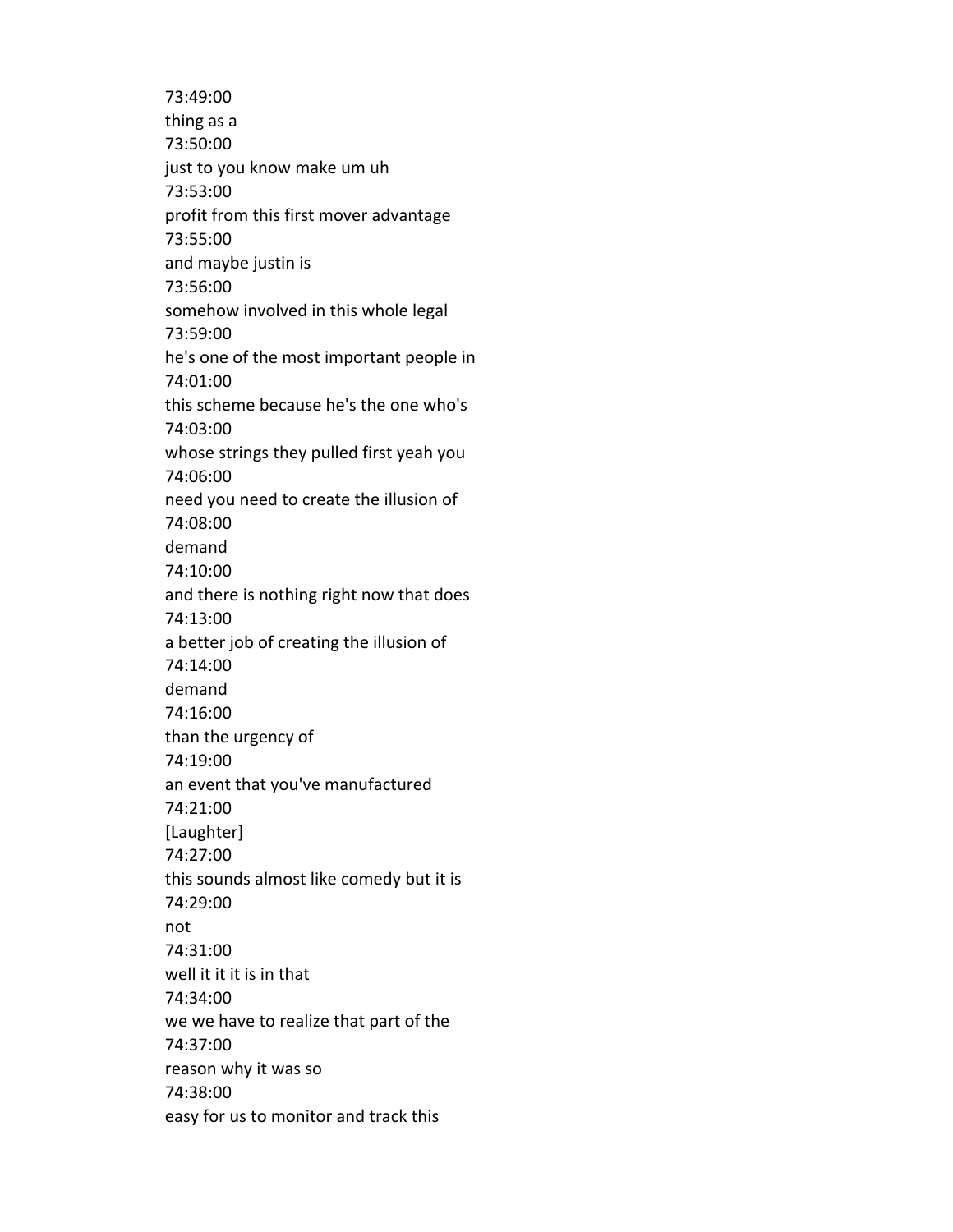73:49:00 thing as a 73:50:00 just to you know make um uh 73:53:00 profit from this first mover advantage 73:55:00 and maybe justin is 73:56:00 somehow involved in this whole legal 73:59:00 he's one of the most important people in 74:01:00 this scheme because he's the one who's 74:03:00 whose strings they pulled first yeah you 74:06:00 need you need to create the illusion of 74:08:00 demand 74:10:00 and there is nothing right now that does 74:13:00 a better job of creating the illusion of 74:14:00 demand 74:16:00 than the urgency of 74:19:00 an event that you've manufactured 74:21:00 [Laughter] 74:27:00 this sounds almost like comedy but it is 74:29:00 not 74:31:00 well it it it is in that 74:34:00 we we have to realize that part of the 74:37:00 reason why it was so 74:38:00 easy for us to monitor and track this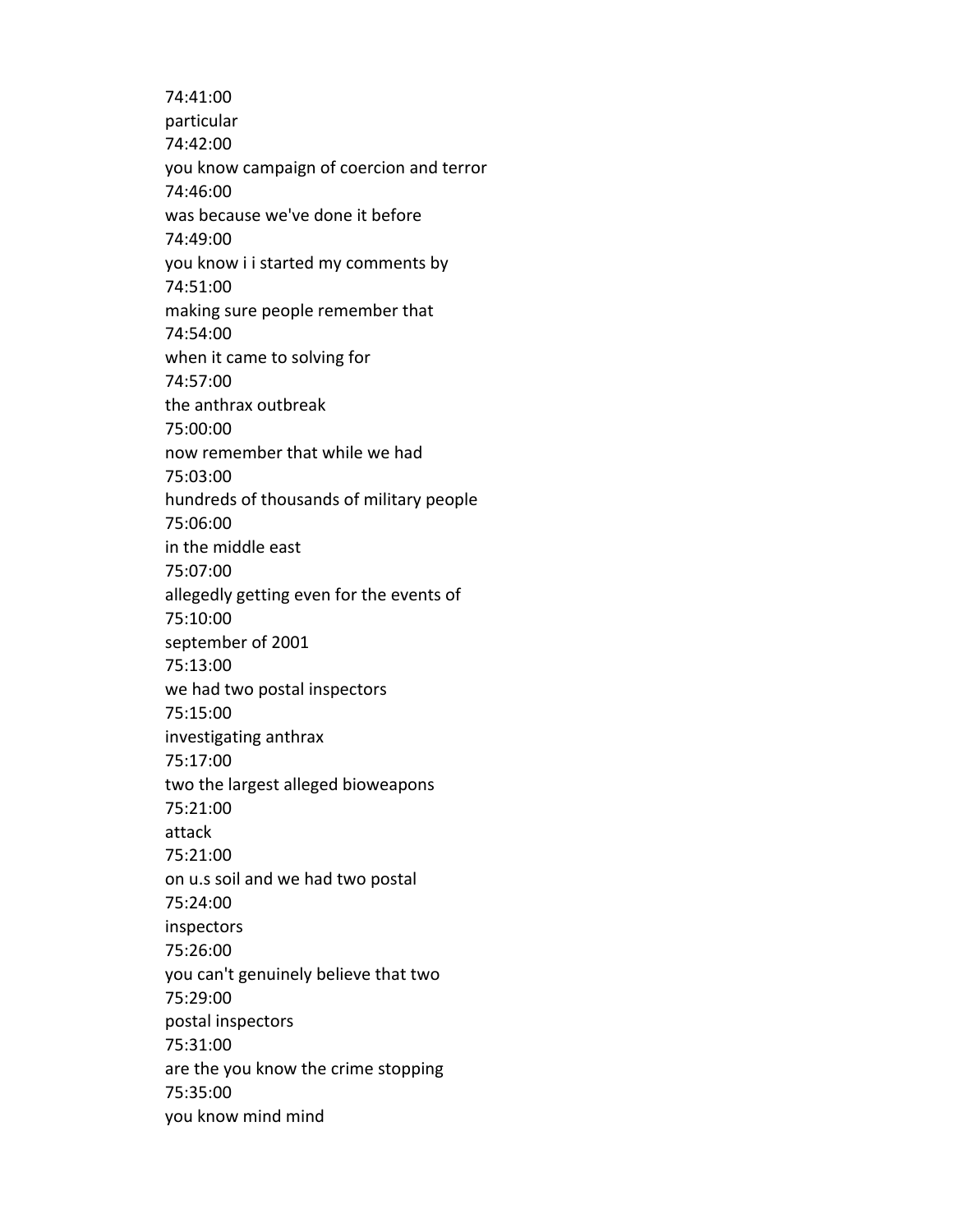74:41:00 particular 74:42:00 you know campaign of coercion and terror 74:46:00 was because we've done it before 74:49:00 you know i i started my comments by 74:51:00 making sure people remember that 74:54:00 when it came to solving for 74:57:00 the anthrax outbreak 75:00:00 now remember that while we had 75:03:00 hundreds of thousands of military people 75:06:00 in the middle east 75:07:00 allegedly getting even for the events of 75:10:00 september of 2001 75:13:00 we had two postal inspectors 75:15:00 investigating anthrax 75:17:00 two the largest alleged bioweapons 75:21:00 attack 75:21:00 on u.s soil and we had two postal 75:24:00 inspectors 75:26:00 you can't genuinely believe that two 75:29:00 postal inspectors 75:31:00 are the you know the crime stopping 75:35:00 you know mind mind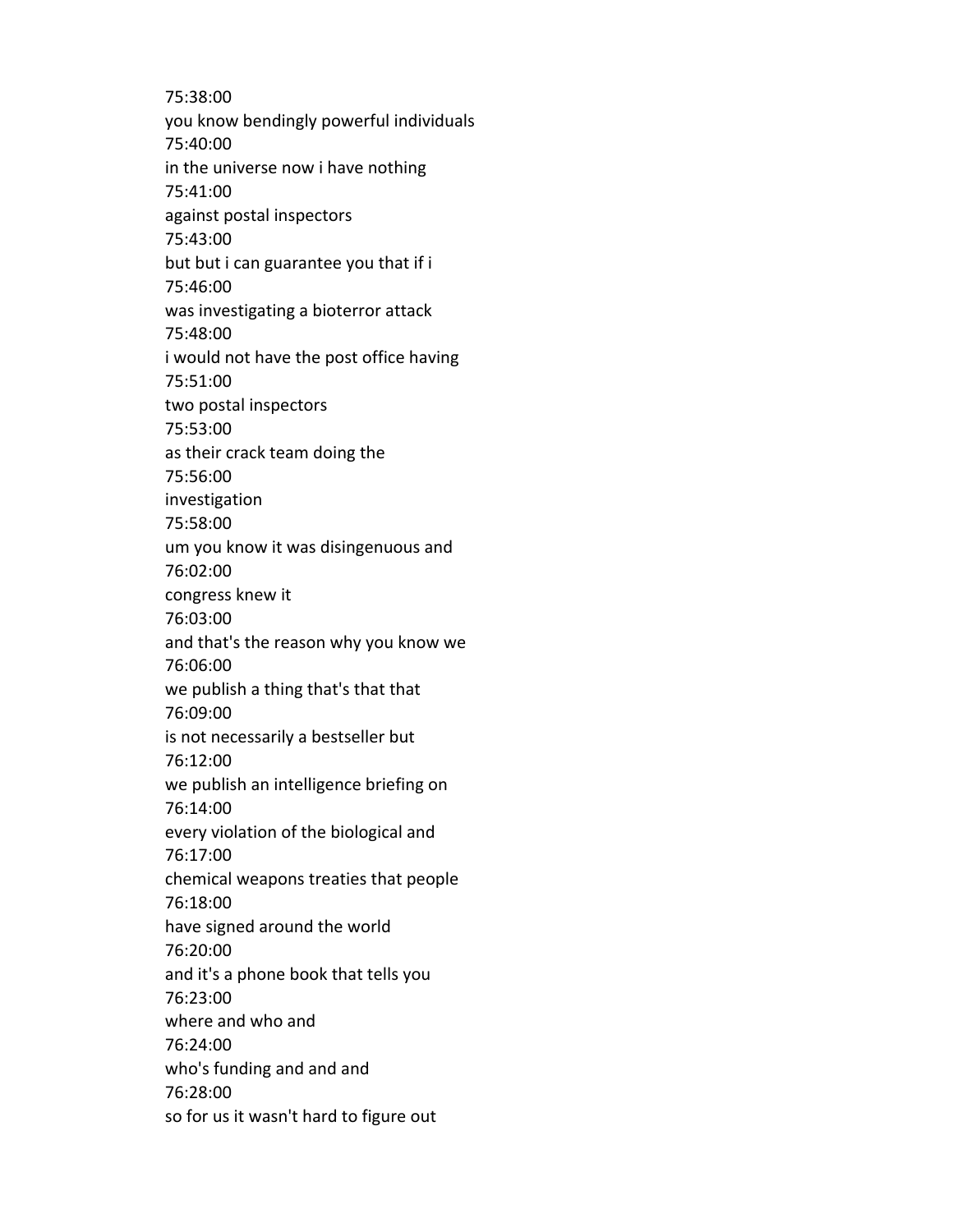75:38:00 you know bendingly powerful individuals 75:40:00 in the universe now i have nothing 75:41:00 against postal inspectors 75:43:00 but but i can guarantee you that if i 75:46:00 was investigating a bioterror attack 75:48:00 i would not have the post office having 75:51:00 two postal inspectors 75:53:00 as their crack team doing the 75:56:00 investigation 75:58:00 um you know it was disingenuous and 76:02:00 congress knew it 76:03:00 and that's the reason why you know we 76:06:00 we publish a thing that's that that 76:09:00 is not necessarily a bestseller but 76:12:00 we publish an intelligence briefing on 76:14:00 every violation of the biological and 76:17:00 chemical weapons treaties that people 76:18:00 have signed around the world 76:20:00 and it's a phone book that tells you 76:23:00 where and who and 76:24:00 who's funding and and and 76:28:00 so for us it wasn't hard to figure out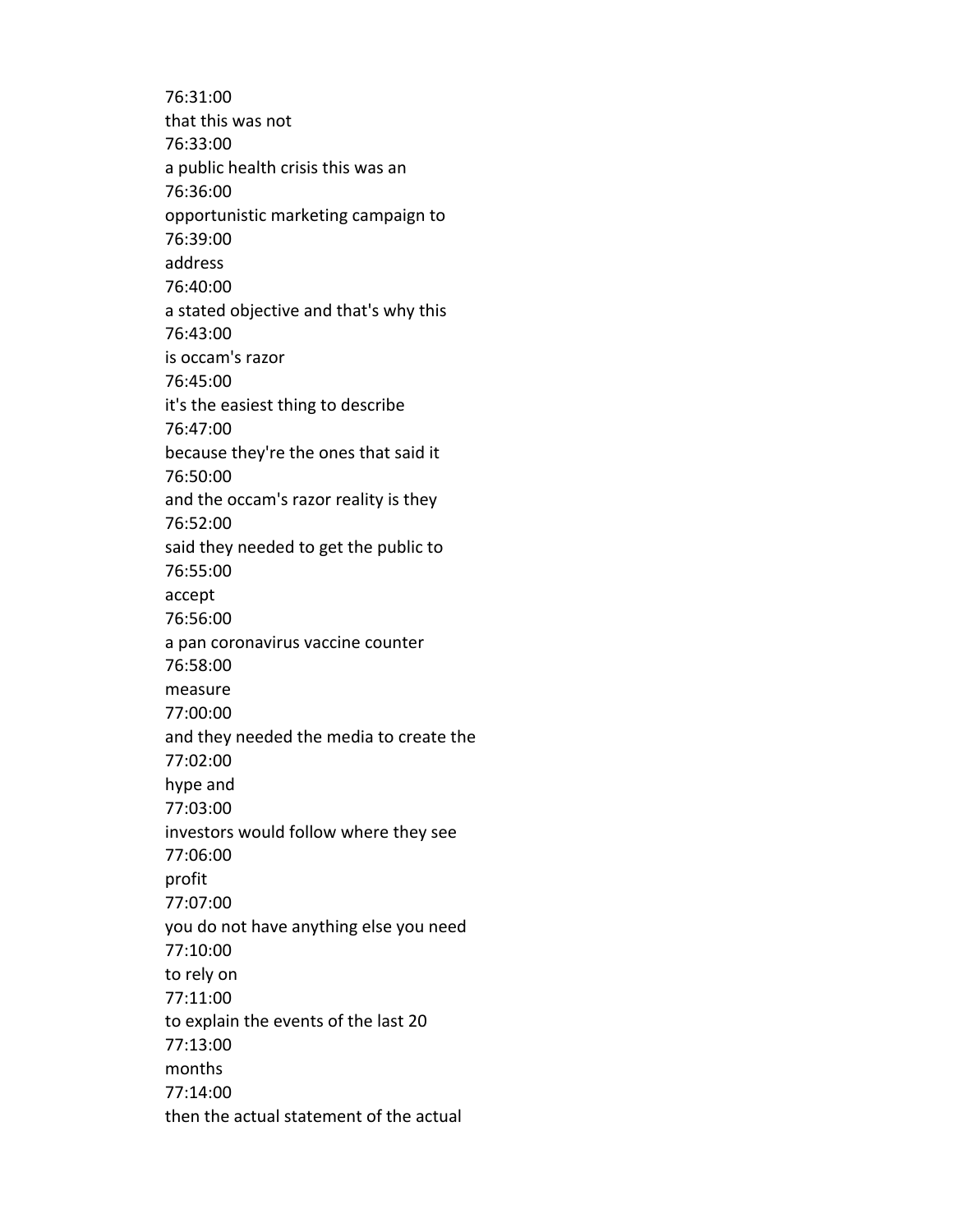76:31:00 that this was not 76:33:00 a public health crisis this was an 76:36:00 opportunistic marketing campaign to 76:39:00 address 76:40:00 a stated objective and that's why this 76:43:00 is occam's razor 76:45:00 it's the easiest thing to describe 76:47:00 because they're the ones that said it 76:50:00 and the occam's razor reality is they 76:52:00 said they needed to get the public to 76:55:00 accept 76:56:00 a pan coronavirus vaccine counter 76:58:00 measure 77:00:00 and they needed the media to create the 77:02:00 hype and 77:03:00 investors would follow where they see 77:06:00 profit 77:07:00 you do not have anything else you need 77:10:00 to rely on 77:11:00 to explain the events of the last 20 77:13:00 months 77:14:00 then the actual statement of the actual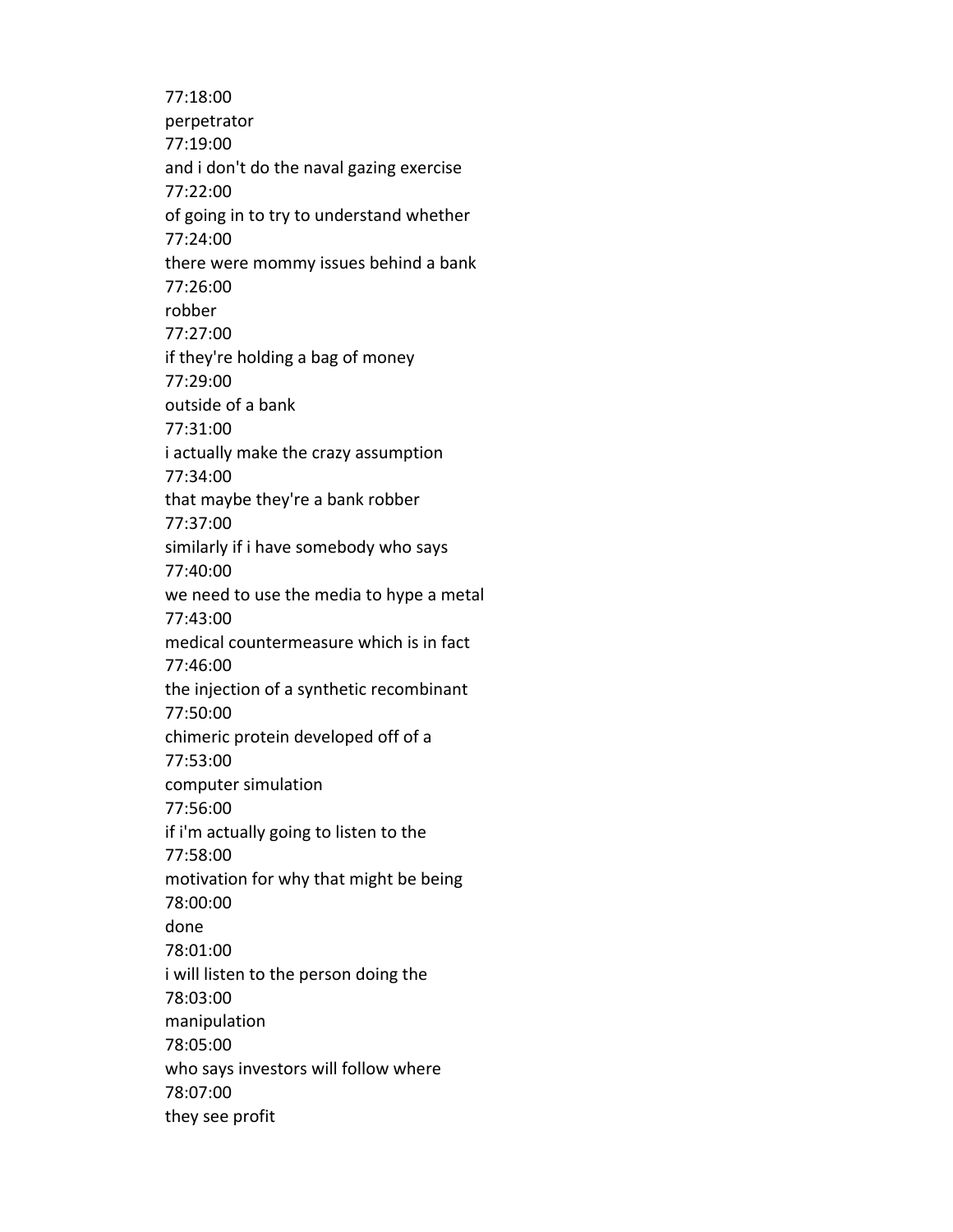77:18:00 perpetrator 77:19:00 and i don't do the naval gazing exercise 77:22:00 of going in to try to understand whether 77:24:00 there were mommy issues behind a bank 77:26:00 robber 77:27:00 if they're holding a bag of money 77:29:00 outside of a bank 77:31:00 i actually make the crazy assumption 77:34:00 that maybe they're a bank robber 77:37:00 similarly if i have somebody who says 77:40:00 we need to use the media to hype a metal 77:43:00 medical countermeasure which is in fact 77:46:00 the injection of a synthetic recombinant 77:50:00 chimeric protein developed off of a 77:53:00 computer simulation 77:56:00 if i'm actually going to listen to the 77:58:00 motivation for why that might be being 78:00:00 done 78:01:00 i will listen to the person doing the 78:03:00 manipulation 78:05:00 who says investors will follow where 78:07:00 they see profit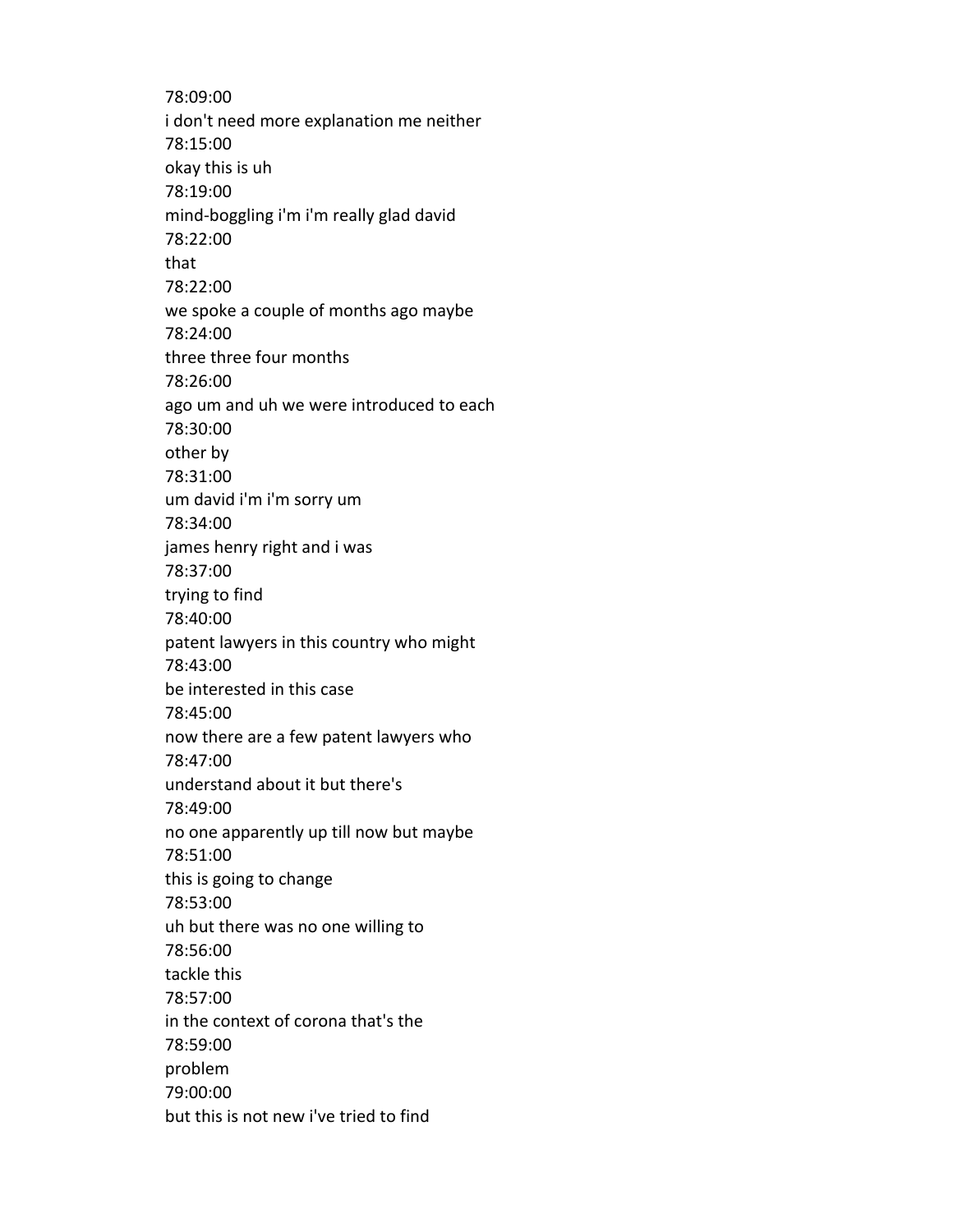78:09:00 i don't need more explanation me neither 78:15:00 okay this is uh 78:19:00 mind-boggling i'm i'm really glad david 78:22:00 that 78:22:00 we spoke a couple of months ago maybe 78:24:00 three three four months 78:26:00 ago um and uh we were introduced to each 78:30:00 other by 78:31:00 um david i'm i'm sorry um 78:34:00 james henry right and i was 78:37:00 trying to find 78:40:00 patent lawyers in this country who might 78:43:00 be interested in this case 78:45:00 now there are a few patent lawyers who 78:47:00 understand about it but there's 78:49:00 no one apparently up till now but maybe 78:51:00 this is going to change 78:53:00 uh but there was no one willing to 78:56:00 tackle this 78:57:00 in the context of corona that's the 78:59:00 problem 79:00:00 but this is not new i've tried to find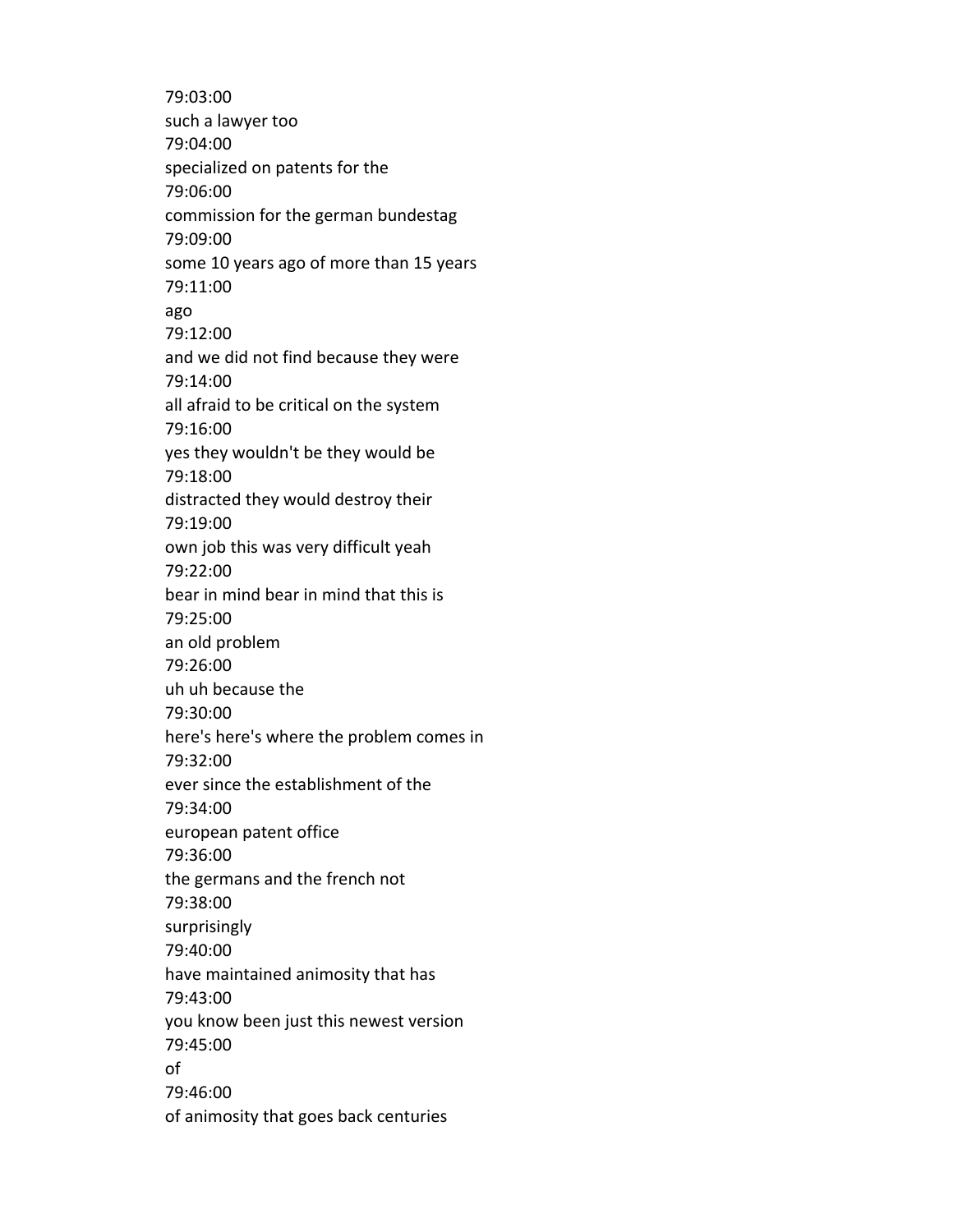79:03:00 such a lawyer too 79:04:00 specialized on patents for the 79:06:00 commission for the german bundestag 79:09:00 some 10 years ago of more than 15 years 79:11:00 ago 79:12:00 and we did not find because they were 79:14:00 all afraid to be critical on the system 79:16:00 yes they wouldn't be they would be 79:18:00 distracted they would destroy their 79:19:00 own job this was very difficult yeah 79:22:00 bear in mind bear in mind that this is 79:25:00 an old problem 79:26:00 uh uh because the 79:30:00 here's here's where the problem comes in 79:32:00 ever since the establishment of the 79:34:00 european patent office 79:36:00 the germans and the french not 79:38:00 surprisingly 79:40:00 have maintained animosity that has 79:43:00 you know been just this newest version 79:45:00 of 79:46:00 of animosity that goes back centuries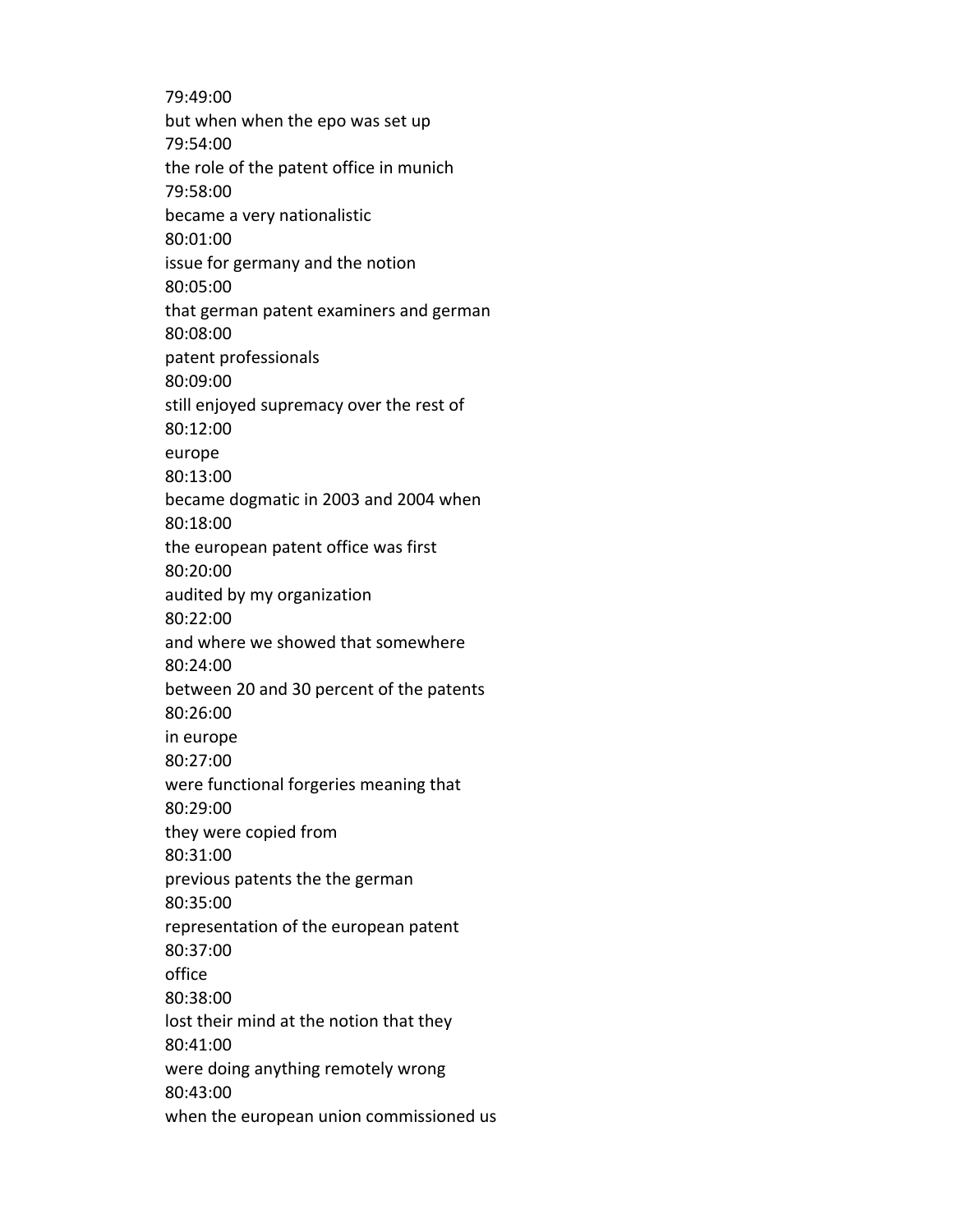79:49:00 but when when the epo was set up 79:54:00 the role of the patent office in munich 79:58:00 became a very nationalistic 80:01:00 issue for germany and the notion 80:05:00 that german patent examiners and german 80:08:00 patent professionals 80:09:00 still enjoyed supremacy over the rest of 80:12:00 europe 80:13:00 became dogmatic in 2003 and 2004 when 80:18:00 the european patent office was first 80:20:00 audited by my organization 80:22:00 and where we showed that somewhere 80:24:00 between 20 and 30 percent of the patents 80:26:00 in europe 80:27:00 were functional forgeries meaning that 80:29:00 they were copied from 80:31:00 previous patents the the german 80:35:00 representation of the european patent 80:37:00 office 80:38:00 lost their mind at the notion that they 80:41:00 were doing anything remotely wrong 80:43:00 when the european union commissioned us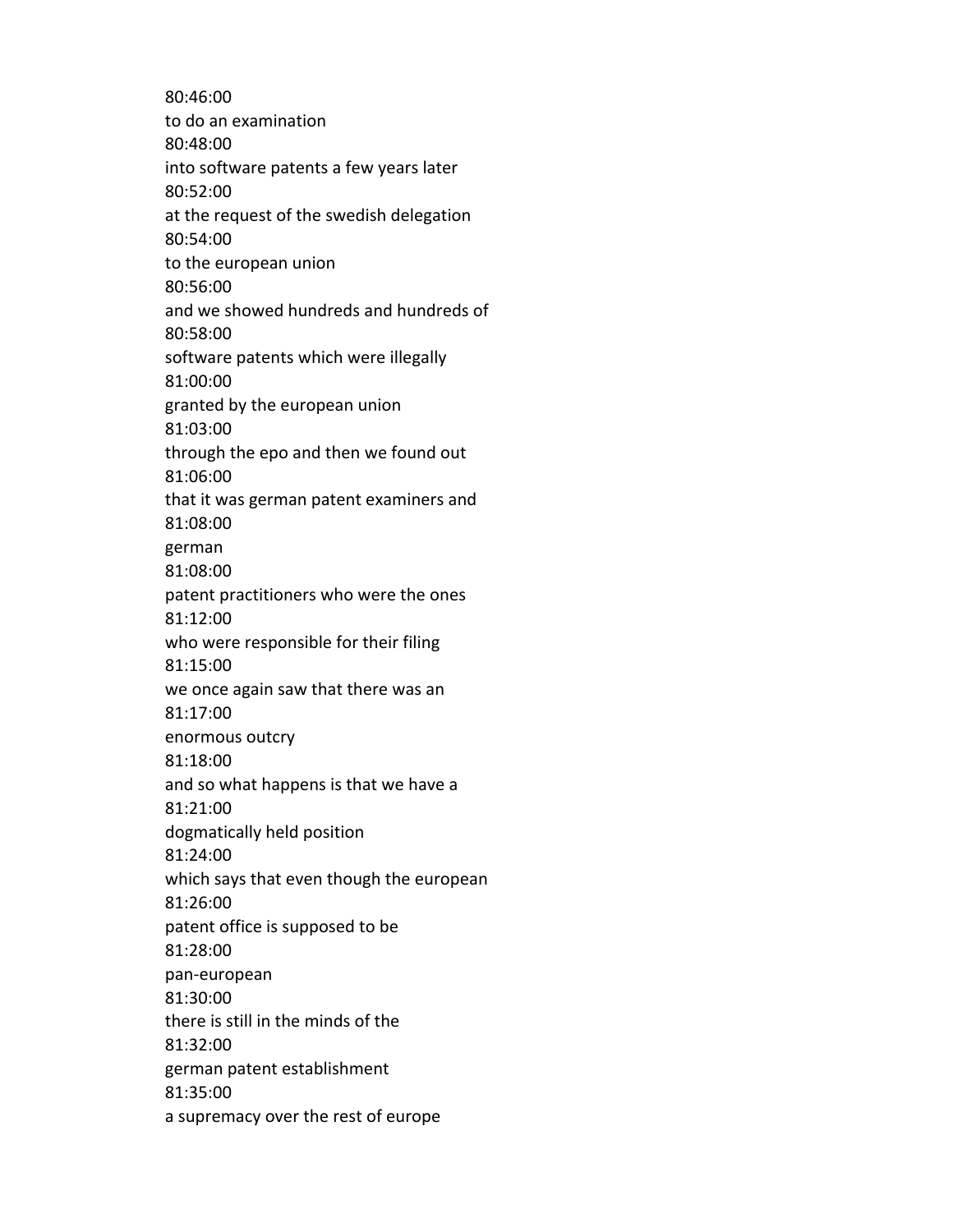80:46:00 to do an examination 80:48:00 into software patents a few years later 80:52:00 at the request of the swedish delegation 80:54:00 to the european union 80:56:00 and we showed hundreds and hundreds of 80:58:00 software patents which were illegally 81:00:00 granted by the european union 81:03:00 through the epo and then we found out 81:06:00 that it was german patent examiners and 81:08:00 german 81:08:00 patent practitioners who were the ones 81:12:00 who were responsible for their filing 81:15:00 we once again saw that there was an 81:17:00 enormous outcry 81:18:00 and so what happens is that we have a 81:21:00 dogmatically held position 81:24:00 which says that even though the european 81:26:00 patent office is supposed to be 81:28:00 pan-european 81:30:00 there is still in the minds of the 81:32:00 german patent establishment 81:35:00 a supremacy over the rest of europe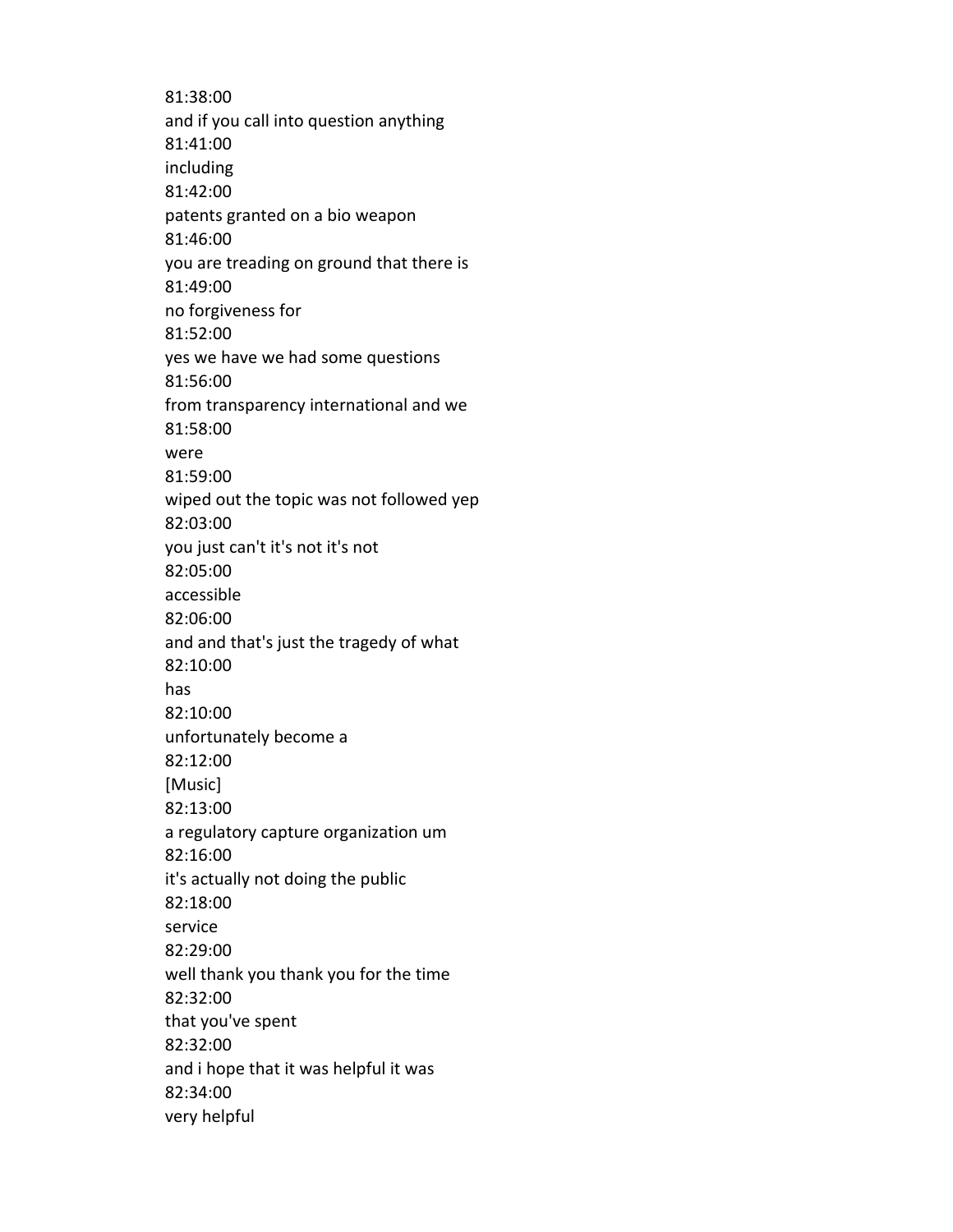81:38:00 and if you call into question anything 81:41:00 including 81:42:00 patents granted on a bio weapon 81:46:00 you are treading on ground that there is 81:49:00 no forgiveness for 81:52:00 yes we have we had some questions 81:56:00 from transparency international and we 81:58:00 were 81:59:00 wiped out the topic was not followed yep 82:03:00 you just can't it's not it's not 82:05:00 accessible 82:06:00 and and that's just the tragedy of what 82:10:00 has 82:10:00 unfortunately become a 82:12:00 [Music] 82:13:00 a regulatory capture organization um 82:16:00 it's actually not doing the public 82:18:00 service 82:29:00 well thank you thank you for the time 82:32:00 that you've spent 82:32:00 and i hope that it was helpful it was 82:34:00 very helpful